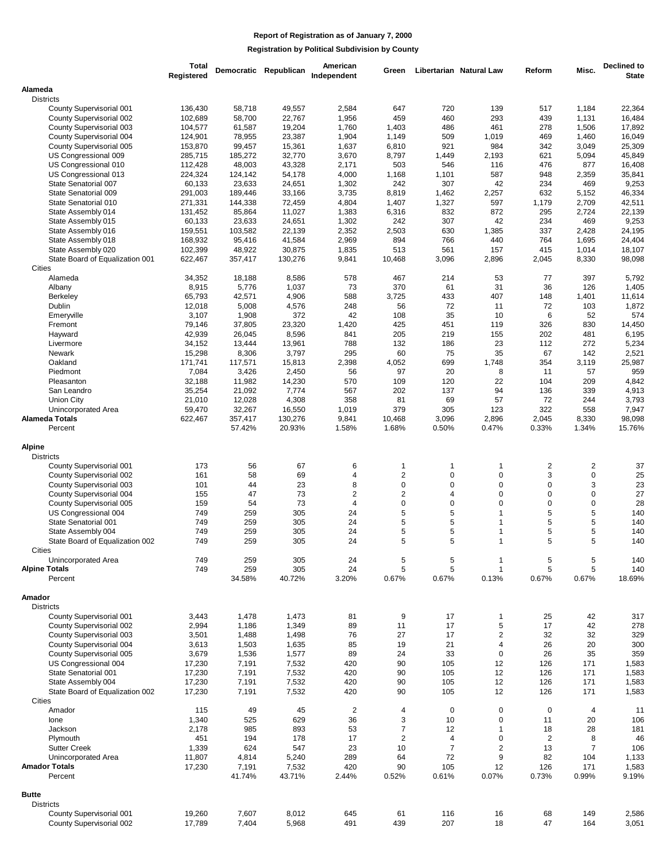|                                           | Total      |         | Democratic Republican | American       | Green                   |                | Libertarian Natural Law | Reform         | Misc.          | <b>Declined to</b> |
|-------------------------------------------|------------|---------|-----------------------|----------------|-------------------------|----------------|-------------------------|----------------|----------------|--------------------|
|                                           | Registered |         |                       | Independent    |                         |                |                         |                |                | <b>State</b>       |
| Alameda                                   |            |         |                       |                |                         |                |                         |                |                |                    |
| <b>Districts</b>                          |            |         |                       |                |                         |                |                         |                |                |                    |
| County Supervisorial 001                  | 136,430    | 58,718  | 49,557                | 2,584          | 647                     | 720            | 139                     | 517            | 1,184          | 22,364             |
| County Supervisorial 002                  | 102,689    | 58,700  | 22,767                | 1,956          | 459                     | 460            | 293                     | 439            | 1,131          | 16,484             |
| County Supervisorial 003                  | 104,577    | 61,587  | 19,204                | 1,760          | 1,403                   | 486            | 461                     | 278            | 1,506          | 17,892             |
| County Supervisorial 004                  | 124,901    | 78,955  | 23,387                | 1,904          | 1,149                   | 509            | 1,019                   | 469            | 1,460          | 16,049             |
| County Supervisorial 005                  | 153,870    | 99,457  | 15,361                | 1,637          | 6,810                   | 921            | 984                     | 342            | 3,049          | 25,309             |
| US Congressional 009                      | 285,715    | 185,272 | 32,770                | 3,670          | 8,797                   | 1,449          | 2,193                   | 621            | 5,094          | 45,849             |
| US Congressional 010                      | 112,428    | 48,003  | 43,328                | 2,171          | 503                     | 546            | 116                     | 476            | 877            | 16,408             |
| US Congressional 013                      | 224,324    | 124,142 | 54,178                | 4,000          | 1,168                   | 1,101          | 587                     | 948            | 2,359          | 35,841             |
| State Senatorial 007                      | 60,133     | 23,633  | 24,651                | 1,302          | 242                     | 307            | 42                      | 234            | 469            | 9,253              |
| State Senatorial 009                      | 291,003    | 189,446 | 33,166                | 3,735          | 8,819                   | 1,462          | 2,257                   | 632            | 5,152          | 46,334             |
| State Senatorial 010                      | 271,331    | 144,338 | 72,459                | 4,804          | 1,407                   | 1,327          | 597                     | 1,179          | 2,709          | 42,511             |
| State Assembly 014                        | 131,452    | 85,864  | 11,027                | 1,383          | 6,316                   | 832            | 872                     | 295            | 2,724          | 22,139             |
| State Assembly 015                        | 60,133     | 23,633  | 24,651                | 1,302          | 242                     | 307            | 42                      | 234            | 469            | 9,253              |
| State Assembly 016                        | 159,551    | 103,582 | 22,139                | 2,352          | 2,503                   | 630            | 1,385                   | 337            | 2,428          | 24,195             |
| State Assembly 018                        | 168,932    | 95,416  | 41,584                | 2,969          | 894                     | 766            | 440                     | 764            | 1,695          | 24,404             |
| State Assembly 020                        | 102,399    | 48,922  | 30,875                | 1,835          | 513                     | 561            | 157                     | 415            | 1,014          | 18,107             |
| State Board of Equalization 001<br>Cities | 622,467    | 357,417 | 130,276               | 9,841          | 10,468                  | 3,096          | 2,896                   | 2,045          | 8,330          | 98,098             |
| Alameda                                   | 34,352     | 18,188  | 8,586                 | 578            | 467                     | 214            | 53                      | 77             | 397            | 5,792              |
| Albany                                    | 8,915      | 5,776   | 1,037                 | 73             | 370                     | 61             | 31                      | 36             | 126            | 1,405              |
| Berkeley                                  | 65,793     | 42,571  | 4,906                 | 588            | 3,725                   | 433            | 407                     | 148            | 1,401          | 11,614             |
| Dublin                                    | 12,018     | 5,008   | 4,576                 | 248            | 56                      | 72             | 11                      | 72             | 103            | 1,872              |
| Emeryville                                | 3,107      | 1,908   | 372                   | 42             | 108                     | 35             | 10                      | 6              | 52             | 574                |
| Fremont                                   | 79,146     | 37,805  | 23,320                | 1,420          | 425                     | 451            | 119                     | 326            | 830            | 14,450             |
| Hayward                                   | 42,939     | 26,045  | 8,596                 | 841            | 205                     | 219            | 155                     | 202            | 481            | 6,195              |
| Livermore                                 | 34,152     | 13,444  | 13,961                | 788            | 132                     | 186            | 23                      | 112            | 272            | 5,234              |
| <b>Newark</b>                             | 15,298     | 8,306   | 3,797                 | 295            | 60                      | 75             | 35                      | 67             | 142            | 2,521              |
| Oakland                                   | 171,741    | 117,571 | 15,813                | 2,398          | 4,052                   | 699            | 1,748                   | 354            | 3,119          | 25,987             |
| Piedmont                                  | 7,084      | 3,426   | 2,450                 | 56             | 97                      | 20             | 8                       | 11             | 57             | 959                |
| Pleasanton                                | 32,188     | 11,982  | 14,230                | 570            | 109                     | 120            | 22                      | 104            | 209            | 4,842              |
| San Leandro                               | 35,254     | 21,092  | 7,774                 | 567            | 202                     | 137            | 94                      | 136            | 339            | 4,913              |
| Union City                                | 21,010     | 12,028  | 4,308                 | 358            | 81                      | 69             | 57                      | 72             | 244            | 3,793              |
| <b>Unincorporated Area</b>                | 59,470     | 32,267  | 16,550                | 1,019          | 379                     | 305            | 123                     | 322            | 558            | 7,947              |
| <b>Alameda Totals</b>                     | 622,467    | 357,417 | 130,276               | 9,841          | 10,468                  | 3,096          | 2,896                   | 2,045          | 8,330          | 98,098             |
| Percent                                   |            | 57.42%  | 20.93%                | 1.58%          | 1.68%                   | 0.50%          | 0.47%                   | 0.33%          | 1.34%          | 15.76%             |
|                                           |            |         |                       |                |                         |                |                         |                |                |                    |
| <b>Alpine</b>                             |            |         |                       |                |                         |                |                         |                |                |                    |
| <b>Districts</b>                          |            |         |                       |                |                         |                |                         |                |                |                    |
| County Supervisorial 001                  | 173        | 56      | 67                    | 6              | 1                       | 1              | 1                       | 2              | $\overline{2}$ | 37                 |
| County Supervisorial 002                  | 161        | 58      | 69                    | 4              | $\overline{\mathbf{c}}$ | 0              | 0                       | 3              | $\pmb{0}$      | 25                 |
| County Supervisorial 003                  | 101        | 44      | 23                    | 8              | 0                       | $\mathbf 0$    | 0                       | 0              | 3              | 23                 |
| County Supervisorial 004                  | 155        | 47      | 73                    | 2              | $\overline{\mathbf{c}}$ | 4              | 0                       | 0              | $\mathbf 0$    | 27                 |
| County Supervisorial 005                  | 159        | 54      | 73                    | $\overline{4}$ | 0                       | 0              | 0                       | 0              | $\mathbf 0$    | 28                 |
| US Congressional 004                      | 749        | 259     | 305                   | 24             | 5                       | 5              | 1                       | 5              | 5              | 140                |
| State Senatorial 001                      | 749        | 259     | 305                   | 24             | 5                       | 5              | 1                       | 5              | 5              | 140                |
| State Assembly 004                        | 749        | 259     | 305                   | 24             | 5                       | 5              | 1                       | 5              | 5              | 140                |
| State Board of Equalization 002           | 749        | 259     | 305                   | 24             | 5                       | 5              | $\mathbf{1}$            | 5              | 5              | 140                |
| Cities                                    |            |         |                       |                |                         |                |                         |                |                |                    |
| Unincorporated Area                       | 749        | 259     | 305                   | 24             | 5                       | 5              | 1                       | 5              | 5              | 140                |
| <b>Alpine Totals</b>                      | 749        | 259     | 305                   | 24             | 5                       | 5              | 1                       | 5              | 5              | 140                |
| Percent                                   |            | 34.58%  | 40.72%                | 3.20%          | 0.67%                   | 0.67%          | 0.13%                   | 0.67%          | 0.67%          | 18.69%             |
| Amador                                    |            |         |                       |                |                         |                |                         |                |                |                    |
| <b>Districts</b>                          |            |         |                       |                |                         |                |                         |                |                |                    |
| County Supervisorial 001                  | 3,443      | 1,478   | 1,473                 | 81             | 9                       | 17             | 1                       | 25             | 42             | 317                |
| County Supervisorial 002                  | 2,994      | 1,186   | 1,349                 | 89             | 11                      | 17             | 5                       | 17             | 42             | 278                |
| County Supervisorial 003                  | 3,501      | 1,488   | 1,498                 | 76             | 27                      | 17             | $\overline{c}$          | 32             | 32             | 329                |
| County Supervisorial 004                  | 3,613      | 1,503   | 1,635                 | 85             | 19                      | 21             | 4                       | 26             | 20             | 300                |
| County Supervisorial 005                  | 3,679      | 1,536   | 1,577                 | 89             | 24                      | 33             | 0                       | 26             | 35             | 359                |
| US Congressional 004                      | 17,230     | 7,191   | 7,532                 | 420            | 90                      | 105            | 12                      | 126            | 171            | 1,583              |
| State Senatorial 001                      | 17,230     | 7,191   | 7,532                 | 420            | 90                      | 105            | 12                      | 126            | 171            | 1,583              |
| State Assembly 004                        | 17,230     | 7,191   | 7,532                 | 420            | 90                      | 105            | 12                      | 126            | 171            | 1,583              |
| State Board of Equalization 002           | 17,230     | 7,191   | 7,532                 | 420            | 90                      | 105            | 12                      | 126            | 171            | 1,583              |
| Cities                                    |            |         |                       |                |                         |                |                         |                |                |                    |
| Amador                                    | 115        | 49      | 45                    | 2              | 4                       | 0              | 0                       | 0              | 4              | 11                 |
| lone                                      | 1,340      | 525     | 629                   | 36             | 3                       | 10             | 0                       | 11             | 20             | 106                |
| Jackson                                   | 2,178      | 985     | 893                   | 53             | $\overline{7}$          | 12             | 1                       | 18             | 28             | 181                |
| Plymouth                                  | 451        | 194     | 178                   | 17             | 2                       | 4              | 0                       | $\overline{2}$ | 8              | 46                 |
| <b>Sutter Creek</b>                       | 1,339      | 624     | 547                   | 23             | 10                      | $\overline{7}$ | $\overline{\mathbf{c}}$ | 13             | $\overline{7}$ | 106                |
| Unincorporated Area                       | 11,807     | 4,814   | 5,240                 | 289            | 64                      | 72             | 9                       | 82             | 104            | 1,133              |
| <b>Amador Totals</b>                      | 17,230     | 7,191   | 7,532                 | 420            | 90                      | 105            | 12                      | 126            | 171            | 1,583              |
| Percent                                   |            | 41.74%  | 43.71%                | 2.44%          | 0.52%                   | 0.61%          | 0.07%                   | 0.73%          | 0.99%          | 9.19%              |
|                                           |            |         |                       |                |                         |                |                         |                |                |                    |
| <b>Butte</b>                              |            |         |                       |                |                         |                |                         |                |                |                    |
| <b>Districts</b>                          |            |         |                       |                |                         |                |                         |                |                |                    |
| County Supervisorial 001                  | 19,260     | 7,607   | 8,012                 | 645            | 61                      | 116            | 16                      | 68             | 149            | 2,586              |
| County Supervisorial 002                  | 17,789     | 7,404   | 5,968                 | 491            | 439                     | 207            | 18                      | 47             | 164            | 3,051              |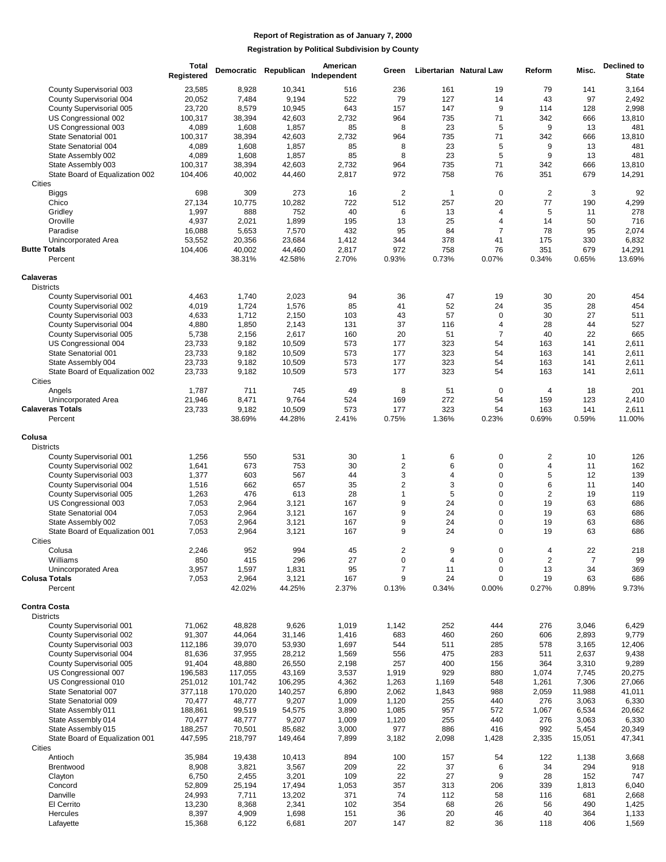|                                             | <b>Total</b><br>Registered |                 | Democratic Republican | American<br>Independent | Green          |                | Libertarian Natural Law | Reform         | Misc.          | Declined to<br><b>State</b> |
|---------------------------------------------|----------------------------|-----------------|-----------------------|-------------------------|----------------|----------------|-------------------------|----------------|----------------|-----------------------------|
| County Supervisorial 003                    | 23,585                     | 8,928           | 10,341                | 516                     | 236            | 161            | 19                      | 79             | 141            | 3,164                       |
| County Supervisorial 004                    | 20,052                     | 7,484           | 9,194                 | 522                     | 79             | 127            | 14                      | 43             | 97             | 2,492                       |
| County Supervisorial 005                    | 23,720                     | 8,579           | 10,945                | 643                     | 157            | 147            | 9                       | 114            | 128            | 2,998                       |
| US Congressional 002                        | 100,317                    | 38,394          | 42,603                | 2,732                   | 964            | 735            | 71                      | 342            | 666            | 13,810                      |
| US Congressional 003                        | 4,089                      | 1,608           | 1,857                 | 85                      | 8              | 23             | 5                       | 9              | 13             | 481                         |
| State Senatorial 001                        | 100,317                    | 38,394          | 42,603                | 2,732                   | 964            | 735            | 71                      | 342            | 666            | 13,810                      |
| State Senatorial 004                        | 4,089                      | 1,608           | 1,857                 | 85                      | 8              | 23             | 5                       | 9              | 13             | 481                         |
| State Assembly 002                          | 4,089                      | 1,608           | 1,857                 | 85                      | 8              | 23             | 5                       | 9              | 13             | 481                         |
| State Assembly 003                          | 100,317                    | 38,394          | 42,603                | 2,732                   | 964            | 735            | 71                      | 342            | 666            | 13,810                      |
| State Board of Equalization 002             | 104,406                    | 40,002          | 44,460                | 2,817                   | 972            | 758            | 76                      | 351            | 679            | 14,291                      |
| Cities                                      | 698                        | 309             | 273                   | 16                      | $\overline{2}$ | $\overline{1}$ | $\mathbf 0$             | $\overline{2}$ | 3              | 92                          |
| <b>Biggs</b><br>Chico                       | 27,134                     | 10,775          | 10,282                | 722                     | 512            | 257            | 20                      | 77             | 190            | 4,299                       |
| Gridley                                     | 1,997                      | 888             | 752                   | 40                      | 6              | 13             | 4                       | 5              | 11             | 278                         |
| Oroville                                    | 4,937                      | 2,021           | 1,899                 | 195                     | 13             | 25             | 4                       | 14             | 50             | 716                         |
| Paradise                                    | 16,088                     | 5,653           | 7,570                 | 432                     | 95             | 84             | $\overline{7}$          | 78             | 95             | 2,074                       |
| Unincorporated Area                         | 53,552                     | 20,356          | 23,684                | 1,412                   | 344            | 378            | 41                      | 175            | 330            | 6,832                       |
| <b>Butte Totals</b>                         | 104,406                    | 40,002          | 44,460                | 2,817                   | 972            | 758            | 76                      | 351            | 679            | 14,291                      |
| Percent                                     |                            | 38.31%          | 42.58%                | 2.70%                   | 0.93%          | 0.73%          | 0.07%                   | 0.34%          | 0.65%          | 13.69%                      |
|                                             |                            |                 |                       |                         |                |                |                         |                |                |                             |
| <b>Calaveras</b>                            |                            |                 |                       |                         |                |                |                         |                |                |                             |
| <b>Districts</b>                            |                            |                 |                       |                         |                |                |                         |                |                |                             |
| County Supervisorial 001                    | 4,463                      | 1,740           | 2,023                 | 94                      | 36             | 47             | 19                      | 30             | 20             | 454                         |
| County Supervisorial 002                    | 4,019                      | 1,724           | 1,576                 | 85                      | 41             | 52             | 24                      | 35             | 28             | 454                         |
| County Supervisorial 003                    | 4,633                      | 1,712           | 2,150                 | 103                     | 43             | 57             | $\mathbf 0$             | 30             | 27             | 511                         |
| County Supervisorial 004                    | 4,880                      | 1,850           | 2,143                 | 131                     | 37             | 116            | $\overline{4}$          | 28             | 44             | 527                         |
| County Supervisorial 005                    | 5,738                      | 2,156           | 2,617                 | 160                     | 20             | 51             | $\overline{7}$          | 40             | 22             | 665                         |
| US Congressional 004                        | 23,733                     | 9,182           | 10,509                | 573                     | 177            | 323            | 54                      | 163            | 141            | 2,611                       |
| State Senatorial 001                        | 23,733                     | 9,182           | 10,509                | 573                     | 177            | 323            | 54                      | 163            | 141            | 2,611                       |
| State Assembly 004                          | 23,733                     | 9,182           | 10,509                | 573                     | 177            | 323            | 54                      | 163            | 141            | 2,611                       |
| State Board of Equalization 002             | 23,733                     | 9,182           | 10,509                | 573                     | 177            | 323            | 54                      | 163            | 141            | 2,611                       |
| Cities                                      |                            | 711             |                       | 49                      | 8              | 51             | $\mathbf 0$             |                |                |                             |
| Angels<br>Unincorporated Area               | 1,787<br>21,946            | 8,471           | 745<br>9,764          | 524                     | 169            | 272            | 54                      | 4<br>159       | 18<br>123      | 201<br>2,410                |
| <b>Calaveras Totals</b>                     | 23,733                     | 9,182           | 10,509                | 573                     | 177            | 323            | 54                      | 163            | 141            | 2,611                       |
| Percent                                     |                            | 38.69%          | 44.28%                | 2.41%                   | 0.75%          | 1.36%          | 0.23%                   | 0.69%          | 0.59%          | 11.00%                      |
|                                             |                            |                 |                       |                         |                |                |                         |                |                |                             |
| Colusa                                      |                            |                 |                       |                         |                |                |                         |                |                |                             |
| <b>Districts</b>                            |                            |                 |                       |                         |                |                |                         |                |                |                             |
| County Supervisorial 001                    | 1,256                      | 550             | 531                   | 30                      | $\mathbf{1}$   | 6              | $\mathbf 0$             | $\overline{2}$ | 10             | 126                         |
| County Supervisorial 002                    | 1,641                      | 673             | 753                   | 30                      | $\overline{2}$ | 6              | $\mathbf 0$             | 4              | 11             | 162                         |
| County Supervisorial 003                    | 1,377                      | 603             | 567                   | 44                      | 3              | 4              | $\mathbf 0$             | 5              | 12             | 139                         |
| County Supervisorial 004                    | 1,516                      | 662             | 657                   | 35                      | $\overline{2}$ | 3              | $\mathbf 0$             | 6              | 11             | 140                         |
| County Supervisorial 005                    | 1,263                      | 476             | 613                   | 28                      | $\mathbf{1}$   | 5              | $\mathbf 0$             | $\overline{2}$ | 19             | 119                         |
| US Congressional 003                        | 7,053                      | 2,964           | 3,121                 | 167                     | 9              | 24             | $\mathbf 0$             | 19             | 63             | 686                         |
| State Senatorial 004                        | 7,053                      | 2,964           | 3,121                 | 167                     | 9              | 24             | $\mathbf 0$             | 19             | 63             | 686                         |
| State Assembly 002                          | 7,053                      | 2,964           | 3,121                 | 167                     | 9              | 24             | $\mathbf 0$             | 19             | 63             | 686                         |
| State Board of Equalization 001             | 7,053                      | 2,964           | 3,121                 | 167                     | 9              | 24             | $\mathbf 0$             | 19             | 63             | 686                         |
| Cities                                      |                            |                 |                       |                         |                |                |                         |                |                |                             |
| Colusa                                      | 2,246                      | 952             | 994                   | 45                      | 2              | 9              | 0                       | 4              | 22             | 218                         |
| Williams                                    | 850                        | 415             | 296                   | 27                      | $\mathbf 0$    | 4              | $\mathbf 0$             | $\overline{2}$ | $\overline{7}$ | 99                          |
| Unincorporated Area<br><b>Colusa Totals</b> | 3,957                      | 1,597           | 1,831                 | 95                      | $\overline{7}$ | 11             | $\mathbf 0$             | 13             | 34             | 369                         |
| Percent                                     | 7,053                      | 2,964<br>42.02% | 3,121<br>44.25%       | 167<br>2.37%            | 9<br>0.13%     | 24<br>0.34%    | $\mathbf 0$<br>0.00%    | 19<br>0.27%    | 63<br>0.89%    | 686<br>9.73%                |
|                                             |                            |                 |                       |                         |                |                |                         |                |                |                             |
| <b>Contra Costa</b>                         |                            |                 |                       |                         |                |                |                         |                |                |                             |
| <b>Districts</b>                            |                            |                 |                       |                         |                |                |                         |                |                |                             |
| County Supervisorial 001                    | 71,062                     | 48,828          | 9,626                 | 1,019                   | 1,142          | 252            | 444                     | 276            | 3,046          | 6,429                       |
| County Supervisorial 002                    | 91,307                     | 44,064          | 31,146                | 1,416                   | 683            | 460            | 260                     | 606            | 2,893          | 9,779                       |
| County Supervisorial 003                    | 112,186                    | 39,070          | 53,930                | 1,697                   | 544            | 511            | 285                     | 578            | 3,165          | 12,406                      |
| County Supervisorial 004                    | 81,636                     | 37,955          | 28,212                | 1,569                   | 556            | 475            | 283                     | 511            | 2,637          | 9,438                       |
| County Supervisorial 005                    | 91,404                     | 48,880          | 26,550                | 2,198                   | 257            | 400            | 156                     | 364            | 3,310          | 9,289                       |
| US Congressional 007                        | 196,583                    | 117,055         | 43,169                | 3,537                   | 1,919          | 929            | 880                     | 1,074          | 7,745          | 20,275                      |
| US Congressional 010                        | 251,012                    | 101,742         | 106,295               | 4,362                   | 1,263          | 1,169          | 548                     | 1,261          | 7,306          | 27,066                      |
| State Senatorial 007                        | 377,118                    | 170,020         | 140,257               | 6,890                   | 2,062          | 1,843          | 988                     | 2,059          | 11,988         | 41,011                      |
| State Senatorial 009                        | 70,477                     | 48,777          | 9,207                 | 1,009                   | 1,120          | 255            | 440                     | 276            | 3,063          | 6,330                       |
| State Assembly 011                          | 188,861                    | 99,519          | 54,575                | 3,890                   | 1,085          | 957            | 572                     | 1,067          | 6,534          | 20,662                      |
| State Assembly 014                          | 70,477                     | 48,777          | 9,207                 | 1,009                   | 1,120          | 255            | 440                     | 276            | 3,063          | 6,330                       |
| State Assembly 015                          | 188,257                    | 70,501          | 85,682                | 3,000                   | 977            | 886            | 416                     | 992            | 5,454          | 20,349                      |
| State Board of Equalization 001             | 447,595                    | 218,797         | 149,464               | 7,899                   | 3,182          | 2,098          | 1,428                   | 2,335          | 15,051         | 47,341                      |
| Cities                                      |                            |                 |                       |                         |                |                |                         |                |                |                             |
| Antioch                                     | 35,984                     | 19,438          | 10,413                | 894                     | 100            | 157            | 54                      | 122            | 1,138          | 3,668                       |
| Brentwood                                   | 8,908                      | 3,821           | 3,567                 | 209                     | 22             | 37             | 6                       | 34             | 294            | 918                         |
| Clayton                                     | 6,750                      | 2,455           | 3,201                 | 109                     | 22             | 27             | 9                       | 28             | 152            | 747                         |
| Concord<br>Danville                         | 52,809<br>24,993           | 25,194          | 17,494<br>13,202      | 1,053<br>371            | 357            | 313            | 206                     | 339            | 1,813          | 6,040<br>2,668              |
| El Cerrito                                  | 13,230                     | 7,711<br>8,368  | 2,341                 | 102                     | 74<br>354      | 112<br>68      | 58<br>26                | 116<br>56      | 681<br>490     | 1,425                       |
| Hercules                                    | 8,397                      | 4,909           | 1,698                 | 151                     | 36             | 20             | 46                      | 40             | 364            | 1,133                       |
| Lafayette                                   | 15,368                     | 6,122           | 6,681                 | 207                     | 147            | 82             | 36                      | 118            | 406            | 1,569                       |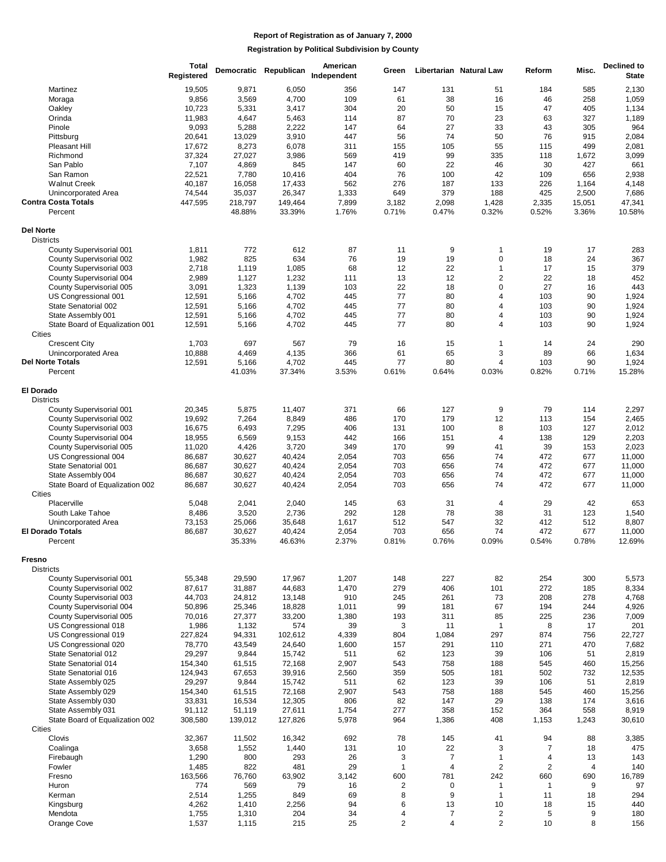|                                                       | <b>Total</b><br>Registered |                  | Democratic Republican | American<br>Independent | Green          |                | <b>Libertarian Natural Law</b> | Reform         | Misc.       | <b>Declined to</b><br><b>State</b> |
|-------------------------------------------------------|----------------------------|------------------|-----------------------|-------------------------|----------------|----------------|--------------------------------|----------------|-------------|------------------------------------|
|                                                       |                            |                  |                       | 356                     | 147            |                |                                | 184            | 585         | 2,130                              |
| Martinez                                              | 19,505<br>9,856            | 9,871<br>3,569   | 6,050<br>4,700        | 109                     | 61             | 131<br>38      | 51<br>16                       | 46             | 258         | 1,059                              |
| Moraga<br>Oakley                                      | 10,723                     | 5,331            | 3,417                 | 304                     | 20             | 50             | 15                             | 47             | 405         | 1,134                              |
| Orinda                                                | 11,983                     | 4,647            | 5,463                 | 114                     | 87             | 70             | 23                             | 63             | 327         | 1,189                              |
| Pinole                                                | 9,093                      | 5,288            | 2,222                 | 147                     | 64             | 27             | 33                             | 43             | 305         | 964                                |
| Pittsburg                                             | 20,641                     | 13,029           | 3,910                 | 447                     | 56             | 74             | 50                             | 76             | 915         | 2,084                              |
| Pleasant Hill                                         | 17,672                     | 8,273            | 6,078                 | 311                     | 155            | 105            | 55                             | 115            | 499         | 2,081                              |
| Richmond                                              | 37,324                     | 27,027           | 3,986                 | 569                     | 419            | 99             | 335                            | 118            | 1,672       | 3,099                              |
| San Pablo                                             | 7,107                      | 4,869            | 845                   | 147                     | 60             | 22             | 46                             | 30             | 427         | 661                                |
| San Ramon                                             | 22,521                     | 7,780            | 10,416                | 404                     | 76             | 100            | 42                             | 109            | 656         | 2,938                              |
| <b>Walnut Creek</b>                                   | 40,187                     | 16,058           | 17,433                | 562                     | 276            | 187            | 133                            | 226            | 1,164       | 4,148                              |
| <b>Unincorporated Area</b>                            | 74,544                     | 35,037           | 26,347                | 1,333                   | 649            | 379            | 188                            | 425            | 2,500       | 7,686                              |
| <b>Contra Costa Totals</b>                            | 447,595                    | 218,797          | 149,464               | 7,899                   | 3,182          | 2,098          | 1,428                          | 2,335          | 15,051      | 47,341                             |
| Percent                                               |                            | 48.88%           | 33.39%                | 1.76%                   | 0.71%          | 0.47%          | 0.32%                          | 0.52%          | 3.36%       | 10.58%                             |
| <b>Del Norte</b>                                      |                            |                  |                       |                         |                |                |                                |                |             |                                    |
| <b>Districts</b>                                      |                            |                  |                       |                         |                |                |                                |                |             |                                    |
| County Supervisorial 001                              | 1,811                      | 772              | 612                   | 87                      | 11             | 9              | 1                              | 19             | 17          | 283                                |
| County Supervisorial 002                              | 1,982                      | 825              | 634                   | 76                      | 19             | 19             | $\mathbf 0$                    | 18             | 24          | 367                                |
| County Supervisorial 003                              | 2,718                      | 1,119            | 1,085                 | 68                      | 12             | 22             | $\mathbf{1}$                   | 17             | 15          | 379                                |
| County Supervisorial 004                              | 2,989                      | 1,127            | 1,232                 | 111                     | 13             | 12             | 2                              | 22             | 18          | 452                                |
| County Supervisorial 005                              | 3,091                      | 1,323            | 1,139                 | 103                     | 22             | 18             | 0                              | 27             | 16          | 443                                |
| US Congressional 001                                  | 12,591                     | 5,166            | 4,702                 | 445                     | 77             | 80             | 4                              | 103            | 90          | 1,924                              |
| State Senatorial 002                                  | 12,591                     | 5,166            | 4,702                 | 445                     | 77             | 80             | 4                              | 103            | 90          | 1,924                              |
| State Assembly 001                                    | 12,591                     | 5,166            | 4,702                 | 445                     | 77             | 80             | 4                              | 103            | 90          | 1,924                              |
| State Board of Equalization 001                       | 12,591                     | 5,166            | 4,702                 | 445                     | 77             | 80             | $\overline{4}$                 | 103            | 90          | 1,924                              |
| Cities                                                |                            |                  |                       |                         |                |                |                                |                |             |                                    |
| <b>Crescent City</b>                                  | 1,703                      | 697              | 567                   | 79                      | 16             | 15             | 1                              | 14             | 24          | 290                                |
| <b>Unincorporated Area</b>                            | 10,888                     | 4,469            | 4,135                 | 366                     | 61             | 65             | 3                              | 89             | 66          | 1,634                              |
| <b>Del Norte Totals</b><br>Percent                    | 12,591                     | 5,166<br>41.03%  | 4,702<br>37.34%       | 445<br>3.53%            | 77<br>0.61%    | 80<br>0.64%    | 4<br>0.03%                     | 103<br>0.82%   | 90<br>0.71% | 1,924<br>15.28%                    |
|                                                       |                            |                  |                       |                         |                |                |                                |                |             |                                    |
| <b>El Dorado</b>                                      |                            |                  |                       |                         |                |                |                                |                |             |                                    |
| <b>Districts</b>                                      |                            |                  |                       |                         |                |                |                                |                |             |                                    |
| County Supervisorial 001                              | 20,345                     | 5,875            | 11,407                | 371                     | 66             | 127            | 9                              | 79             | 114         | 2,297                              |
| County Supervisorial 002                              | 19,692                     | 7,264            | 8,849                 | 486                     | 170            | 179            | 12                             | 113            | 154         | 2,465                              |
| County Supervisorial 003                              | 16,675                     | 6,493            | 7,295                 | 406                     | 131            | 100            | 8                              | 103            | 127         | 2,012                              |
| County Supervisorial 004                              | 18,955                     | 6,569            | 9,153                 | 442                     | 166            | 151            | $\overline{4}$                 | 138            | 129         | 2,203                              |
| County Supervisorial 005                              | 11,020                     | 4,426            | 3,720                 | 349                     | 170            | 99             | 41                             | 39             | 153         | 2,023                              |
| US Congressional 004                                  | 86,687                     | 30,627           | 40,424                | 2,054                   | 703            | 656            | 74                             | 472            | 677         | 11,000                             |
| State Senatorial 001                                  | 86,687                     | 30,627           | 40,424                | 2,054                   | 703            | 656            | 74                             | 472            | 677         | 11,000                             |
| State Assembly 004<br>State Board of Equalization 002 | 86,687<br>86,687           | 30,627<br>30,627 | 40,424<br>40,424      | 2,054<br>2,054          | 703<br>703     | 656<br>656     | 74<br>74                       | 472<br>472     | 677<br>677  | 11,000<br>11,000                   |
| Cities                                                |                            |                  |                       |                         |                |                |                                |                |             |                                    |
| Placerville                                           | 5,048                      | 2,041            | 2,040                 | 145                     | 63             | 31             | 4                              | 29             | 42          | 653                                |
| South Lake Tahoe                                      | 8,486                      | 3,520            | 2,736                 | 292                     | 128            | 78             | 38                             | 31             | 123         | 1,540                              |
| <b>Unincorporated Area</b>                            | 73,153                     | 25,066           | 35,648                | 1,617                   | 512            | 547            | 32                             | 412            | 512         | 8,807                              |
| <b>El Dorado Totals</b>                               | 86,687                     | 30,627           | 40,424                | 2,054                   | 703            | 656            | 74                             | 472            | 677         | 11,000                             |
| Percent                                               |                            | 35.33%           | 46.63%                | 2.37%                   | 0.81%          | 0.76%          | 0.09%                          | 0.54%          | 0.78%       | 12.69%                             |
| Fresno                                                |                            |                  |                       |                         |                |                |                                |                |             |                                    |
| <b>Districts</b>                                      |                            |                  |                       |                         |                |                |                                |                |             |                                    |
| County Supervisorial 001                              | 55,348                     | 29,590           | 17,967                | 1,207                   | 148            | 227            | 82                             | 254            | 300         | 5,573                              |
| County Supervisorial 002                              | 87,617                     | 31,887           | 44,683                | 1,470                   | 279            | 406            | 101                            | 272            | 185         | 8,334                              |
| County Supervisorial 003                              | 44,703                     | 24,812           | 13,148                | 910                     | 245            | 261            | 73                             | 208            | 278         | 4,768                              |
| County Supervisorial 004                              | 50,896                     | 25,346           | 18,828                | 1,011                   | 99             | 181            | 67                             | 194            | 244         | 4,926                              |
| County Supervisorial 005                              | 70,016                     | 27,377           | 33,200                | 1,380                   | 193            | 311            | 85                             | 225            | 236         | 7,009                              |
| US Congressional 018                                  | 1,986                      | 1,132            | 574                   | 39                      | 3              | 11             | $\mathbf{1}$                   | 8              | 17          | 201                                |
| US Congressional 019                                  | 227,824                    | 94,331           | 102,612               | 4,339                   | 804            | 1,084          | 297                            | 874            | 756         | 22,727                             |
| US Congressional 020                                  | 78,770                     | 43,549           | 24,640                | 1,600                   | 157            | 291            | 110                            | 271            | 470         | 7,682                              |
| State Senatorial 012                                  | 29,297                     | 9,844            | 15,742                | 511                     | 62             | 123            | 39                             | 106            | 51          | 2,819                              |
| State Senatorial 014                                  | 154,340                    | 61,515           | 72,168                | 2,907                   | 543            | 758            | 188                            | 545            | 460         | 15,256                             |
| State Senatorial 016                                  | 124,943                    | 67,653           | 39,916                | 2,560                   | 359            | 505            | 181                            | 502            | 732         | 12,535                             |
| State Assembly 025                                    | 29,297                     | 9,844            | 15,742                | 511                     | 62             | 123            | 39                             | 106            | 51          | 2,819                              |
| State Assembly 029                                    | 154,340                    | 61,515           | 72,168                | 2,907                   | 543            | 758            | 188                            | 545            | 460         | 15,256                             |
| State Assembly 030                                    | 33,831                     | 16,534           | 12,305                | 806                     | 82             | 147            | 29                             | 138            | 174         | 3,616                              |
| State Assembly 031                                    | 91,112                     | 51,119           | 27,611                | 1,754                   | 277            | 358            | 152                            | 364            | 558         | 8,919                              |
| State Board of Equalization 002                       | 308,580                    | 139,012          | 127,826               | 5,978                   | 964            | 1,386          | 408                            | 1,153          | 1,243       | 30,610                             |
| Cities<br>Clovis                                      | 32,367                     | 11,502           | 16,342                | 692                     | 78             | 145            | 41                             | 94             | 88          | 3,385                              |
| Coalinga                                              | 3,658                      | 1,552            | 1,440                 | 131                     | 10             | 22             | 3                              | $\overline{7}$ | 18          | 475                                |
| Firebaugh                                             | 1,290                      | 800              | 293                   | 26                      | 3              | $\overline{7}$ | $\mathbf{1}$                   | 4              | 13          | 143                                |
| Fowler                                                | 1,485                      | 822              | 481                   | 29                      | $\mathbf{1}$   | 4              | 2                              | $\overline{2}$ | 4           | 140                                |
| Fresno                                                | 163,566                    | 76,760           | 63,902                | 3,142                   | 600            | 781            | 242                            | 660            | 690         | 16,789                             |
| Huron                                                 | 774                        | 569              | 79                    | 16                      | $\overline{2}$ | 0              | 1                              | $\mathbf{1}$   | 9           | 97                                 |
| Kerman                                                | 2,514                      | 1,255            | 849                   | 69                      | 8              | 9              | $\mathbf{1}$                   | 11             | 18          | 294                                |
| Kingsburg                                             | 4,262                      | 1,410            | 2,256                 | 94                      | 6              | 13             | 10                             | 18             | 15          | 440                                |
| Mendota                                               | 1,755                      | 1,310            | 204                   | 34                      | 4              | $\overline{7}$ | $\overline{c}$                 | 5              | 9           | 180                                |
| Orange Cove                                           | 1,537                      | 1,115            | 215                   | 25                      | $\overline{2}$ | $\overline{4}$ | $\overline{2}$                 | 10             | 8           | 156                                |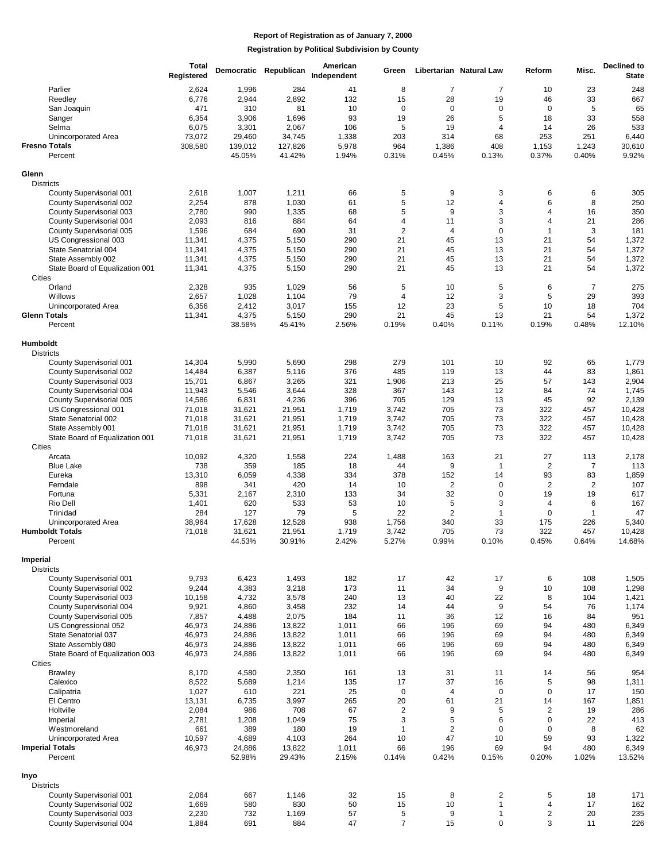|                                               | <b>Total</b><br>Registered |                  | Democratic Republican | American<br>Independent | Green            |                | Libertarian Natural Law | Reform         | Misc.                | <b>Declined to</b><br><b>State</b> |
|-----------------------------------------------|----------------------------|------------------|-----------------------|-------------------------|------------------|----------------|-------------------------|----------------|----------------------|------------------------------------|
| Parlier                                       | 2,624                      | 1,996            | 284                   | 41                      | 8                | $\overline{7}$ | $\overline{7}$          | 10             | 23                   | 248                                |
| Reedley                                       | 6,776                      | 2,944            | 2,892                 | 132                     | 15               | 28             | 19                      | 46             | 33                   | 667                                |
| San Joaquin                                   | 471                        | 310              | 81                    | 10                      | 0                | $\mathbf 0$    | 0                       | 0              | 5                    | 65                                 |
| Sanger                                        | 6,354                      | 3,906            | 1,696                 | 93                      | 19               | 26             | 5                       | 18             | 33                   | 558                                |
| Selma                                         | 6,075                      | 3,301            | 2,067                 | 106                     | 5                | 19             | 4                       | 14             | 26                   | 533                                |
| Unincorporated Area                           | 73,072                     | 29,460           | 34,745                | 1,338                   | 203              | 314            | 68                      | 253            | 251                  | 6,440                              |
| <b>Fresno Totals</b>                          | 308,580                    | 139,012          | 127,826               | 5,978                   | 964              | 1,386          | 408                     | 1,153          | 1,243                | 30,610                             |
| Percent                                       |                            | 45.05%           | 41.42%                | 1.94%                   | 0.31%            | 0.45%          | 0.13%                   | 0.37%          | 0.40%                | 9.92%                              |
| Glenn<br><b>Districts</b>                     |                            |                  |                       |                         |                  |                |                         |                |                      |                                    |
| County Supervisorial 001                      | 2,618                      | 1,007            | 1,211                 | 66                      | 5                | 9              | 3                       | 6              | 6                    | 305                                |
| County Supervisorial 002                      | 2,254                      | 878              | 1,030                 | 61                      | 5                | 12             | 4                       | 6              | 8                    | 250                                |
| County Supervisorial 003                      | 2,780                      | 990              | 1,335                 | 68                      | 5                | 9              | 3                       | 4              | 16                   | 350                                |
| County Supervisorial 004                      | 2,093                      | 816              | 884                   | 64                      | 4                | 11             | 3                       | 4              | 21                   | 286                                |
| County Supervisorial 005                      | 1,596                      | 684              | 690                   | 31                      | $\overline{2}$   | 4              | $\mathbf 0$             | $\mathbf{1}$   | 3                    | 181                                |
| US Congressional 003                          | 11,341                     | 4,375            | 5,150                 | 290                     | 21               | 45             | 13                      | 21             | 54                   | 1,372                              |
| State Senatorial 004                          | 11,341                     | 4,375            | 5,150                 | 290                     | 21               | 45             | 13                      | 21             | 54                   | 1,372                              |
| State Assembly 002                            | 11,341                     | 4,375            | 5,150                 | 290                     | 21               | 45             | 13                      | 21             | 54                   | 1,372                              |
| State Board of Equalization 001               | 11,341                     | 4,375            | 5,150                 | 290                     | 21               | 45             | 13                      | 21             | 54                   | 1,372                              |
| Cities                                        |                            |                  |                       |                         |                  |                |                         |                |                      |                                    |
| Orland<br>Willows                             | 2,328<br>2,657             | 935<br>1,028     | 1,029<br>1,104        | 56<br>79                | 5<br>4           | 10<br>12       | 5<br>3                  | 6<br>5         | $\overline{7}$<br>29 | 275<br>393                         |
| Unincorporated Area                           | 6,356                      | 2,412            | 3,017                 | 155                     | 12               | 23             | 5                       | 10             | 18                   | 704                                |
| <b>Glenn Totals</b>                           | 11,341                     | 4,375            | 5,150                 | 290                     | 21               | 45             | 13                      | 21             | 54                   | 1,372                              |
| Percent                                       |                            | 38.58%           | 45.41%                | 2.56%                   | 0.19%            | 0.40%          | 0.11%                   | 0.19%          | 0.48%                | 12.10%                             |
| <b>Humboldt</b>                               |                            |                  |                       |                         |                  |                |                         |                |                      |                                    |
| <b>Districts</b>                              |                            |                  |                       |                         |                  |                |                         |                |                      |                                    |
| County Supervisorial 001                      | 14,304                     | 5,990            | 5,690                 | 298                     | 279              | 101            | 10                      | 92             | 65                   | 1,779                              |
| County Supervisorial 002                      | 14,484                     | 6,387            | 5,116                 | 376                     | 485              | 119            | 13                      | 44             | 83                   | 1,861                              |
| County Supervisorial 003                      | 15,701                     | 6,867            | 3,265                 | 321                     | 1,906            | 213            | 25                      | 57             | 143                  | 2,904                              |
| County Supervisorial 004                      | 11,943                     | 5,546            | 3,644                 | 328                     | 367              | 143            | 12                      | 84             | 74                   | 1,745                              |
| County Supervisorial 005                      | 14,586                     | 6,831<br>31,621  | 4,236<br>21,951       | 396<br>1,719            | 705<br>3,742     | 129<br>705     | 13<br>73                | 45<br>322      | 92<br>457            | 2,139<br>10,428                    |
| US Congressional 001<br>State Senatorial 002  | 71,018<br>71,018           | 31,621           | 21,951                | 1,719                   | 3,742            | 705            | 73                      | 322            | 457                  | 10,428                             |
| State Assembly 001                            | 71,018                     | 31,621           | 21,951                | 1,719                   | 3,742            | 705            | 73                      | 322            | 457                  | 10,428                             |
| State Board of Equalization 001               | 71,018                     | 31,621           | 21,951                | 1,719                   | 3,742            | 705            | 73                      | 322            | 457                  | 10,428                             |
| Cities                                        |                            |                  |                       |                         |                  |                |                         |                |                      |                                    |
| Arcata                                        | 10,092                     | 4,320            | 1,558                 | 224                     | 1,488            | 163            | 21                      | 27             | 113                  | 2,178                              |
| <b>Blue Lake</b>                              | 738                        | 359              | 185                   | 18                      | 44               | 9              | $\mathbf{1}$            | $\mathbf 2$    | $\overline{7}$       | 113                                |
| Eureka                                        | 13,310                     | 6,059            | 4,338                 | 334                     | 378              | 152            | 14                      | 93             | 83                   | 1,859                              |
| Ferndale                                      | 898                        | 341              | 420                   | 14                      | 10               | $\overline{2}$ | 0                       | $\overline{2}$ | $\overline{2}$       | 107                                |
| Fortuna                                       | 5,331                      | 2,167            | 2,310                 | 133                     | 34               | 32             | 0                       | 19             | 19                   | 617                                |
| Rio Dell                                      | 1,401                      | 620              | 533                   | 53                      | 10               | 5              | 3                       | 4              | 6                    | 167                                |
| Trinidad                                      | 284                        | 127              | 79                    | 5                       | 22               | 2              | $\mathbf{1}$            | $\mathbf 0$    | $\mathbf{1}$         | 47                                 |
| Unincorporated Area                           | 38,964                     | 17,628           | 12,528                | 938                     | 1,756            | 340            | 33                      | 175            | 226                  | 5,340                              |
| <b>Humboldt Totals</b>                        | 71,018                     | 31,621           | 21,951                | 1,719                   | 3,742            | 705            | 73                      | 322            | 457                  | 10,428                             |
| Percent                                       |                            | 44.53%           | 30.91%                | 2.42%                   | 5.27%            | 0.99%          | 0.10%                   | 0.45%          | 0.64%                | 14.68%                             |
| Imperial<br><b>Districts</b>                  |                            |                  |                       |                         |                  |                |                         |                |                      |                                    |
| County Supervisorial 001                      | 9,793                      | 6,423            | 1,493                 | 182                     | 17               | 42             | 17                      | 6              | 108                  | 1,505                              |
| County Supervisorial 002                      | 9,244                      | 4,383            | 3,218                 | 173                     | 11               | 34             | 9                       | 10             | 108                  | 1,298                              |
| County Supervisorial 003                      | 10,158                     | 4,732            | 3,578                 | 240                     | 13               | 40             | 22                      | 8              | 104                  | 1,421                              |
| County Supervisorial 004                      | 9,921                      | 4,860            | 3,458                 | 232                     | 14               | 44             | 9                       | 54             | 76                   | 1,174                              |
| County Supervisorial 005                      | 7,857                      | 4,488            | 2,075                 | 184                     | 11               | 36             | 12                      | 16             | 84                   | 951                                |
| US Congressional 052                          | 46,973                     | 24,886           | 13,822                | 1,011                   | 66               | 196            | 69                      | 94             | 480                  | 6,349                              |
| State Senatorial 037                          | 46,973                     | 24,886           | 13,822                | 1,011                   | 66               | 196            | 69                      | 94             | 480                  | 6,349                              |
| State Assembly 080                            | 46,973                     | 24,886           | 13,822                | 1,011                   | 66               | 196            | 69                      | 94             | 480                  | 6,349                              |
| State Board of Equalization 003<br>Cities     | 46,973                     | 24,886           | 13,822                | 1,011                   | 66               | 196            | 69                      | 94             | 480                  | 6,349                              |
| <b>Brawley</b>                                | 8,170                      | 4,580            | 2,350                 | 161                     | 13               | 31             | 11                      | 14             | 56                   | 954                                |
| Calexico                                      | 8,522                      | 5,689            | 1,214                 | 135                     | 17               | 37             | 16                      | 5              | 98                   | 1,311                              |
| Calipatria                                    | 1,027                      | 610              | 221                   | 25                      | $\mathbf 0$      | $\overline{4}$ | $\mathbf 0$             | 0              | 17                   | 150                                |
| El Centro                                     | 13,131                     | 6,735            | 3,997                 | 265                     | 20               | 61             | 21                      | 14             | 167                  | 1,851                              |
| Holtville                                     | 2,084                      | 986              | 708                   | 67                      | $\boldsymbol{2}$ | 9              | 5                       | $\overline{2}$ | 19                   | 286                                |
| Imperial                                      | 2,781                      | 1,208            | 1,049                 | 75                      | 3                | 5              | 6                       | 0              | 22                   | 413                                |
| Westmoreland                                  | 661                        | 389              | 180                   | 19                      | $\mathbf{1}$     | $\overline{2}$ | $\mathbf 0$             | 0              | 8                    | 62                                 |
| Unincorporated Area<br><b>Imperial Totals</b> | 10,597                     | 4,689            | 4,103                 | 264                     | 10<br>66         | 47<br>196      | 10<br>69                | 59<br>94       | 93<br>480            | 1,322                              |
| Percent                                       | 46,973                     | 24,886<br>52.98% | 13,822<br>29.43%      | 1,011<br>2.15%          | 0.14%            | 0.42%          | 0.15%                   | 0.20%          | 1.02%                | 6,349<br>13.52%                    |
| Inyo                                          |                            |                  |                       |                         |                  |                |                         |                |                      |                                    |
| <b>Districts</b>                              |                            |                  |                       |                         |                  |                |                         |                |                      |                                    |
| County Supervisorial 001                      | 2,064                      | 667              | 1,146                 | 32                      | 15               | 8              | $\overline{c}$          | 5              | 18                   | 171                                |
| County Supervisorial 002                      | 1,669                      | 580              | 830                   | 50                      | 15               | 10             | $\mathbf{1}$            | 4              | 17                   | 162                                |
| County Supervisorial 003                      | 2,230                      | 732              | 1,169                 | 57                      | 5                | 9              | 1                       | 2              | 20                   | 235                                |
| County Supervisorial 004                      | 1,884                      | 691              | 884                   | 47                      | $\bf 7$          | 15             | $\pmb{0}$               | 3              | 11                   | 226                                |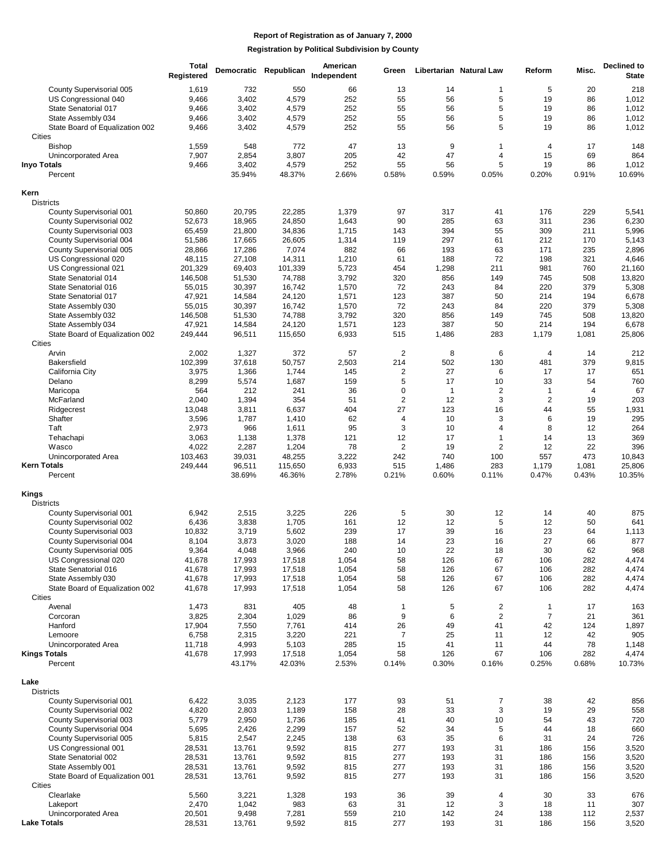|                                              | <b>Total</b><br>Registered |                  | Democratic Republican | American<br>Independent | Green          |                | <b>Libertarian Natural Law</b> | Reform                  | Misc.          | <b>Declined to</b><br>State |
|----------------------------------------------|----------------------------|------------------|-----------------------|-------------------------|----------------|----------------|--------------------------------|-------------------------|----------------|-----------------------------|
| County Supervisorial 005                     | 1,619                      | 732              | 550                   | 66                      | 13             | 14             | 1                              | 5                       | 20             | 218                         |
| US Congressional 040                         | 9,466                      | 3,402            | 4,579                 | 252                     | 55             | 56             | 5                              | 19                      | 86             | 1,012                       |
| State Senatorial 017                         | 9,466                      | 3,402            | 4,579                 | 252                     | 55             | 56             | 5                              | 19                      | 86             | 1,012                       |
| State Assembly 034                           | 9,466                      | 3,402            | 4,579                 | 252                     | 55             | 56             | 5                              | 19                      | 86             | 1,012                       |
| State Board of Equalization 002              | 9,466                      | 3,402            | 4,579                 | 252                     | 55             | 56             | 5                              | 19                      | 86             | 1,012                       |
| Cities<br><b>Bishop</b>                      | 1,559                      | 548              | 772                   | 47                      | 13             | 9              | 1                              | 4                       | 17             | 148                         |
| Unincorporated Area                          | 7,907                      | 2,854            | 3,807                 | 205                     | 42             | 47             | 4                              | 15                      | 69             | 864                         |
| Inyo Totals                                  | 9,466                      | 3,402            | 4,579                 | 252                     | 55             | 56             | 5                              | 19                      | 86             | 1,012                       |
| Percent                                      |                            | 35.94%           | 48.37%                | 2.66%                   | 0.58%          | 0.59%          | 0.05%                          | 0.20%                   | 0.91%          | 10.69%                      |
| Kern                                         |                            |                  |                       |                         |                |                |                                |                         |                |                             |
| <b>Districts</b>                             |                            |                  |                       |                         |                |                |                                |                         |                |                             |
| County Supervisorial 001                     | 50,860                     | 20,795           | 22,285                | 1,379                   | 97             | 317            | 41                             | 176                     | 229            | 5,541                       |
| County Supervisorial 002                     | 52,673                     | 18,965           | 24,850                | 1,643                   | 90             | 285            | 63                             | 311                     | 236            | 6,230                       |
| County Supervisorial 003                     | 65,459                     | 21,800           | 34,836                | 1,715                   | 143            | 394            | 55                             | 309                     | 211            | 5,996                       |
| County Supervisorial 004                     | 51,586                     | 17,665           | 26,605                | 1,314                   | 119            | 297            | 61                             | 212                     | 170            | 5,143                       |
| County Supervisorial 005                     | 28,866                     | 17,286           | 7,074                 | 882                     | 66             | 193            | 63                             | 171                     | 235            | 2,896                       |
| US Congressional 020                         | 48,115                     | 27,108           | 14,311                | 1,210                   | 61             | 188            | 72                             | 198                     | 321            | 4,646                       |
| US Congressional 021                         | 201,329                    | 69,403           | 101,339               | 5,723                   | 454            | 1,298          | 211                            | 981                     | 760            | 21,160                      |
| State Senatorial 014                         | 146,508                    | 51,530           | 74,788                | 3,792                   | 320            | 856            | 149                            | 745                     | 508            | 13,820                      |
| State Senatorial 016                         | 55,015                     | 30,397           | 16,742                | 1,570                   | 72             | 243            | 84                             | 220                     | 379            | 5,308                       |
| State Senatorial 017                         | 47,921                     | 14,584           | 24,120                | 1,571                   | 123            | 387            | 50                             | 214                     | 194            | 6,678                       |
| State Assembly 030                           | 55,015                     | 30,397           | 16,742                | 1,570                   | 72             | 243            | 84                             | 220                     | 379            | 5,308                       |
| State Assembly 032                           | 146,508                    | 51,530           | 74,788                | 3,792                   | 320            | 856            | 149                            | 745                     | 508            | 13,820                      |
| State Assembly 034                           | 47,921                     | 14,584           | 24,120                | 1,571                   | 123            | 387            | 50                             | 214                     | 194            | 6,678                       |
| State Board of Equalization 002              | 249,444                    | 96,511           | 115,650               | 6,933                   | 515            | 1,486          | 283                            | 1,179                   | 1,081          | 25,806                      |
| Cities                                       |                            |                  |                       |                         |                |                |                                |                         |                |                             |
| Arvin                                        | 2,002                      | 1,327            | 372                   | 57                      | 2              | 8              | 6                              | 4                       | 14             | 212                         |
| Bakersfield                                  | 102,399                    | 37,618           | 50,757                | 2,503                   | 214            | 502            | 130                            | 481                     | 379            | 9,815                       |
| California City                              | 3,975                      | 1,366            | 1,744                 | 145                     | $\overline{c}$ | 27             | 6                              | 17                      | 17             | 651                         |
| Delano                                       | 8,299                      | 5,574            | 1,687                 | 159                     | 5              | 17             | 10                             | 33                      | 54             | 760                         |
| Maricopa                                     | 564                        | 212              | 241                   | 36                      | 0              | $\mathbf{1}$   | $\overline{\mathbf{c}}$        | $\mathbf{1}$            | 4              | 67                          |
| McFarland                                    | 2,040                      | 1,394            | 354                   | 51                      | $\overline{c}$ | 12             | 3                              | $\overline{\mathbf{c}}$ | 19             | 203                         |
| Ridgecrest                                   | 13,048                     | 3,811            | 6,637                 | 404                     | 27             | 123            | 16                             | 44                      | 55             | 1,931                       |
| Shafter                                      | 3,596                      | 1,787            | 1,410                 | 62                      | 4              | 10             | 3                              | 6                       | 19             | 295                         |
| Taft                                         | 2,973                      | 966              | 1,611                 | 95                      | 3              | 10             | 4                              | 8                       | 12             | 264                         |
| Tehachapi                                    | 3,063                      | 1,138            | 1,378                 | 121                     | 12             | 17             | $\mathbf{1}$                   | 14                      | 13             | 369                         |
| Wasco                                        | 4,022                      | 2,287            | 1,204                 | 78                      | $\overline{2}$ | 19             | $\overline{2}$                 | 12                      | 22             | 396                         |
| Unincorporated Area                          | 103,463                    | 39,031           | 48,255                | 3,222                   | 242            | 740            | 100                            | 557                     | 473            | 10,843                      |
| Kern Totals<br>Percent                       | 249,444                    | 96,511<br>38.69% | 115,650<br>46.36%     | 6,933<br>2.78%          | 515<br>0.21%   | 1,486<br>0.60% | 283<br>0.11%                   | 1,179<br>0.47%          | 1,081<br>0.43% | 25,806<br>10.35%            |
|                                              |                            |                  |                       |                         |                |                |                                |                         |                |                             |
| Kings                                        |                            |                  |                       |                         |                |                |                                |                         |                |                             |
| <b>Districts</b><br>County Supervisorial 001 | 6,942                      | 2,515            | 3,225                 | 226                     | 5              | 30             | 12                             | 14                      | 40             | 875                         |
| County Supervisorial 002                     | 6,436                      | 3,838            | 1,705                 | 161                     | 12             | 12             | 5                              | 12                      | 50             | 641                         |
| County Supervisorial 003                     | 10,832                     | 3,719            | 5,602                 | 239                     | 17             | 39             | 16                             | 23                      | 64             | 1,113                       |
| County Supervisorial 004                     | 8,104                      | 3,873            | 3,020                 | 188                     | 14             | 23             | 16                             | 27                      | 66             | 877                         |
| County Supervisorial 005                     | 9,364                      | 4,048            | 3,966                 | 240                     | 10             | 22             | 18                             | 30                      | 62             | 968                         |
| US Congressional 020                         | 41,678                     | 17,993           | 17,518                | 1,054                   | 58             | 126            | 67                             | 106                     | 282            | 4,474                       |
| State Senatorial 016                         | 41,678                     | 17,993           | 17,518                | 1,054                   | 58             | 126            | 67                             | 106                     | 282            | 4,474                       |
| State Assembly 030                           | 41,678                     | 17,993           | 17,518                | 1,054                   | 58             | 126            | 67                             | 106                     | 282            | 4,474                       |
| State Board of Equalization 002              | 41,678                     | 17,993           | 17,518                | 1,054                   | 58             | 126            | 67                             | 106                     | 282            | 4,474                       |
| Cities                                       |                            |                  |                       |                         |                |                |                                |                         |                |                             |
| Avenal                                       | 1,473                      | 831              | 405                   | 48                      | $\mathbf{1}$   | 5              | $\overline{c}$                 | $\mathbf{1}$            | 17             | 163                         |
| Corcoran                                     | 3,825                      | 2,304            | 1,029                 | 86                      | 9              | 6              | $\overline{2}$                 | 7                       | 21             | 361                         |
| Hanford                                      | 17,904                     | 7,550            | 7,761                 | 414                     | 26             | 49             | 41                             | 42                      | 124            | 1,897                       |
| Lemoore                                      | 6,758                      | 2,315            | 3,220                 | 221                     | $\overline{7}$ | 25             | 11                             | 12                      | 42             | 905                         |
| Unincorporated Area                          | 11,718                     | 4,993            | 5,103                 | 285                     | 15             | 41             | 11                             | 44                      | 78             | 1,148                       |
| Kings Totals                                 | 41,678                     | 17,993           | 17,518                | 1,054                   | 58             | 126            | 67                             | 106                     | 282            | 4,474                       |
| Percent                                      |                            | 43.17%           | 42.03%                | 2.53%                   | 0.14%          | 0.30%          | 0.16%                          | 0.25%                   | 0.68%          | 10.73%                      |
| Lake                                         |                            |                  |                       |                         |                |                |                                |                         |                |                             |
| <b>Districts</b>                             |                            |                  |                       |                         |                |                |                                |                         |                |                             |
| County Supervisorial 001                     | 6,422                      | 3,035            | 2,123                 | 177                     | 93             | 51             | 7                              | 38                      | 42             | 856                         |
| County Supervisorial 002                     | 4,820                      | 2,803            | 1,189                 | 158                     | 28             | 33             | 3                              | 19                      | 29             | 558                         |
| County Supervisorial 003                     | 5,779                      | 2,950            | 1,736                 | 185                     | 41             | 40             | 10                             | 54                      | 43             | 720                         |
| County Supervisorial 004                     | 5,695                      | 2,426            | 2,299                 | 157                     | 52             | 34             | 5                              | 44                      | 18             | 660                         |
| County Supervisorial 005                     | 5,815                      | 2,547            | 2,245                 | 138                     | 63             | 35             | 6                              | 31                      | 24             | 726                         |
| US Congressional 001                         | 28,531                     | 13,761           | 9,592                 | 815                     | 277            | 193            | 31                             | 186                     | 156            | 3,520                       |
| State Senatorial 002                         | 28,531                     | 13,761           | 9,592                 | 815                     | 277            | 193            | 31                             | 186                     | 156            | 3,520                       |
| State Assembly 001                           | 28,531                     | 13,761           | 9,592                 | 815                     | 277            | 193            | 31                             | 186                     | 156            | 3,520                       |
| State Board of Equalization 001              | 28,531                     | 13,761           | 9,592                 | 815                     | 277            | 193            | 31                             | 186                     | 156            | 3,520                       |
| Cities                                       |                            |                  |                       |                         |                |                |                                |                         |                |                             |
| Clearlake                                    | 5,560                      | 3,221            | 1,328                 | 193                     | 36             | 39             | 4                              | 30                      | 33             | 676                         |
| Lakeport                                     | 2,470                      | 1,042            | 983                   | 63                      | 31             | 12             | 3                              | 18                      | 11             | 307                         |
| Unincorporated Area                          | 20,501                     | 9,498            | 7,281                 | 559                     | 210            | 142            | 24                             | 138                     | 112            | 2,537                       |
| Lake Totals                                  | 28,531                     | 13,761           | 9,592                 | 815                     | 277            | 193            | 31                             | 186                     | 156            | 3,520                       |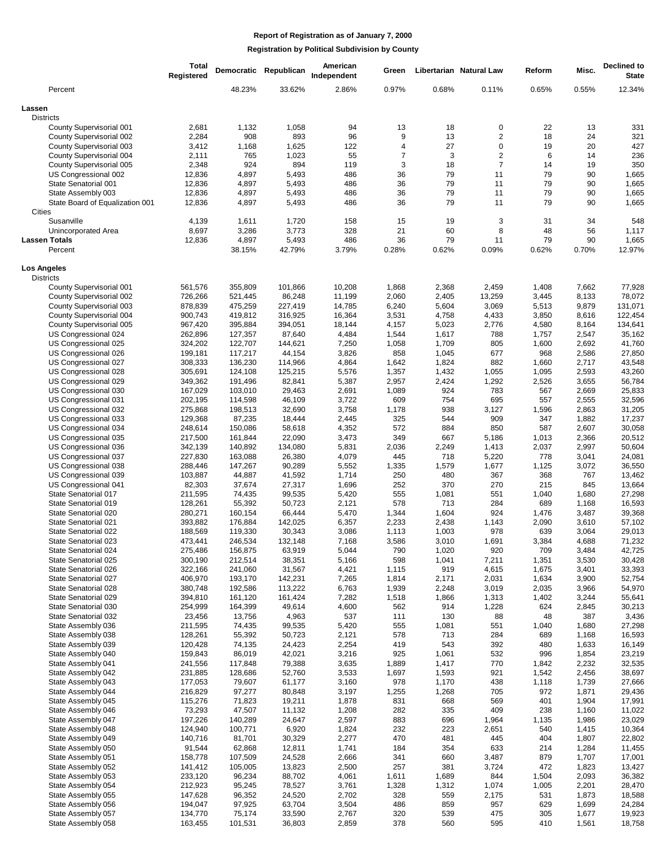|                                                       | <b>Total</b><br>Registered |                    | Democratic Republican | American<br>Independent | Green          |                | Libertarian Natural Law | Reform         | Misc.          | Declined to<br><b>State</b> |
|-------------------------------------------------------|----------------------------|--------------------|-----------------------|-------------------------|----------------|----------------|-------------------------|----------------|----------------|-----------------------------|
| Percent                                               |                            | 48.23%             | 33.62%                | 2.86%                   | 0.97%          | 0.68%          | 0.11%                   | 0.65%          | 0.55%          | 12.34%                      |
| Lassen<br><b>Districts</b>                            |                            |                    |                       |                         |                |                |                         |                |                |                             |
| County Supervisorial 001                              | 2,681                      | 1,132              | 1,058                 | 94                      | 13             | 18             | 0                       | 22             | 13             | 331                         |
| County Supervisorial 002                              | 2,284                      | 908                | 893                   | 96                      | 9              | 13             | $\overline{2}$          | 18             | 24             | 321                         |
| County Supervisorial 003                              | 3,412                      | 1,168              | 1,625                 | 122                     | 4              | 27             | 0                       | 19             | 20             | 427                         |
| County Supervisorial 004                              | 2,111                      | 765                | 1,023                 | 55                      | 7              | 3              | 2                       | 6              | 14             | 236                         |
| County Supervisorial 005                              | 2,348                      | 924                | 894                   | 119                     | 3              | 18             | $\overline{7}$          | 14             | 19             | 350                         |
| US Congressional 002                                  | 12,836                     | 4,897              | 5,493                 | 486                     | 36             | 79             | 11                      | 79             | 90             | 1,665                       |
| State Senatorial 001                                  | 12,836                     | 4,897              | 5,493                 | 486<br>486              | 36             | 79<br>79       | 11<br>11                | 79<br>79       | 90             | 1,665                       |
| State Assembly 003<br>State Board of Equalization 001 | 12,836<br>12,836           | 4,897<br>4,897     | 5,493<br>5,493        | 486                     | 36<br>36       | 79             | 11                      | 79             | 90<br>90       | 1,665<br>1,665              |
| Cities                                                |                            |                    |                       |                         |                |                |                         |                |                |                             |
| Susanville                                            | 4,139                      | 1,611              | 1,720                 | 158                     | 15             | 19             | 3                       | 31             | 34             | 548                         |
| Unincorporated Area                                   | 8,697                      | 3,286              | 3,773                 | 328                     | 21             | 60             | 8                       | 48             | 56             | 1,117                       |
| <b>Lassen Totals</b>                                  | 12,836                     | 4,897              | 5,493                 | 486                     | 36             | 79             | 11                      | 79             | 90             | 1,665                       |
| Percent                                               |                            | 38.15%             | 42.79%                | 3.79%                   | 0.28%          | 0.62%          | 0.09%                   | 0.62%          | 0.70%          | 12.97%                      |
| Los Angeles                                           |                            |                    |                       |                         |                |                |                         |                |                |                             |
| <b>Districts</b>                                      |                            |                    |                       |                         |                |                |                         |                |                |                             |
| County Supervisorial 001                              | 561,576                    | 355,809            | 101,866               | 10,208                  | 1,868          | 2,368          | 2,459                   | 1,408          | 7,662          | 77,928                      |
| County Supervisorial 002<br>County Supervisorial 003  | 726,266                    | 521,445            | 86,248                | 11,199                  | 2,060          | 2,405          | 13,259                  | 3,445          | 8,133          | 78,072                      |
| County Supervisorial 004                              | 878,839<br>900,743         | 475,259<br>419,812 | 227,419<br>316,925    | 14,785<br>16,364        | 6,240<br>3,531 | 5,604<br>4,758 | 3,069<br>4,433          | 5,513<br>3,850 | 9,879<br>8,616 | 131,071<br>122,454          |
| County Supervisorial 005                              | 967,420                    | 395,884            | 394,051               | 18,144                  | 4,157          | 5,023          | 2,776                   | 4,580          | 8,164          | 134,641                     |
| US Congressional 024                                  | 262,896                    | 127,357            | 87,640                | 4,484                   | 1,544          | 1,617          | 788                     | 1,757          | 2,547          | 35,162                      |
| US Congressional 025                                  | 324,202                    | 122,707            | 144,621               | 7,250                   | 1,058          | 1,709          | 805                     | 1,600          | 2,692          | 41,760                      |
| US Congressional 026                                  | 199,181                    | 117,217            | 44,154                | 3,826                   | 858            | 1,045          | 677                     | 968            | 2,586          | 27,850                      |
| US Congressional 027                                  | 308,333                    | 136,230            | 114,966               | 4,864                   | 1,642          | 1,824          | 882                     | 1,660          | 2,717          | 43,548                      |
| US Congressional 028                                  | 305,691                    | 124,108            | 125,215               | 5,576                   | 1,357          | 1,432          | 1,055                   | 1,095          | 2,593          | 43,260                      |
| US Congressional 029                                  | 349,362                    | 191,496            | 82,841                | 5,387                   | 2,957          | 2,424          | 1,292                   | 2,526          | 3,655          | 56,784                      |
| US Congressional 030                                  | 167,029                    | 103,010            | 29,463                | 2,691                   | 1,089<br>609   | 924<br>754     | 783<br>695              | 567            | 2,669          | 25,833                      |
| US Congressional 031<br>US Congressional 032          | 202,195<br>275,868         | 114,598<br>198,513 | 46,109<br>32,690      | 3,722<br>3,758          | 1,178          | 938            | 3,127                   | 557<br>1,596   | 2,555<br>2,863 | 32,596<br>31,205            |
| US Congressional 033                                  | 129,368                    | 87,235             | 18,444                | 2,445                   | 325            | 544            | 909                     | 347            | 1,882          | 17,237                      |
| US Congressional 034                                  | 248,614                    | 150,086            | 58,618                | 4,352                   | 572            | 884            | 850                     | 587            | 2,607          | 30,058                      |
| US Congressional 035                                  | 217,500                    | 161,844            | 22,090                | 3,473                   | 349            | 667            | 5,186                   | 1,013          | 2,366          | 20,512                      |
| US Congressional 036                                  | 342,139                    | 140,892            | 134,080               | 5,831                   | 2,036          | 2,249          | 1,413                   | 2,037          | 2,997          | 50,604                      |
| US Congressional 037                                  | 227,830                    | 163,088            | 26,380                | 4,079                   | 445            | 718            | 5,220                   | 778            | 3,041          | 24,081                      |
| US Congressional 038                                  | 288,446                    | 147,267            | 90,289                | 5,552                   | 1,335          | 1,579          | 1,677                   | 1,125          | 3,072          | 36,550                      |
| US Congressional 039<br>US Congressional 041          | 103,887<br>82,303          | 44,887<br>37,674   | 41,592<br>27,317      | 1,714<br>1,696          | 250<br>252     | 480<br>370     | 367<br>270              | 368<br>215     | 767<br>845     | 13,462<br>13,664            |
| State Senatorial 017                                  | 211,595                    | 74,435             | 99,535                | 5,420                   | 555            | 1,081          | 551                     | 1,040          | 1,680          | 27,298                      |
| State Senatorial 019                                  | 128,261                    | 55,392             | 50,723                | 2,121                   | 578            | 713            | 284                     | 689            | 1,168          | 16,593                      |
| State Senatorial 020                                  | 280,271                    | 160,154            | 66,444                | 5,470                   | 1,344          | 1,604          | 924                     | 1,476          | 3,487          | 39,368                      |
| State Senatorial 021                                  | 393,882                    | 176,884            | 142,025               | 6,357                   | 2,233          | 2,438          | 1,143                   | 2,090          | 3,610          | 57,102                      |
| State Senatorial 022                                  | 188,569                    | 119,330            | 30,343                | 3,086                   | 1,113          | 1,003          | 978                     | 639            | 3,064          | 29,013                      |
| State Senatorial 023                                  | 473,441                    | 246,534            | 132,148               | 7,168                   | 3,586          | 3,010          | 1,691                   | 3,384          | 4,688          | 71,232                      |
| State Senatorial 024                                  | 275,486                    | 156,875            | 63,919                | 5,044                   | 790            | 1,020          | 920                     | 709            | 3,484          | 42,725                      |
| State Senatorial 025<br>State Senatorial 026          | 300,190<br>322,166         | 212,514<br>241,060 | 38,351<br>31,567      | 5,166<br>4,421          | 598<br>1,115   | 1,041<br>919   | 7,211<br>4,615          | 1,351<br>1,675 | 3,530<br>3,401 | 30,428<br>33,393            |
| State Senatorial 027                                  | 406,970                    | 193,170            | 142,231               | 7,265                   | 1,814          | 2,171          | 2,031                   | 1,634          | 3,900          | 52,754                      |
| State Senatorial 028                                  | 380,748                    | 192,586            | 113,222               | 6,763                   | 1,939          | 2,248          | 3,019                   | 2,035          | 3,966          | 54,970                      |
| State Senatorial 029                                  | 394,810                    | 161,120            | 161,424               | 7,282                   | 1,518          | 1,866          | 1,313                   | 1,402          | 3,244          | 55,641                      |
| State Senatorial 030                                  | 254,999                    | 164,399            | 49,614                | 4,600                   | 562            | 914            | 1,228                   | 624            | 2,845          | 30,213                      |
| State Senatorial 032                                  | 23,456                     | 13,756             | 4,963                 | 537                     | 111            | 130            | 88                      | 48             | 387            | 3,436                       |
| State Assembly 036                                    | 211,595                    | 74,435             | 99,535                | 5,420                   | 555            | 1,081          | 551                     | 1,040          | 1,680          | 27,298                      |
| State Assembly 038<br>State Assembly 039              | 128,261<br>120,428         | 55,392<br>74,135   | 50,723<br>24,423      | 2,121<br>2,254          | 578<br>419     | 713<br>543     | 284<br>392              | 689<br>480     | 1,168<br>1,633 | 16,593<br>16,149            |
| State Assembly 040                                    | 159,843                    | 86,019             | 42,021                | 3,216                   | 925            | 1,061          | 532                     | 996            | 1,854          | 23,219                      |
| State Assembly 041                                    | 241,556                    | 117,848            | 79,388                | 3,635                   | 1,889          | 1,417          | 770                     | 1,842          | 2,232          | 32,535                      |
| State Assembly 042                                    | 231,885                    | 128,686            | 52,760                | 3,533                   | 1,697          | 1,593          | 921                     | 1,542          | 2,456          | 38,697                      |
| State Assembly 043                                    | 177,053                    | 79,607             | 61,177                | 3,160                   | 978            | 1,170          | 438                     | 1,118          | 1,739          | 27,666                      |
| State Assembly 044                                    | 216,829                    | 97,277             | 80,848                | 3,197                   | 1,255          | 1,268          | 705                     | 972            | 1,871          | 29,436                      |
| State Assembly 045                                    | 115,276                    | 71,823             | 19,211                | 1,878                   | 831            | 668            | 569                     | 401            | 1,904          | 17,991                      |
| State Assembly 046                                    | 73,293                     | 47,507             | 11,132                | 1,208                   | 282            | 335            | 409                     | 238            | 1,160          | 11,022                      |
| State Assembly 047                                    | 197,226<br>124,940         | 140,289            | 24,647                | 2,597<br>1,824          | 883<br>232     | 696            | 1,964                   | 1,135          | 1,986          | 23,029<br>10,364            |
| State Assembly 048<br>State Assembly 049              | 140,716                    | 100,771<br>81,701  | 6,920<br>30,329       | 2,277                   | 470            | 223<br>481     | 2,651<br>445            | 540<br>404     | 1,415<br>1,807 | 22,802                      |
| State Assembly 050                                    | 91,544                     | 62,868             | 12,811                | 1,741                   | 184            | 354            | 633                     | 214            | 1,284          | 11,455                      |
| State Assembly 051                                    | 158,778                    | 107,509            | 24,528                | 2,666                   | 341            | 660            | 3,487                   | 879            | 1,707          | 17,001                      |
| State Assembly 052                                    | 141,412                    | 105,005            | 13,823                | 2,500                   | 257            | 381            | 3,724                   | 472            | 1,823          | 13,427                      |
| State Assembly 053                                    | 233,120                    | 96,234             | 88,702                | 4,061                   | 1,611          | 1,689          | 844                     | 1,504          | 2,093          | 36,382                      |
| State Assembly 054                                    | 212,923                    | 95,245             | 78,527                | 3,761                   | 1,328          | 1,312          | 1,074                   | 1,005          | 2,201          | 28,470                      |
| State Assembly 055                                    | 147,628                    | 96,352             | 24,520                | 2,702                   | 328            | 559            | 2,175                   | 531            | 1,873          | 18,588                      |
| State Assembly 056                                    | 194,047                    | 97,925             | 63,704                | 3,504                   | 486            | 859            | 957                     | 629            | 1,699          | 24,284                      |
| State Assembly 057<br>State Assembly 058              | 134,770<br>163,455         | 75,174<br>101,531  | 33,590<br>36,803      | 2,767<br>2,859          | 320<br>378     | 539<br>560     | 475<br>595              | 305<br>410     | 1,677<br>1,561 | 19,923<br>18,758            |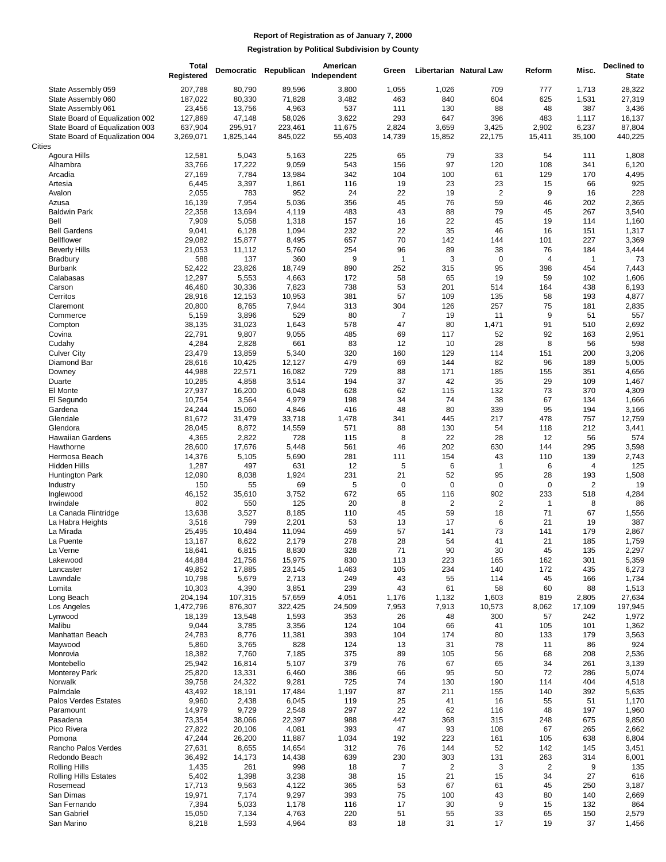|                                 | <b>Total</b><br>Registered |           | Democratic Republican | American<br>Independent | Green          |                | Libertarian Natural Law | Reform         | Misc.  | Declined to<br><b>State</b> |
|---------------------------------|----------------------------|-----------|-----------------------|-------------------------|----------------|----------------|-------------------------|----------------|--------|-----------------------------|
| State Assembly 059              | 207,788                    | 80,790    | 89,596                | 3,800                   | 1,055          | 1,026          | 709                     | 777            | 1,713  | 28,322                      |
| State Assembly 060              | 187,022                    | 80,330    | 71,828                | 3,482                   | 463            | 840            | 604                     | 625            | 1,531  | 27,319                      |
| State Assembly 061              | 23,456                     | 13,756    | 4,963                 | 537                     | 111            | 130            | 88                      | 48             | 387    | 3,436                       |
| State Board of Equalization 002 | 127,869                    | 47,148    | 58,026                | 3,622                   | 293            | 647            | 396                     | 483            | 1,117  | 16,137                      |
| State Board of Equalization 003 | 637,904                    | 295,917   | 223,461               | 11,675                  | 2,824          | 3,659          | 3,425                   | 2,902          | 6,237  | 87,804                      |
| State Board of Equalization 004 | 3,269,071                  | 1,825,144 | 845,022               | 55,403                  | 14,739         | 15,852         | 22,175                  | 15,411         | 35,100 | 440,225                     |
| <b>Cities</b>                   |                            |           |                       |                         |                |                |                         |                |        |                             |
| Agoura Hills                    | 12,581                     | 5,043     | 5,163                 | 225                     | 65             | 79             | 33                      | 54             | 111    | 1,808                       |
| Alhambra                        | 33,766                     | 17,222    | 9,059                 | 543                     | 156            | 97             | 120                     | 108            | 341    | 6,120                       |
| Arcadia                         | 27,169                     | 7,784     | 13,984                | 342                     | 104            | 100            | 61                      | 129            | 170    | 4,495                       |
| Artesia                         | 6,445                      | 3,397     | 1,861                 | 116                     | 19             | 23             | 23                      | 15             | 66     | 925                         |
| Avalon                          | 2,055                      | 783       | 952                   | 24                      | 22             | 19             | $\overline{2}$          | 9              | 16     | 228                         |
|                                 |                            |           |                       |                         | 45             | 76             | 59                      | 46             | 202    |                             |
| Azusa                           | 16,139                     | 7,954     | 5,036                 | 356                     |                |                |                         |                |        | 2,365                       |
| <b>Baldwin Park</b>             | 22,358                     | 13,694    | 4,119                 | 483                     | 43             | 88             | 79                      | 45             | 267    | 3,540                       |
| Bell                            | 7,909                      | 5,058     | 1,318                 | 157                     | 16             | 22             | 45                      | 19             | 114    | 1,160                       |
| <b>Bell Gardens</b>             | 9,041                      | 6,128     | 1,094                 | 232                     | 22             | 35             | 46                      | 16             | 151    | 1,317                       |
| <b>Bellflower</b>               | 29,082                     | 15,877    | 8,495                 | 657                     | 70             | 142            | 144                     | 101            | 227    | 3,369                       |
| <b>Beverly Hills</b>            | 21,053                     | 11,112    | 5,760                 | 254                     | 96             | 89             | 38                      | 76             | 184    | 3,444                       |
| Bradbury                        | 588                        | 137       | 360                   | 9                       | $\overline{1}$ | 3              | $\mathbf 0$             | 4              | 1      | 73                          |
| <b>Burbank</b>                  | 52,422                     | 23,826    | 18,749                | 890                     | 252            | 315            | 95                      | 398            | 454    | 7,443                       |
| Calabasas                       | 12,297                     | 5,553     | 4,663                 | 172                     | 58             | 65             | 19                      | 59             | 102    | 1,606                       |
| Carson                          | 46,460                     | 30,336    | 7,823                 | 738                     | 53             | 201            | 514                     | 164            | 438    | 6,193                       |
| Cerritos                        | 28,916                     | 12,153    | 10,953                | 381                     | 57             | 109            | 135                     | 58             | 193    | 4,877                       |
| Claremont                       | 20,800                     | 8,765     | 7,944                 | 313                     | 304            | 126            | 257                     | 75             | 181    | 2,835                       |
| Commerce                        | 5,159                      | 3,896     | 529                   | 80                      | $\overline{7}$ | 19             | 11                      | 9              | 51     | 557                         |
| Compton                         | 38,135                     | 31,023    | 1,643                 | 578                     | 47             | 80             | 1,471                   | 91             | 510    | 2,692                       |
| Covina                          | 22,791                     | 9,807     | 9,055                 | 485                     | 69             | 117            | 52                      | 92             | 163    | 2,951                       |
| Cudahy                          | 4,284                      | 2,828     | 661                   | 83                      | 12             | 10             | 28                      | 8              | 56     | 598                         |
| <b>Culver City</b>              | 23,479                     | 13,859    | 5,340                 | 320                     | 160            | 129            | 114                     | 151            | 200    | 3,206                       |
| Diamond Bar                     | 28,616                     | 10,425    | 12,127                | 479                     | 69             | 144            | 82                      | 96             | 189    | 5,005                       |
| Downey                          | 44,988                     | 22,571    | 16,082                | 729                     | 88             | 171            | 185                     | 155            | 351    | 4,656                       |
| Duarte                          | 10,285                     | 4,858     | 3,514                 | 194                     | 37             | 42             | 35                      | 29             | 109    | 1,467                       |
| El Monte                        | 27,937                     | 16,200    | 6,048                 | 628                     | 62             | 115            | 132                     | 73             | 370    | 4,309                       |
|                                 | 10,754                     | 3,564     | 4,979                 | 198                     | 34             | 74             | 38                      | 67             | 134    | 1,666                       |
| El Segundo                      |                            |           |                       |                         |                | 80             |                         |                |        |                             |
| Gardena                         | 24,244                     | 15,060    | 4,846                 | 416                     | 48             |                | 339                     | 95             | 194    | 3,166                       |
| Glendale                        | 81,672                     | 31,479    | 33,718                | 1,478                   | 341            | 445            | 217                     | 478            | 757    | 12,759                      |
| Glendora                        | 28,045                     | 8,872     | 14,559                | 571                     | 88             | 130            | 54                      | 118            | 212    | 3,441                       |
| <b>Hawaiian Gardens</b>         | 4,365                      | 2,822     | 728                   | 115                     | 8              | 22             | 28                      | 12             | 56     | 574                         |
| Hawthorne                       | 28,600                     | 17,676    | 5,448                 | 561                     | 46             | 202            | 630                     | 144            | 295    | 3,598                       |
| Hermosa Beach                   | 14,376                     | 5,105     | 5,690                 | 281                     | 111            | 154            | 43                      | 110            | 139    | 2,743                       |
| Hidden Hills                    | 1,287                      | 497       | 631                   | 12                      | 5              | 6              | $\mathbf{1}$            | 6              | 4      | 125                         |
| Huntington Park                 | 12,090                     | 8,038     | 1,924                 | 231                     | 21             | 52             | 95                      | 28             | 193    | 1,508                       |
| Industry                        | 150                        | 55        | 69                    | 5                       | $\mathbf 0$    | $\mathbf 0$    | $\mathbf 0$             | 0              | 2      | 19                          |
| Inglewood                       | 46,152                     | 35,610    | 3,752                 | 672                     | 65             | 116            | 902                     | 233            | 518    | 4,284                       |
| Irwindale                       | 802                        | 550       | 125                   | 20                      | 8              | $\overline{2}$ | $\overline{2}$          | $\mathbf{1}$   | 8      | 86                          |
| La Canada Flintridge            | 13,638                     | 3,527     | 8,185                 | 110                     | 45             | 59             | 18                      | 71             | 67     | 1,556                       |
| La Habra Heights                | 3,516                      | 799       | 2,201                 | 53                      | 13             | 17             | 6                       | 21             | 19     | 387                         |
| La Mirada                       | 25,495                     | 10,484    | 11,094                | 459                     | 57             | 141            | 73                      | 141            | 179    | 2,867                       |
| La Puente                       | 13,167                     | 8,622     | 2,179                 | 278                     | 28             | 54             | 41                      | 21             | 185    | 1,759                       |
| La Verne                        | 18,641                     | 6,815     | 8,830                 | 328                     | 71             | 90             | 30                      | 45             | 135    | 2,297                       |
| Lakewood                        | 44,884                     | 21,756    | 15,975                | 830                     | 113            | 223            | 165                     | 162            | 301    | 5,359                       |
| Lancaster                       | 49,852                     | 17,885    | 23,145                | 1,463                   | 105            | 234            | 140                     | 172            | 435    | 6,273                       |
| Lawndale                        | 10,798                     | 5,679     | 2,713                 | 249                     | 43             | 55             | 114                     | 45             | 166    | 1,734                       |
| Lomita                          | 10,303                     | 4,390     | 3,851                 | 239                     | 43             | 61             | 58                      | 60             | 88     | 1,513                       |
| Long Beach                      | 204,194                    | 107,315   | 57,659                | 4,051                   | 1,176          | 1,132          | 1,603                   | 819            | 2,805  | 27,634                      |
| Los Angeles                     | 1,472,796                  | 876,307   | 322,425               | 24,509                  | 7,953          | 7,913          | 10,573                  | 8,062          | 17,109 | 197,945                     |
| Lynwood                         | 18,139                     | 13,548    | 1,593                 | 353                     | 26             | 48             | 300                     | 57             | 242    | 1,972                       |
| Malibu                          | 9,044                      | 3,785     | 3,356                 | 124                     | 104            | 66             | 41                      | 105            | 101    | 1,362                       |
| Manhattan Beach                 | 24,783                     | 8,776     | 11,381                | 393                     | 104            | 174            | 80                      | 133            | 179    | 3,563                       |
| Maywood                         | 5,860                      | 3,765     | 828                   | 124                     | 13             | 31             | 78                      | 11             | 86     | 924                         |
| Monrovia                        | 18,382                     | 7,760     | 7,185                 | 375                     | 89             | 105            | 56                      | 68             | 208    | 2,536                       |
| Montebello                      | 25,942                     | 16,814    | 5,107                 | 379                     | 76             | 67             | 65                      | 34             | 261    | 3,139                       |
|                                 |                            |           |                       |                         |                | 95             |                         | 72             |        |                             |
| <b>Monterey Park</b>            | 25,820                     | 13,331    | 6,460                 | 386                     | 66             |                | 50                      |                | 286    | 5,074                       |
| Norwalk                         | 39,758                     | 24,322    | 9,281                 | 725                     | 74             | 130            | 190                     | 114            | 404    | 4,518                       |
| Palmdale                        | 43,492                     | 18,191    | 17,484                | 1,197                   | 87             | 211            | 155                     | 140            | 392    | 5,635                       |
| Palos Verdes Estates            | 9,960                      | 2,438     | 6,045                 | 119                     | 25             | 41             | 16                      | 55             | 51     | 1,170                       |
| Paramount                       | 14,979                     | 9,729     | 2,548                 | 297                     | 22             | 62             | 116                     | 48             | 197    | 1,960                       |
| Pasadena                        | 73,354                     | 38,066    | 22,397                | 988                     | 447            | 368            | 315                     | 248            | 675    | 9,850                       |
| Pico Rivera                     | 27,822                     | 20,106    | 4,081                 | 393                     | 47             | 93             | 108                     | 67             | 265    | 2,662                       |
| Pomona                          | 47,244                     | 26,200    | 11,887                | 1,034                   | 192            | 223            | 161                     | 105            | 638    | 6,804                       |
| Rancho Palos Verdes             | 27,631                     | 8,655     | 14,654                | 312                     | 76             | 144            | 52                      | 142            | 145    | 3,451                       |
| Redondo Beach                   | 36,492                     | 14,173    | 14,438                | 639                     | 230            | 303            | 131                     | 263            | 314    | 6,001                       |
| <b>Rolling Hills</b>            | 1,435                      | 261       | 998                   | 18                      | $\overline{7}$ | $\overline{c}$ | 3                       | $\overline{2}$ | 9      | 135                         |
| <b>Rolling Hills Estates</b>    | 5,402                      | 1,398     | 3,238                 | 38                      | 15             | 21             | 15                      | 34             | 27     | 616                         |
| Rosemead                        | 17,713                     | 9,563     | 4,122                 | 365                     | 53             | 67             | 61                      | 45             | 250    | 3,187                       |
| San Dimas                       | 19,971                     | 7,174     | 9,297                 | 393                     | 75             | 100            | 43                      | 80             | 140    | 2,669                       |
| San Fernando                    | 7,394                      | 5,033     | 1,178                 | 116                     | 17             | 30             | 9                       | 15             | 132    | 864                         |
| San Gabriel                     | 15,050                     | 7,134     | 4,763                 | 220                     | 51             | 55             | 33                      | 65             | 150    | 2,579                       |
| San Marino                      | 8,218                      | 1,593     | 4,964                 | 83                      | 18             | 31             | 17                      | 19             | 37     | 1,456                       |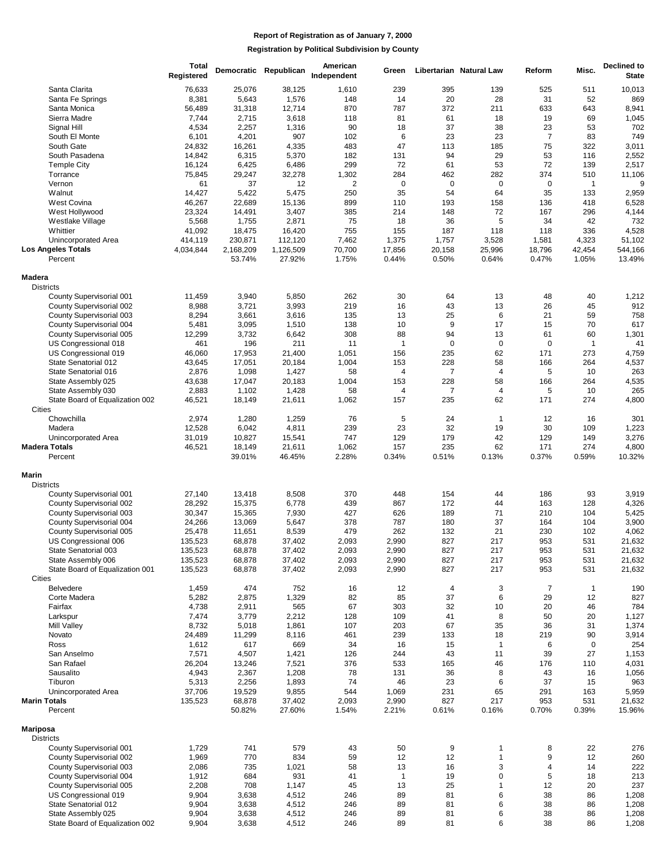|                                 | <b>Total</b><br>Registered | Democratic Republican |           | American<br>Independent | Green          |                | Libertarian Natural Law | Reform         | Misc.          | Declined to<br><b>State</b> |
|---------------------------------|----------------------------|-----------------------|-----------|-------------------------|----------------|----------------|-------------------------|----------------|----------------|-----------------------------|
| Santa Clarita                   | 76,633                     | 25,076                | 38,125    | 1,610                   | 239            | 395            | 139                     | 525            | 511            | 10,013                      |
| Santa Fe Springs                | 8,381                      | 5,643                 | 1,576     | 148                     | 14             | 20             | 28                      | 31             | 52             | 869                         |
| Santa Monica                    | 56,489                     | 31,318                | 12,714    | 870                     | 787            | 372            | 211                     | 633            | 643            | 8,941                       |
| Sierra Madre                    | 7,744                      | 2,715                 | 3,618     | 118                     | 81             | 61             | 18                      | 19             | 69             | 1,045                       |
| Signal Hill                     | 4,534                      | 2,257                 | 1,316     | 90                      | 18             | 37             | 38                      | 23             | 53             | 702                         |
| South El Monte                  | 6,101                      | 4,201                 | 907       | 102                     | 6              | 23             | 23                      | $\overline{7}$ | 83             | 749                         |
| South Gate                      | 24,832                     | 16,261                | 4,335     | 483                     | 47             | 113            | 185                     | 75             | 322            | 3,011                       |
| South Pasadena                  | 14,842                     | 6,315                 | 5,370     | 182                     | 131            | 94             | 29                      | 53             | 116            | 2,552                       |
| <b>Temple City</b>              | 16,124                     | 6,425                 | 6,486     | 299                     | 72             | 61             | 53                      | 72             | 139            | 2,517                       |
| Torrance                        | 75,845                     | 29,247                | 32,278    | 1,302                   | 284            | 462            | 282                     | 374            | 510            | 11,106                      |
| Vernon                          | 61                         | 37                    | 12        | $\overline{2}$          | $\mathbf 0$    | $\mathbf 0$    | $\mathbf 0$             | $\pmb{0}$      | $\mathbf{1}$   | 9                           |
| Walnut                          | 14,427                     | 5,422                 | 5,475     | 250                     | 35             | 54             | 64                      | 35             | 133            | 2,959                       |
| West Covina                     | 46,267                     | 22,689                | 15,136    | 899                     | 110            | 193            | 158                     | 136            | 418            | 6,528                       |
| West Hollywood                  | 23,324                     | 14,491                | 3,407     | 385                     | 214            | 148            | 72                      | 167            | 296            | 4,144                       |
| Westlake Village                | 5,568                      | 1,755                 | 2,871     | 75                      | 18             | 36             | 5                       | 34             | 42             | 732                         |
| Whittier                        | 41,092                     | 18,475                | 16,420    | 755                     | 155            | 187            | 118                     | 118            | 336            | 4,528                       |
| Unincorporated Area             | 414,119                    | 230,871               | 112,120   | 7,462                   | 1,375          | 1,757          | 3,528                   | 1,581          | 4,323          | 51,102                      |
| <b>Los Angeles Totals</b>       | 4,034,844                  | 2,168,209             | 1,126,509 | 70,700                  | 17,856         | 20,158         | 25,996                  | 18,796         | 42,454         | 544,166                     |
| Percent                         |                            | 53.74%                | 27.92%    | 1.75%                   | 0.44%          | 0.50%          | 0.64%                   | 0.47%          | 1.05%          | 13.49%                      |
| Madera                          |                            |                       |           |                         |                |                |                         |                |                |                             |
| <b>Districts</b>                |                            |                       |           |                         |                |                |                         |                |                |                             |
| County Supervisorial 001        | 11,459                     | 3,940                 | 5,850     | 262                     | 30             | 64             | 13                      | 48             | 40             | 1,212                       |
| County Supervisorial 002        | 8,988                      | 3,721                 | 3,993     | 219                     | 16             | 43             | 13                      | 26             | 45             | 912                         |
| County Supervisorial 003        | 8,294                      | 3,661                 | 3,616     | 135                     | 13             | 25             | 6                       | 21             | 59             | 758                         |
| County Supervisorial 004        | 5,481                      | 3,095                 | 1,510     | 138                     | 10             | 9              | 17                      | 15             | 70             | 617                         |
| County Supervisorial 005        | 12,299                     | 3,732                 | 6,642     | 308                     | 88             | 94             | 13                      | 61             | 60             | 1,301                       |
| US Congressional 018            | 461                        | 196                   | 211       | 11                      | $\mathbf{1}$   | $\mathbf 0$    | $\mathbf 0$             | $\mathbf 0$    | $\mathbf{1}$   | 41                          |
| US Congressional 019            | 46,060                     | 17,953                | 21,400    | 1,051                   | 156            | 235            | 62                      | 171            | 273            | 4,759                       |
| State Senatorial 012            | 43,645                     | 17,051                | 20,184    | 1,004                   | 153            | 228            | 58                      | 166            | 264            | 4,537                       |
| State Senatorial 016            | 2,876                      | 1,098                 | 1,427     | 58                      | 4              | $\overline{7}$ | $\overline{4}$          | 5              | 10             | 263                         |
| State Assembly 025              | 43,638                     | 17,047                | 20,183    | 1,004                   | 153            | 228            | 58                      | 166            | 264            | 4,535                       |
| State Assembly 030              | 2,883                      | 1,102                 | 1,428     | 58                      | 4              | 7              | $\overline{4}$          | 5              | 10             | 265                         |
| State Board of Equalization 002 | 46,521                     | 18,149                | 21,611    | 1,062                   | 157            | 235            | 62                      | 171            | 274            | 4,800                       |
| Cities                          |                            |                       |           |                         |                |                |                         |                |                |                             |
| Chowchilla                      | 2,974                      | 1,280                 | 1,259     | 76                      | 5              | 24             | $\mathbf{1}$            | 12             | 16             | 301                         |
| Madera                          | 12,528                     | 6,042                 | 4,811     | 239                     | 23             | 32             | 19                      | 30             | 109            | 1,223                       |
| Unincorporated Area             | 31,019                     | 10,827                | 15,541    | 747                     | 129            | 179            | 42                      | 129            | 149            | 3,276                       |
| <b>Madera Totals</b>            | 46,521                     | 18,149                | 21,611    | 1,062                   | 157            | 235            | 62                      | 171            | 274            | 4,800                       |
| Percent                         |                            | 39.01%                | 46.45%    | 2.28%                   | 0.34%          | 0.51%          | 0.13%                   | 0.37%          | 0.59%          | 10.32%                      |
| Marin                           |                            |                       |           |                         |                |                |                         |                |                |                             |
| <b>Districts</b>                |                            |                       |           |                         |                |                |                         |                |                |                             |
| County Supervisorial 001        | 27,140                     | 13,418                | 8,508     | 370                     | 448            | 154            | 44                      | 186            | 93             | 3,919                       |
| County Supervisorial 002        | 28,292                     | 15,375                | 6,778     | 439                     | 867            | 172            | 44                      | 163            | 128            | 4,326                       |
| County Supervisorial 003        | 30,347                     | 15,365                | 7,930     | 427                     | 626            | 189            | 71                      | 210            | 104            | 5,425                       |
| County Supervisorial 004        | 24,266                     | 13,069                | 5,647     | 378                     | 787            | 180            | 37                      | 164            | 104            | 3,900                       |
| County Supervisorial 005        | 25,478                     | 11,651                | 8,539     | 479                     | 262            | 132            | 21                      | 230            | 102            | 4,062                       |
| US Congressional 006            | 135,523                    | 68,878                | 37,402    | 2,093                   | 2,990          | 827            | 217                     | 953            | 531            | 21,632                      |
| State Senatorial 003            | 135,523                    | 68,878                | 37,402    | 2,093                   | 2,990          | 827            | 217                     | 953            | 531            | 21,632                      |
| State Assembly 006              | 135,523                    | 68,878                | 37,402    | 2,093                   | 2,990          | 827            | 217                     | 953            | 531            | 21,632                      |
| State Board of Equalization 001 | 135,523                    | 68,878                | 37,402    | 2,093                   | 2,990          | 827            | 217                     | 953            | 531            | 21,632                      |
| Cities<br><b>Belvedere</b>      | 1,459                      | 474                   | 752       | 16                      |                | 4              | 3                       | $\overline{7}$ | $\overline{1}$ | 190                         |
| Corte Madera                    | 5,282                      | 2,875                 | 1,329     | 82                      | 12<br>85       | 37             | 6                       | 29             | 12             | 827                         |
| Fairfax                         | 4,738                      | 2,911                 | 565       | 67                      | 303            | 32             | 10                      | 20             | 46             | 784                         |
| Larkspur                        | 7,474                      | 3,779                 | 2,212     | 128                     | 109            | 41             | 8                       | 50             | 20             | 1,127                       |
| Mill Valley                     | 8,732                      | 5,018                 | 1,861     | 107                     | 203            | 67             | 35                      | 36             | 31             | 1,374                       |
| Novato                          | 24,489                     | 11,299                | 8,116     | 461                     | 239            | 133            | 18                      | 219            | 90             | 3,914                       |
| Ross                            | 1,612                      | 617                   | 669       | 34                      | 16             | 15             | $\mathbf{1}$            | 6              | 0              | 254                         |
| San Anselmo                     | 7,571                      | 4,507                 | 1,421     | 126                     | 244            | 43             | 11                      | 39             | 27             | 1,153                       |
| San Rafael                      | 26,204                     | 13,246                | 7,521     | 376                     | 533            | 165            | 46                      | 176            | 110            | 4,031                       |
| Sausalito                       | 4,943                      | 2,367                 | 1,208     | 78                      | 131            | 36             | 8                       | 43             | 16             | 1,056                       |
| Tiburon                         | 5,313                      | 2,256                 | 1,893     | 74                      | 46             | 23             | 6                       | 37             | 15             | 963                         |
| Unincorporated Area             | 37,706                     | 19,529                | 9,855     | 544                     | 1,069          | 231            | 65                      | 291            | 163            | 5,959                       |
| <b>Marin Totals</b>             | 135,523                    | 68,878                | 37,402    | 2,093                   | 2,990          | 827            | 217                     | 953            | 531            | 21,632                      |
| Percent                         |                            | 50.82%                | 27.60%    | 1.54%                   | 2.21%          | 0.61%          | 0.16%                   | 0.70%          | 0.39%          | 15.96%                      |
|                                 |                            |                       |           |                         |                |                |                         |                |                |                             |
| Mariposa<br><b>Districts</b>    |                            |                       |           |                         |                |                |                         |                |                |                             |
| County Supervisorial 001        | 1,729                      | 741                   | 579       | 43                      | 50             | 9              | 1                       | 8              | 22             | 276                         |
| County Supervisorial 002        | 1,969                      | 770                   | 834       | 59                      | 12             | 12             | $\mathbf{1}$            | 9              | 12             | 260                         |
| County Supervisorial 003        | 2,086                      | 735                   | 1,021     | 58                      | 13             | 16             | 3                       | 4              | 14             | 222                         |
| County Supervisorial 004        | 1,912                      | 684                   | 931       | 41                      | $\overline{1}$ | 19             | 0                       | 5              | 18             | 213                         |
| County Supervisorial 005        | 2,208                      | 708                   | 1,147     | 45                      | 13             | 25             | $\overline{1}$          | 12             | 20             | 237                         |
| US Congressional 019            | 9,904                      | 3,638                 | 4,512     | 246                     | 89             | 81             | 6                       | 38             | 86             | 1,208                       |
| State Senatorial 012            | 9,904                      | 3,638                 | 4,512     | 246                     | 89             | 81             | 6                       | 38             | 86             | 1,208                       |
| State Assembly 025              | 9,904                      | 3,638                 | 4,512     | 246                     | 89             | 81             | 6                       | 38             | 86             | 1,208                       |
| State Board of Equalization 002 | 9,904                      | 3,638                 | 4,512     | 246                     | 89             | 81             | 6                       | 38             | 86             | 1,208                       |
|                                 |                            |                       |           |                         |                |                |                         |                |                |                             |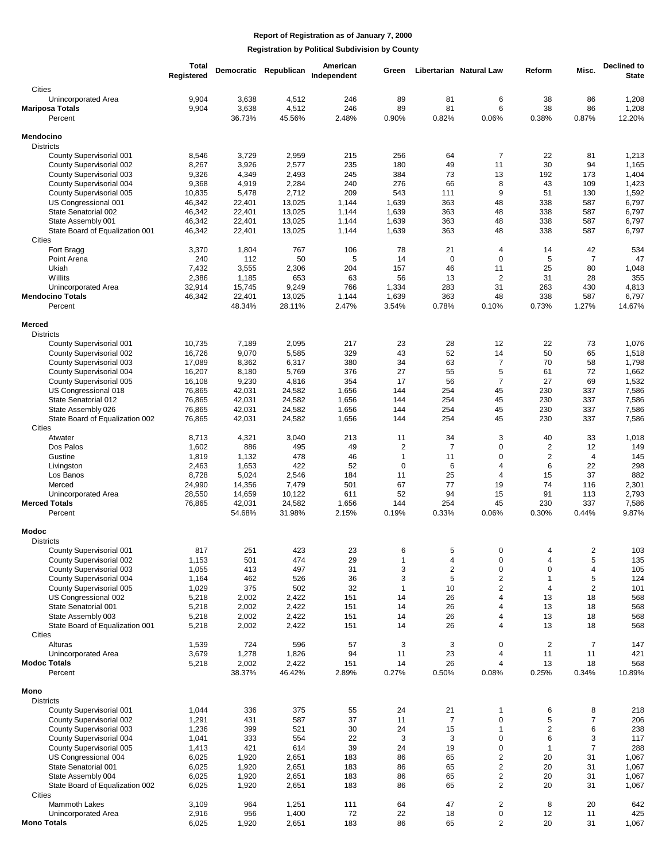|                                                                                                                                                                                                                                                                                                  | <b>Total</b><br><b>Registered</b>                                                      |                                                                                   | Democratic Republican                                                             | American<br>Independent                                             | Green                                                                             |                                                                           | Libertarian Natural Law                                                                                            | Reform                                                                                                       | Misc.                                                                        | <b>Declined to</b><br><b>State</b>                                            |
|--------------------------------------------------------------------------------------------------------------------------------------------------------------------------------------------------------------------------------------------------------------------------------------------------|----------------------------------------------------------------------------------------|-----------------------------------------------------------------------------------|-----------------------------------------------------------------------------------|---------------------------------------------------------------------|-----------------------------------------------------------------------------------|---------------------------------------------------------------------------|--------------------------------------------------------------------------------------------------------------------|--------------------------------------------------------------------------------------------------------------|------------------------------------------------------------------------------|-------------------------------------------------------------------------------|
| Cities<br>Unincorporated Area<br><b>Mariposa Totals</b><br>Percent                                                                                                                                                                                                                               | 9,904<br>9,904                                                                         | 3,638<br>3,638<br>36.73%                                                          | 4,512<br>4,512<br>45.56%                                                          | 246<br>246<br>2.48%                                                 | 89<br>89<br>0.90%                                                                 | 81<br>81<br>0.82%                                                         | 6<br>6<br>0.06%                                                                                                    | 38<br>38<br>0.38%                                                                                            | 86<br>86<br>0.87%                                                            | 1,208<br>1,208<br>12.20%                                                      |
| <b>Mendocino</b>                                                                                                                                                                                                                                                                                 |                                                                                        |                                                                                   |                                                                                   |                                                                     |                                                                                   |                                                                           |                                                                                                                    |                                                                                                              |                                                                              |                                                                               |
| <b>Districts</b><br>County Supervisorial 001<br>County Supervisorial 002<br>County Supervisorial 003<br>County Supervisorial 004<br>County Supervisorial 005<br>US Congressional 001<br>State Senatorial 002<br>State Assembly 001<br>State Board of Equalization 001                            | 8,546<br>8,267<br>9,326<br>9,368<br>10,835<br>46,342<br>46,342<br>46,342<br>46,342     | 3,729<br>3,926<br>4,349<br>4,919<br>5,478<br>22,401<br>22,401<br>22,401<br>22,401 | 2,959<br>2,577<br>2,493<br>2,284<br>2,712<br>13,025<br>13,025<br>13,025<br>13,025 | 215<br>235<br>245<br>240<br>209<br>1,144<br>1,144<br>1,144<br>1,144 | 256<br>180<br>384<br>276<br>543<br>1,639<br>1,639<br>1,639<br>1,639               | 64<br>49<br>73<br>66<br>111<br>363<br>363<br>363<br>363                   | $\overline{7}$<br>11<br>13<br>8<br>9<br>48<br>48<br>48<br>48                                                       | 22<br>30<br>192<br>43<br>51<br>338<br>338<br>338<br>338                                                      | 81<br>94<br>173<br>109<br>130<br>587<br>587<br>587<br>587                    | 1,213<br>1,165<br>1,404<br>1,423<br>1,592<br>6,797<br>6,797<br>6,797<br>6,797 |
| Cities<br>Fort Bragg<br>Point Arena<br>Ukiah<br>Willits<br>Unincorporated Area<br><b>Mendocino Totals</b><br>Percent                                                                                                                                                                             | 3,370<br>240<br>7,432<br>2,386<br>32,914<br>46,342                                     | 1,804<br>112<br>3,555<br>1,185<br>15,745<br>22,401<br>48.34%                      | 767<br>50<br>2,306<br>653<br>9,249<br>13,025<br>28.11%                            | 106<br>5<br>204<br>63<br>766<br>1,144<br>2.47%                      | 78<br>14<br>157<br>56<br>1,334<br>1,639<br>3.54%                                  | 21<br>$\mathbf 0$<br>46<br>13<br>283<br>363<br>0.78%                      | 4<br>$\mathbf 0$<br>11<br>$\overline{2}$<br>31<br>48<br>0.10%                                                      | 14<br>5<br>25<br>31<br>263<br>338<br>0.73%                                                                   | 42<br>$\overline{7}$<br>80<br>28<br>430<br>587<br>1.27%                      | 534<br>47<br>1,048<br>355<br>4,813<br>6,797<br>14.67%                         |
| <b>Merced</b><br><b>Districts</b><br>County Supervisorial 001<br>County Supervisorial 002<br>County Supervisorial 003<br>County Supervisorial 004<br>County Supervisorial 005<br>US Congressional 018<br>State Senatorial 012<br>State Assembly 026<br>State Board of Equalization 002<br>Cities | 10,735<br>16,726<br>17,089<br>16,207<br>16,108<br>76,865<br>76,865<br>76,865<br>76,865 | 7,189<br>9,070<br>8,362<br>8,180<br>9,230<br>42,031<br>42,031<br>42,031<br>42,031 | 2,095<br>5,585<br>6,317<br>5,769<br>4,816<br>24,582<br>24,582<br>24,582<br>24,582 | 217<br>329<br>380<br>376<br>354<br>1,656<br>1,656<br>1,656<br>1,656 | 23<br>43<br>34<br>27<br>17<br>144<br>144<br>144<br>144                            | 28<br>52<br>63<br>55<br>56<br>254<br>254<br>254<br>254                    | 12<br>14<br>$\overline{7}$<br>5<br>$\overline{7}$<br>45<br>45<br>45<br>45                                          | 22<br>50<br>70<br>61<br>27<br>230<br>230<br>230<br>230                                                       | 73<br>65<br>58<br>72<br>69<br>337<br>337<br>337<br>337                       | 1,076<br>1,518<br>1,798<br>1,662<br>1,532<br>7,586<br>7,586<br>7,586<br>7,586 |
| Atwater<br>Dos Palos<br>Gustine<br>Livingston<br>Los Banos<br>Merced<br>Unincorporated Area<br><b>Merced Totals</b><br>Percent                                                                                                                                                                   | 8,713<br>1,602<br>1,819<br>2,463<br>8,728<br>24,990<br>28,550<br>76,865                | 4,321<br>886<br>1,132<br>1,653<br>5,024<br>14,356<br>14,659<br>42,031<br>54.68%   | 3,040<br>495<br>478<br>422<br>2,546<br>7,479<br>10,122<br>24,582<br>31.98%        | 213<br>49<br>46<br>52<br>184<br>501<br>611<br>1,656<br>2.15%        | 11<br>$\sqrt{2}$<br>$\mathbf{1}$<br>$\mathbf 0$<br>11<br>67<br>52<br>144<br>0.19% | 34<br>$\overline{7}$<br>11<br>6<br>25<br>77<br>94<br>254<br>0.33%         | 3<br>$\mathbf 0$<br>$\mathbf 0$<br>$\overline{4}$<br>$\overline{4}$<br>19<br>15<br>45<br>0.06%                     | 40<br>$\mathbf 2$<br>$\overline{2}$<br>6<br>15<br>74<br>91<br>230<br>0.30%                                   | 33<br>12<br>$\overline{4}$<br>22<br>37<br>116<br>113<br>337<br>0.44%         | 1,018<br>149<br>145<br>298<br>882<br>2,301<br>2,793<br>7,586<br>9.87%         |
| Modoc                                                                                                                                                                                                                                                                                            |                                                                                        |                                                                                   |                                                                                   |                                                                     |                                                                                   |                                                                           |                                                                                                                    |                                                                                                              |                                                                              |                                                                               |
| <b>Districts</b><br>County Supervisorial 001<br>County Supervisorial 002<br>County Supervisorial 003<br>County Supervisorial 004<br>County Supervisorial 005<br>US Congressional 002<br>State Senatorial 001<br>State Assembly 003<br>State Board of Equalization 001<br>Cities<br>Alturas       | 817<br>1,153<br>1,055<br>1,164<br>1,029<br>5,218<br>5,218<br>5,218<br>5,218<br>1,539   | 251<br>501<br>413<br>462<br>375<br>2,002<br>2,002<br>2,002<br>2,002<br>724        | 423<br>474<br>497<br>526<br>502<br>2,422<br>2,422<br>2,422<br>2,422<br>596        | 23<br>29<br>31<br>36<br>32<br>151<br>151<br>151<br>151<br>57        | 6<br>$\mathbf{1}$<br>3<br>3<br>$\overline{1}$<br>14<br>14<br>14<br>14<br>3        | 5<br>4<br>$\overline{\mathbf{c}}$<br>5<br>10<br>26<br>26<br>26<br>26<br>3 | 0<br>0<br>0<br>2<br>2<br>4<br>4<br>$\overline{4}$<br>$\overline{4}$<br>$\mathbf 0$                                 | $\overline{4}$<br>4<br>$\pmb{0}$<br>$\mathbf{1}$<br>$\overline{4}$<br>13<br>13<br>13<br>13<br>$\overline{2}$ | 2<br>5<br>4<br>5<br>$\overline{2}$<br>18<br>18<br>18<br>18<br>$\overline{7}$ | 103<br>135<br>105<br>124<br>101<br>568<br>568<br>568<br>568<br>147            |
| Unincorporated Area<br><b>Modoc Totals</b><br>Percent                                                                                                                                                                                                                                            | 3,679<br>5,218                                                                         | 1,278<br>2,002<br>38.37%                                                          | 1,826<br>2,422<br>46.42%                                                          | 94<br>151<br>2.89%                                                  | 11<br>14<br>0.27%                                                                 | 23<br>26<br>0.50%                                                         | 4<br>4<br>0.08%                                                                                                    | 11<br>13<br>0.25%                                                                                            | 11<br>18<br>0.34%                                                            | 421<br>568<br>10.89%                                                          |
| Mono                                                                                                                                                                                                                                                                                             |                                                                                        |                                                                                   |                                                                                   |                                                                     |                                                                                   |                                                                           |                                                                                                                    |                                                                                                              |                                                                              |                                                                               |
| <b>Districts</b><br>County Supervisorial 001<br>County Supervisorial 002<br>County Supervisorial 003<br>County Supervisorial 004<br>County Supervisorial 005<br>US Congressional 004<br>State Senatorial 001<br>State Assembly 004<br>State Board of Equalization 002                            | 1,044<br>1,291<br>1,236<br>1,041<br>1,413<br>6,025<br>6,025<br>6,025<br>6,025          | 336<br>431<br>399<br>333<br>421<br>1,920<br>1,920<br>1,920<br>1,920               | 375<br>587<br>521<br>554<br>614<br>2,651<br>2,651<br>2,651<br>2,651               | 55<br>37<br>30<br>22<br>39<br>183<br>183<br>183<br>183              | 24<br>11<br>24<br>3<br>24<br>86<br>86<br>86<br>86                                 | 21<br>$\overline{7}$<br>15<br>3<br>19<br>65<br>65<br>65<br>65             | 1<br>0<br>$\mathbf{1}$<br>0<br>$\mathbf 0$<br>$\overline{c}$<br>$\overline{c}$<br>$\overline{c}$<br>$\overline{2}$ | 6<br>5<br>$\overline{2}$<br>6<br>$\mathbf{1}$<br>20<br>20<br>20<br>20                                        | 8<br>$\overline{7}$<br>6<br>3<br>$\overline{7}$<br>31<br>31<br>31<br>31      | 218<br>206<br>238<br>117<br>288<br>1,067<br>1,067<br>1,067<br>1,067           |
| Cities<br>Mammoth Lakes<br>Unincorporated Area<br><b>Mono Totals</b>                                                                                                                                                                                                                             | 3,109<br>2,916<br>6,025                                                                | 964<br>956<br>1,920                                                               | 1,251<br>1,400<br>2,651                                                           | 111<br>72<br>183                                                    | 64<br>22<br>86                                                                    | 47<br>18<br>65                                                            | $\overline{c}$<br>0<br>2                                                                                           | 8<br>12<br>20                                                                                                | 20<br>11<br>31                                                               | 642<br>425<br>1,067                                                           |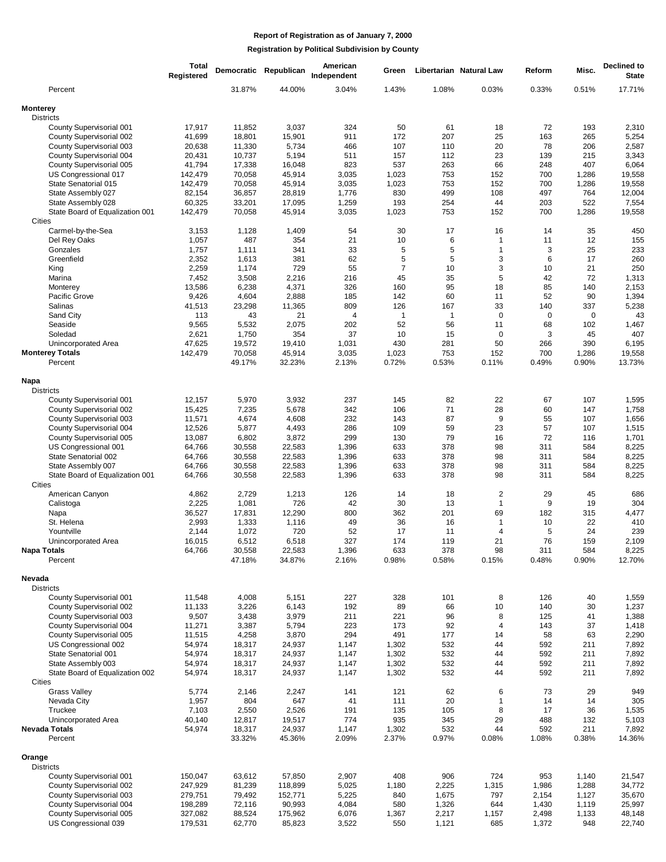|                                                      | <b>Total</b><br>Registered |                  | Democratic Republican | American<br>Independent | Green          |                | <b>Libertarian Natural Law</b> | Reform      | Misc.        | <b>Declined to</b><br><b>State</b> |
|------------------------------------------------------|----------------------------|------------------|-----------------------|-------------------------|----------------|----------------|--------------------------------|-------------|--------------|------------------------------------|
| Percent                                              |                            | 31.87%           | 44.00%                | 3.04%                   | 1.43%          | 1.08%          | 0.03%                          | 0.33%       | 0.51%        | 17.71%                             |
| <b>Monterey</b><br><b>Districts</b>                  |                            |                  |                       |                         |                |                |                                |             |              |                                    |
| County Supervisorial 001                             | 17,917                     | 11,852           | 3,037                 | 324                     | 50             | 61             | 18                             | 72          | 193          | 2,310                              |
| County Supervisorial 002                             | 41,699                     | 18,801           | 15,901                | 911                     | 172            | 207            | 25                             | 163         | 265          | 5,254                              |
| County Supervisorial 003                             | 20,638                     | 11,330           | 5,734                 | 466                     | 107            | 110            | 20                             | 78          | 206          | 2,587                              |
| County Supervisorial 004                             | 20,431                     | 10,737           | 5,194                 | 511                     | 157            | 112            | 23                             | 139         | 215          | 3,343                              |
| County Supervisorial 005                             | 41,794                     | 17,338           | 16,048                | 823                     | 537            | 263            | 66                             | 248         | 407          | 6,064                              |
| US Congressional 017                                 | 142,479                    | 70,058           | 45,914                | 3,035                   | 1,023          | 753<br>753     | 152<br>152                     | 700<br>700  | 1,286        | 19,558                             |
| State Senatorial 015<br>State Assembly 027           | 142,479<br>82,154          | 70,058<br>36,857 | 45,914<br>28,819      | 3,035<br>1,776          | 1,023<br>830   | 499            | 108                            | 497         | 1,286<br>764 | 19,558<br>12,004                   |
| State Assembly 028                                   | 60,325                     | 33,201           | 17,095                | 1,259                   | 193            | 254            | 44                             | 203         | 522          | 7,554                              |
| State Board of Equalization 001<br>Cities            | 142,479                    | 70,058           | 45,914                | 3,035                   | 1,023          | 753            | 152                            | 700         | 1,286        | 19,558                             |
| Carmel-by-the-Sea                                    | 3,153                      | 1,128            | 1,409                 | 54                      | 30             | 17             | 16                             | 14          | 35           | 450                                |
| Del Rey Oaks                                         | 1,057                      | 487              | 354                   | 21                      | 10             | 6              | 1                              | 11          | 12           | 155                                |
| Gonzales                                             | 1,757                      | 1,111            | 341                   | 33                      | 5              | 5              | 1                              | 3           | 25           | 233                                |
| Greenfield                                           | 2,352                      | 1,613            | 381                   | 62                      | 5              | 5              | 3                              | 6           | 17           | 260                                |
| King                                                 | 2,259                      | 1,174            | 729                   | 55                      | $\overline{7}$ | 10             | 3                              | 10          | 21           | 250                                |
| Marina                                               | 7,452                      | 3,508            | 2,216                 | 216                     | 45             | 35             | 5                              | 42          | 72           | 1,313                              |
| Monterey                                             | 13,586                     | 6,238            | 4,371                 | 326                     | 160            | 95             | 18                             | 85          | 140          | 2,153                              |
| Pacific Grove                                        | 9,426                      | 4,604            | 2,888                 | 185                     | 142            | 60             | 11                             | 52          | 90           | 1,394                              |
| Salinas                                              | 41,513                     | 23,298           | 11,365                | 809                     | 126            | 167            | 33                             | 140         | 337          | 5,238                              |
| Sand City                                            | 113                        | 43               | 21                    | $\overline{4}$          | $\overline{1}$ | $\overline{1}$ | $\mathbf 0$                    | $\mathbf 0$ | $\mathbf 0$  | 43                                 |
| Seaside                                              | 9,565                      | 5,532            | 2,075                 | 202                     | 52             | 56             | 11                             | 68          | 102          | 1,467                              |
| Soledad                                              | 2,621                      | 1,750            | 354                   | 37                      | 10             | 15             | $\mathbf 0$                    | 3           | 45           | 407                                |
| <b>Unincorporated Area</b><br><b>Monterey Totals</b> | 47,625<br>142,479          | 19,572<br>70,058 | 19,410<br>45,914      | 1,031<br>3,035          | 430<br>1,023   | 281<br>753     | 50<br>152                      | 266<br>700  | 390<br>1,286 | 6,195<br>19,558                    |
| Percent                                              |                            | 49.17%           | 32.23%                | 2.13%                   | 0.72%          | 0.53%          | 0.11%                          | 0.49%       | 0.90%        | 13.73%                             |
|                                                      |                            |                  |                       |                         |                |                |                                |             |              |                                    |
| Napa                                                 |                            |                  |                       |                         |                |                |                                |             |              |                                    |
| <b>Districts</b>                                     |                            |                  |                       |                         |                |                |                                |             |              |                                    |
| County Supervisorial 001                             | 12,157                     | 5,970            | 3,932                 | 237                     | 145            | 82             | 22                             | 67          | 107          | 1,595                              |
| County Supervisorial 002                             | 15,425                     | 7,235            | 5,678                 | 342                     | 106            | 71             | 28                             | 60          | 147          | 1,758                              |
| County Supervisorial 003                             | 11,571                     | 4,674            | 4,608                 | 232                     | 143            | 87             | 9                              | 55          | 107          | 1,656                              |
| County Supervisorial 004                             | 12,526                     | 5,877            | 4,493                 | 286                     | 109            | 59             | 23                             | 57          | 107          | 1,515                              |
| County Supervisorial 005                             | 13,087                     | 6,802            | 3,872                 | 299                     | 130            | 79             | 16                             | 72          | 116          | 1,701                              |
| US Congressional 001                                 | 64,766                     | 30,558<br>30,558 | 22,583                | 1,396                   | 633<br>633     | 378<br>378     | 98<br>98                       | 311<br>311  | 584<br>584   | 8,225<br>8,225                     |
| State Senatorial 002<br>State Assembly 007           | 64,766<br>64,766           | 30,558           | 22,583<br>22,583      | 1,396<br>1,396          | 633            | 378            | 98                             | 311         | 584          | 8,225                              |
| State Board of Equalization 001                      | 64,766                     | 30,558           | 22,583                | 1,396                   | 633            | 378            | 98                             | 311         | 584          | 8,225                              |
| Cities                                               |                            |                  |                       |                         |                |                |                                |             |              |                                    |
| American Canyon                                      | 4,862                      | 2,729            | 1,213                 | 126                     | 14             | 18             | $\overline{\mathbf{c}}$        | 29          | 45           | 686                                |
| Calistoga                                            | 2,225                      | 1,081            | 726                   | 42                      | 30             | 13             | 1                              | 9           | 19           | 304                                |
| Napa                                                 | 36,527                     | 17,831           | 12,290                | 800                     | 362            | 201            | 69                             | 182         | 315          | 4,477                              |
| St. Helena                                           | 2,993                      | 1,333            | 1,116                 | 49                      | 36             | 16             | 1                              | 10          | 22           | 410                                |
| Yountville                                           | 2,144                      | 1,072            | 720                   | 52                      | 17             | 11             | 4                              | 5           | 24           | 239                                |
| Unincorporated Area                                  | 16,015                     | 6,512            | 6,518                 | 327                     | 174            | 119            | 21                             | 76          | 159          | 2,109                              |
| Napa Totals                                          | 64,766                     | 30,558           | 22,583                | 1,396                   | 633            | 378            | 98                             | 311         | 584          | 8,225                              |
| Percent                                              |                            | 47.18%           | 34.87%                | 2.16%                   | 0.98%          | 0.58%          | 0.15%                          | 0.48%       | 0.90%        | 12.70%                             |
| Nevada                                               |                            |                  |                       |                         |                |                |                                |             |              |                                    |
| <b>Districts</b>                                     |                            |                  |                       |                         |                |                |                                |             |              |                                    |
| County Supervisorial 001                             | 11,548                     | 4,008            | 5,151                 | 227                     | 328            | 101            | 8                              | 126         | 40           | 1,559                              |
| County Supervisorial 002                             | 11,133                     | 3,226            | 6,143                 | 192                     | 89             | 66             | 10                             | 140         | 30           | 1,237                              |
| County Supervisorial 003                             | 9,507                      | 3,438            | 3,979                 | 211                     | 221            | 96             | 8                              | 125         | 41           | 1,388                              |
| County Supervisorial 004                             | 11,271                     | 3,387            | 5,794                 | 223                     | 173            | 92             | 4                              | 143         | 37           | 1,418                              |
| County Supervisorial 005                             | 11,515                     | 4,258            | 3,870                 | 294                     | 491            | 177            | 14                             | 58          | 63           | 2,290                              |
| US Congressional 002                                 | 54,974                     | 18,317           | 24,937                | 1,147                   | 1,302          | 532            | 44                             | 592         | 211          | 7,892                              |
| State Senatorial 001                                 | 54,974                     | 18,317           | 24,937                | 1,147                   | 1,302          | 532            | 44                             | 592         | 211          | 7,892                              |
| State Assembly 003                                   | 54,974                     | 18,317           | 24,937                | 1,147<br>1,147          | 1,302          | 532<br>532     | 44<br>44                       | 592<br>592  | 211<br>211   | 7,892<br>7,892                     |
| State Board of Equalization 002<br>Cities            | 54,974                     | 18,317           | 24,937                |                         | 1,302          |                |                                |             |              |                                    |
| <b>Grass Valley</b>                                  | 5,774                      | 2,146            | 2,247                 | 141                     | 121            | 62             | 6                              | 73          | 29           | 949                                |
| Nevada City                                          | 1,957                      | 804              | 647                   | 41                      | 111            | 20             | 1                              | 14          | 14           | 305                                |
| Truckee                                              | 7,103                      | 2,550            | 2,526                 | 191                     | 135            | 105            | 8                              | 17          | 36           | 1,535                              |
| Unincorporated Area                                  | 40,140                     | 12,817           | 19,517                | 774                     | 935            | 345            | 29                             | 488         | 132          | 5,103                              |
| Nevada Totals                                        | 54,974                     | 18,317           | 24,937                | 1,147                   | 1,302          | 532            | 44                             | 592         | 211          | 7,892                              |
| Percent                                              |                            | 33.32%           | 45.36%                | 2.09%                   | 2.37%          | 0.97%          | 0.08%                          | 1.08%       | 0.38%        | 14.36%                             |
| Orange                                               |                            |                  |                       |                         |                |                |                                |             |              |                                    |
| <b>Districts</b>                                     |                            |                  |                       |                         |                |                |                                |             |              |                                    |
| County Supervisorial 001                             | 150,047                    | 63,612           | 57,850                | 2,907                   | 408            | 906            | 724                            | 953         | 1,140        | 21,547                             |
| County Supervisorial 002                             | 247,929                    | 81,239           | 118,899               | 5,025                   | 1,180          | 2,225          | 1,315                          | 1,986       | 1,288        | 34,772                             |
| County Supervisorial 003                             | 279,751                    | 79,492           | 152,771               | 5,225                   | 840            | 1,675          | 797                            | 2,154       | 1,127        | 35,670                             |
| County Supervisorial 004                             | 198,289                    | 72,116           | 90,993                | 4,084                   | 580            | 1,326          | 644                            | 1,430       | 1,119        | 25,997                             |
| County Supervisorial 005                             | 327,082                    | 88,524           | 175,962               | 6,076                   | 1,367          | 2,217          | 1,157                          | 2,498       | 1,133        | 48,148                             |
| US Congressional 039                                 | 179,531                    | 62,770           | 85,823                | 3,522                   | 550            | 1,121          | 685                            | 1,372       | 948          | 22,740                             |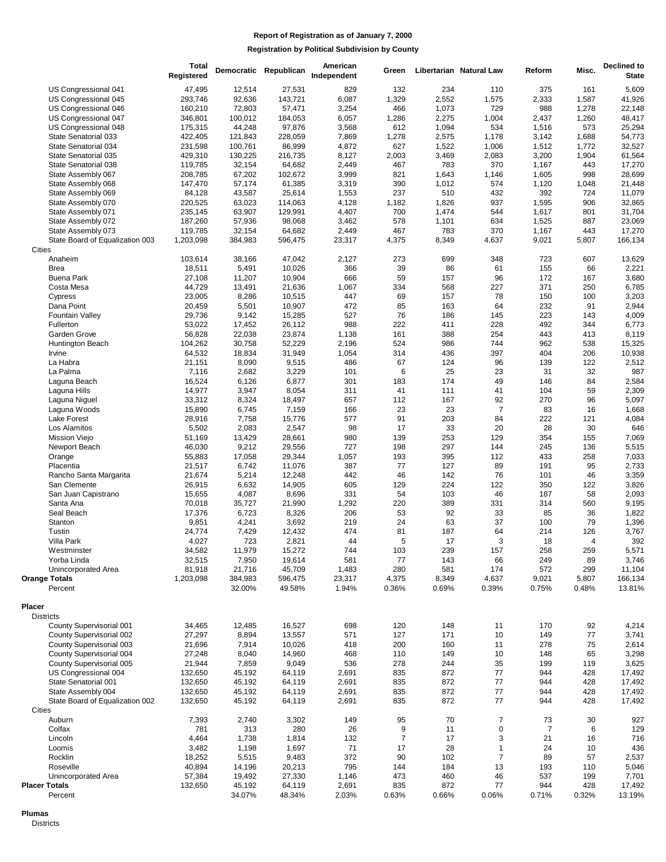## **Registration by Political Subdivision by County**

|                                 |                                          | Total<br>Registered |                  | Democratic Republican | American<br>Independent | Green          |              | Libertarian Natural Law | Reform         | Misc.      | <b>Declined to</b><br><b>State</b> |
|---------------------------------|------------------------------------------|---------------------|------------------|-----------------------|-------------------------|----------------|--------------|-------------------------|----------------|------------|------------------------------------|
|                                 | US Congressional 041                     | 47,495              | 12,514           | 27,531                | 829                     | 132            | 234          | 110                     | 375            | 161        | 5,609                              |
|                                 | US Congressional 045                     | 293,746             | 92,636           | 143,721               | 6,087                   | 1,329          | 2,552        | 1,575                   | 2,333          | 1,587      | 41,926                             |
|                                 | US Congressional 046                     | 160,210             | 72,803           | 57,471                | 3,254                   | 466            | 1,073        | 729                     | 988            | 1,278      | 22,148                             |
|                                 | US Congressional 047                     | 346,801             | 100,012          | 184,053               | 6,057                   | 1,286          | 2,275        | 1,004                   | 2,437          | 1,260      | 48,417                             |
|                                 | US Congressional 048                     | 175,315             | 44,248           | 97,876                | 3,568                   | 612            | 1,094        | 534                     | 1,516          | 573        | 25,294                             |
|                                 | State Senatorial 033                     | 422,405             | 121,843          | 228,059               | 7,869                   | 1,278          | 2,575        | 1,178                   | 3,142          | 1,688      | 54,773                             |
|                                 | State Senatorial 034                     | 231,598             | 100,761          | 86,999                | 4,872                   | 627            | 1,522        | 1,006                   | 1,512          | 1,772      | 32,527                             |
|                                 | State Senatorial 035                     | 429,310             | 130,225          | 216,735               | 8,127                   | 2,003          | 3,469        | 2,083                   | 3,200          | 1,904      | 61,564                             |
|                                 | State Senatorial 038                     | 119,785             | 32,154           | 64,682                | 2,449                   | 467            | 783          | 370                     | 1,167          | 443        | 17,270                             |
|                                 | State Assembly 067                       | 208,785             | 67,202           | 102,672               | 3,999                   | 821            | 1,643        | 1,146                   | 1,605          | 998        | 28,699                             |
|                                 | State Assembly 068                       | 147,470             | 57,174           | 61,385                | 3,319                   | 390            | 1,012        | 574                     | 1,120          | 1,048      | 21,448                             |
|                                 | State Assembly 069                       | 84,128              | 43,587           | 25,614                | 1,553                   | 237            | 510          | 432                     | 392            | 724        | 11,079                             |
|                                 | State Assembly 070                       | 220,525             | 63,023           | 114,063               | 4,128                   | 1,182          | 1,826        | 937                     | 1,595          | 906        | 32,865                             |
|                                 | State Assembly 071<br>State Assembly 072 | 235,145             | 63,907           | 129,991               | 4,407                   | 700<br>578     | 1,474        | 544<br>634              | 1,617          | 801<br>887 | 31,704<br>23,069                   |
|                                 | State Assembly 073                       | 187,260<br>119,785  | 57,936<br>32,154 | 98,068<br>64,682      | 3,462<br>2,449          | 467            | 1,101<br>783 | 370                     | 1,525<br>1,167 | 443        | 17,270                             |
|                                 | State Board of Equalization 003          | 1,203,098           | 384,983          | 596,475               | 23,317                  | 4,375          | 8,349        | 4,637                   | 9,021          | 5,807      | 166,134                            |
| <b>Cities</b>                   |                                          |                     |                  |                       |                         |                |              |                         |                |            |                                    |
| Anaheim                         |                                          | 103,614             | 38,166           | 47,042                | 2,127                   | 273            | 699          | 348                     | 723            | 607        | 13,629                             |
| <b>Brea</b>                     |                                          | 18,511              | 5,491            | 10,026                | 366                     | 39             | 86           | 61                      | 155            | 66         | 2,221                              |
| <b>Buena Park</b>               |                                          | 27,108              | 11,207           | 10,904                | 666                     | 59             | 157          | 96                      | 172            | 167        | 3,680                              |
| Costa Mesa                      |                                          | 44,729              | 13,491           | 21,636                | 1,067                   | 334            | 568          | 227                     | 371            | 250        | 6,785                              |
| Cypress                         |                                          | 23,005              | 8,286            | 10.515                | 447                     | 69             | 157          | 78                      | 150            | 100        | 3,203                              |
| Dana Point                      |                                          | 20,459              | 5,501            | 10,907                | 472                     | 85             | 163          | 64                      | 232            | 91         | 2,944                              |
|                                 | <b>Fountain Valley</b>                   | 29,736              | 9,142            | 15,285                | 527                     | 76             | 186          | 145                     | 223            | 143        | 4,009                              |
| Fullerton                       |                                          | 53,022              | 17,452           | 26,112                | 988                     | 222            | 411          | 228                     | 492            | 344        | 6,773                              |
|                                 | Garden Grove                             | 56,828              | 22,038           | 23,874                | 1,138                   | 161            | 388          | 254                     | 443            | 413        | 8,119                              |
|                                 | Huntington Beach                         | 104,262             | 30,758           | 52,229                | 2,196                   | 524            | 986          | 744                     | 962            | 538        | 15,325                             |
| Irvine                          |                                          | 64,532              | 18,834           | 31,949                | 1,054                   | 314            | 436          | 397                     | 404            | 206        | 10,938                             |
| La Habra                        |                                          | 21,151              | 8,090            | 9,515                 | 486                     | 67             | 124          | 96                      | 139            | 122        | 2,512                              |
| La Palma                        |                                          | 7,116               | 2,682            | 3,229                 | 101                     | 6              | 25           | 23                      | 31             | 32         | 987                                |
|                                 | Laguna Beach                             | 16,524              | 6,126            | 6,877                 | 301                     | 183            | 174          | 49                      | 146            | 84         | 2,584                              |
| Laguna Hills                    |                                          | 14,977              | 3,947            | 8,054                 | 311                     | 41             | 111          | 41                      | 104            | 59         | 2,309                              |
|                                 | Laguna Niguel                            | 33,312              | 8,324            | 18,497                | 657                     | 112            | 167          | 92                      | 270            | 96         | 5,097                              |
| Lake Forest                     | Laguna Woods                             | 15,890<br>28,916    | 6,745<br>7,758   | 7,159<br>15,776       | 166<br>577              | 23<br>91       | 23<br>203    | $\overline{7}$<br>84    | 83<br>222      | 16<br>121  | 1,668<br>4,084                     |
| Los Alamitos                    |                                          | 5,502               | 2,083            | 2,547                 | 98                      | 17             | 33           | 20                      | 28             | 30         | 646                                |
| Mission Viejo                   |                                          | 51,169              | 13,429           | 28,661                | 980                     | 139            | 253          | 129                     | 354            | 155        | 7,069                              |
|                                 | Newport Beach                            | 46,030              | 9,212            | 29,556                | 727                     | 198            | 297          | 144                     | 245            | 136        | 5,515                              |
| Orange                          |                                          | 55,883              | 17,058           | 29,344                | 1,057                   | 193            | 395          | 112                     | 433            | 258        | 7,033                              |
| Placentia                       |                                          | 21,517              | 6,742            | 11,076                | 387                     | 77             | 127          | 89                      | 191            | 95         | 2,733                              |
|                                 | Rancho Santa Margarita                   | 21,674              | 5,214            | 12,248                | 442                     | 46             | 142          | 76                      | 101            | 46         | 3,359                              |
|                                 | San Clemente                             | 26,915              | 6,632            | 14,905                | 605                     | 129            | 224          | 122                     | 350            | 122        | 3,826                              |
|                                 | San Juan Capistrano                      | 15,655              | 4,087            | 8,696                 | 331                     | 54             | 103          | 46                      | 187            | 58         | 2,093                              |
| Santa Ana                       |                                          | 70,018              | 35,727           | 21,990                | 1,292                   | 220            | 389          | 331                     | 314            | 560        | 9,195                              |
| Seal Beach                      |                                          | 17,376              | 6,723            | 8,326                 | 206                     | 53             | 92           | 33                      | 85             | 36         | 1,822                              |
| Stanton                         |                                          | 9,851               | 4,241            | 3,692                 | 219                     | 24             | 63           | 37                      | 100            | 79         | 1,396                              |
| Tustin                          |                                          | 24,774              | 7,429            | 12,432                | 474                     | 81             | 187          | 64                      | 214            | 126        | 3,767                              |
| Villa Park                      |                                          | 4,027               | 723              | 2,821                 | 44                      | 5              | 17           | 3                       | 18             | 4          | 392                                |
| Westminster                     |                                          | 34,582              | 11,979           | 15,272                | 744                     | 103            | 239          | 157                     | 258            | 259        | 5,571                              |
| Yorba Linda                     |                                          | 32,515              | 7,950            | 19,614                | 581                     | 77             | 143          | 66                      | 249            | 89         | 3,746                              |
|                                 | Unincorporated Area                      | 81,918              | 21,716           | 45,709                | 1,483                   | 280            | 581          | 174                     | 572            | 299        | 11,104                             |
| <b>Orange Totals</b><br>Percent |                                          | 1,203,098           | 384,983          | 596,475               | 23,317                  | 4,375          | 8,349        | 4,637                   | 9,021          | 5,807      | 166,134<br>13.81%                  |
|                                 |                                          |                     | 32.00%           | 49.58%                | 1.94%                   | 0.36%          | 0.69%        | 0.39%                   | 0.75%          | 0.48%      |                                    |
| Placer                          |                                          |                     |                  |                       |                         |                |              |                         |                |            |                                    |
| <b>Districts</b>                |                                          |                     |                  |                       |                         |                |              |                         |                |            |                                    |
|                                 | County Supervisorial 001                 | 34,465              | 12,485           | 16,527                | 698                     | 120            | 148          | 11                      | 170            | 92         | 4,214                              |
|                                 | County Supervisorial 002                 | 27,297              | 8,894            | 13,557                | 571                     | 127            | 171          | 10                      | 149            | 77         | 3,741                              |
|                                 | County Supervisorial 003                 | 21,696              | 7,914            | 10,026                | 418                     | 200            | 160          | 11                      | 278            | 75         | 2,614                              |
|                                 | County Supervisorial 004                 | 27,248              | 8,040            | 14,960                | 468                     | 110            | 149          | 10                      | 148            | 65         | 3,298                              |
|                                 | County Supervisorial 005                 | 21,944              | 7,859            | 9,049                 | 536                     | 278            | 244          | 35                      | 199            | 119        | 3,625                              |
|                                 | US Congressional 004                     | 132,650             | 45,192           | 64,119                | 2,691                   | 835            | 872          | 77                      | 944            | 428        | 17,492                             |
|                                 | State Senatorial 001                     | 132,650             | 45,192           | 64,119                | 2,691                   | 835            | 872          | 77                      | 944            | 428        | 17,492                             |
|                                 | State Assembly 004                       | 132,650             | 45,192           | 64,119                | 2,691                   | 835            | 872          | 77                      | 944            | 428        | 17,492                             |
|                                 | State Board of Equalization 002          | 132,650             | 45,192           | 64,119                | 2,691                   | 835            | 872          | 77                      | 944            | 428        | 17,492                             |
| Cities                          |                                          |                     |                  |                       |                         |                |              |                         |                |            |                                    |
| Auburn                          |                                          | 7,393               | 2,740            | 3,302                 | 149                     | 95             | 70           | $\overline{7}$          | 73             | 30         | 927                                |
| Colfax                          |                                          | 781                 | 313              | 280                   | 26                      | 9              | 11           | 0                       | $\overline{7}$ | 6          | 129                                |
| Lincoln                         |                                          | 4,464               | 1,738            | 1,814                 | 132                     | $\overline{7}$ | 17           | 3                       | 21             | 16         | 716                                |
| Loomis                          |                                          | 3,482               | 1,198            | 1,697                 | 71                      | 17             | 28           | 1                       | 24             | 10         | 436                                |
| Rocklin<br>Roseville            |                                          | 18,252<br>40,894    | 5,515<br>14,196  | 9,483                 | 372<br>795              | 90<br>144      | 102<br>184   | $\overline{7}$<br>13    | 89<br>193      | 57<br>110  | 2,537                              |
|                                 | Unincorporated Area                      | 57,384              | 19,492           | 20,213<br>27,330      | 1,146                   | 473            | 460          | 46                      | 537            | 199        | 5,046<br>7,701                     |
| <b>Placer Totals</b>            |                                          | 132,650             | 45,192           | 64,119                | 2,691                   | 835            | 872          | 77                      | 944            | 428        | 17,492                             |
| Percent                         |                                          |                     | 34.07%           | 48.34%                | 2.03%                   | 0.63%          | 0.66%        | 0.06%                   | 0.71%          | 0.32%      | 13.19%                             |

**Plumas**

Districts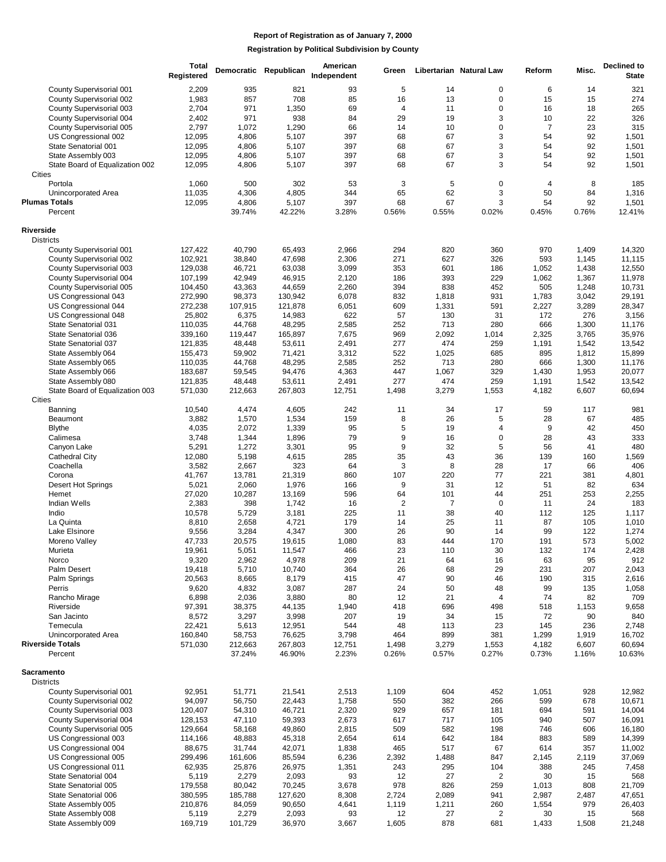|                                 | <b>Total</b><br>Registered |         | Democratic Republican | American<br>Independent | Green                   |                | <b>Libertarian Natural Law</b> | Reform         | Misc. | <b>Declined to</b><br><b>State</b> |
|---------------------------------|----------------------------|---------|-----------------------|-------------------------|-------------------------|----------------|--------------------------------|----------------|-------|------------------------------------|
| County Supervisorial 001        | 2,209                      | 935     | 821                   | 93                      | 5                       | 14             | 0                              | 6              | 14    | 321                                |
| County Supervisorial 002        | 1,983                      | 857     | 708                   | 85                      | 16                      | 13             | 0                              | 15             | 15    | 274                                |
| County Supervisorial 003        | 2,704                      | 971     | 1,350                 | 69                      | 4                       | 11             | 0                              | 16             | 18    | 265                                |
| County Supervisorial 004        | 2,402                      | 971     | 938                   | 84                      | 29                      | 19             | 3                              | 10             | 22    | 326                                |
| County Supervisorial 005        | 2,797                      | 1,072   | 1,290                 | 66                      | 14                      | 10             | 0                              | $\overline{7}$ | 23    | 315                                |
| US Congressional 002            | 12,095                     | 4,806   | 5,107                 | 397                     | 68                      | 67             | 3                              | 54             | 92    | 1,501                              |
| State Senatorial 001            | 12,095                     | 4,806   | 5,107                 | 397                     | 68                      | 67             | 3                              | 54             | 92    | 1,501                              |
| State Assembly 003              | 12,095                     | 4,806   | 5,107                 | 397                     | 68                      | 67             | 3                              | 54             | 92    | 1,501                              |
| State Board of Equalization 002 | 12,095                     | 4,806   | 5,107                 | 397                     | 68                      | 67             | 3                              | 54             | 92    | 1,501                              |
| Cities                          |                            |         |                       |                         |                         |                |                                |                |       |                                    |
| Portola                         | 1,060                      | 500     | 302                   | 53                      | 3                       | 5              | 0                              | $\overline{4}$ | 8     | 185                                |
| Unincorporated Area             | 11,035                     | 4,306   | 4,805                 | 344                     | 65                      | 62             | 3                              | 50             | 84    | 1,316                              |
| <b>Plumas Totals</b>            | 12,095                     | 4,806   | 5,107                 | 397                     | 68                      | 67             | 3                              | 54             | 92    | 1,501                              |
| Percent                         |                            | 39.74%  | 42.22%                | 3.28%                   | 0.56%                   | 0.55%          | 0.02%                          | 0.45%          | 0.76% | 12.41%                             |
|                                 |                            |         |                       |                         |                         |                |                                |                |       |                                    |
| Riverside                       |                            |         |                       |                         |                         |                |                                |                |       |                                    |
| <b>Districts</b>                |                            |         |                       |                         |                         |                |                                |                |       |                                    |
| County Supervisorial 001        | 127,422                    | 40,790  | 65,493                | 2,966                   | 294                     | 820            | 360                            | 970            | 1,409 | 14,320                             |
| County Supervisorial 002        | 102,921                    | 38,840  | 47,698                | 2,306                   | 271                     | 627            | 326                            | 593            | 1,145 | 11,115                             |
| County Supervisorial 003        | 129,038                    | 46,721  | 63,038                | 3,099                   | 353                     | 601            | 186                            | 1,052          | 1,438 | 12,550                             |
| County Supervisorial 004        | 107,199                    | 42,949  | 46,915                | 2,120                   | 186                     | 393            | 229                            | 1,062          | 1,367 | 11,978                             |
|                                 | 104,450                    | 43,363  | 44,659                | 2,260                   | 394                     | 838            | 452                            | 505            | 1,248 | 10,731                             |
| County Supervisorial 005        | 272.990                    |         |                       | 6,078                   | 832                     | 1,818          | 931                            |                | 3,042 |                                    |
| US Congressional 043            |                            | 98,373  | 130,942               |                         |                         |                |                                | 1,783          |       | 29,191                             |
| US Congressional 044            | 272,238                    | 107,915 | 121,878               | 6,051                   | 609                     | 1,331          | 591                            | 2,227          | 3,289 | 28,347                             |
| US Congressional 048            | 25,802                     | 6,375   | 14,983                | 622                     | 57                      | 130            | 31                             | 172            | 276   | 3,156                              |
| State Senatorial 031            | 110,035                    | 44,768  | 48,295                | 2,585                   | 252                     | 713            | 280                            | 666            | 1,300 | 11,176                             |
| State Senatorial 036            | 339,160                    | 119,447 | 165,897               | 7,675                   | 969                     | 2,092          | 1,014                          | 2,325          | 3,765 | 35,976                             |
| State Senatorial 037            | 121,835                    | 48,448  | 53,611                | 2,491                   | 277                     | 474            | 259                            | 1,191          | 1,542 | 13,542                             |
| State Assembly 064              | 155,473                    | 59,902  | 71,421                | 3,312                   | 522                     | 1,025          | 685                            | 895            | 1,812 | 15,899                             |
| State Assembly 065              | 110,035                    | 44,768  | 48,295                | 2,585                   | 252                     | 713            | 280                            | 666            | 1,300 | 11,176                             |
| State Assembly 066              | 183,687                    | 59,545  | 94,476                | 4,363                   | 447                     | 1,067          | 329                            | 1,430          | 1,953 | 20,077                             |
| State Assembly 080              | 121,835                    | 48,448  | 53,611                | 2,491                   | 277                     | 474            | 259                            | 1,191          | 1,542 | 13,542                             |
| State Board of Equalization 003 | 571,030                    | 212,663 | 267,803               | 12,751                  | 1,498                   | 3,279          | 1,553                          | 4,182          | 6,607 | 60,694                             |
| Cities                          |                            |         |                       |                         |                         |                |                                |                |       |                                    |
| Banning                         | 10,540                     | 4,474   | 4,605                 | 242                     | 11                      | 34             | 17                             | 59             | 117   | 981                                |
| Beaumont                        | 3,882                      | 1,570   | 1,534                 | 159                     | 8                       | 26             | 5                              | 28             | 67    | 485                                |
| <b>Blythe</b>                   | 4,035                      | 2,072   | 1,339                 | 95                      | 5                       | 19             | 4                              | 9              | 42    | 450                                |
| Calimesa                        | 3,748                      | 1,344   | 1,896                 | 79                      | 9                       | 16             | 0                              | 28             | 43    | 333                                |
| Canyon Lake                     | 5,291                      | 1,272   | 3,301                 | 95                      | 9                       | 32             | 5                              | 56             | 41    | 480                                |
| <b>Cathedral City</b>           | 12,080                     | 5,198   | 4,615                 | 285                     | 35                      | 43             | 36                             | 139            | 160   | 1,569                              |
| Coachella                       | 3,582                      | 2,667   | 323                   | 64                      | 3                       | 8              | 28                             | 17             | 66    | 406                                |
|                                 |                            |         |                       | 860                     | 107                     | 220            | 77                             | 221            |       |                                    |
| Corona                          | 41,767                     | 13,781  | 21,319                |                         | 9                       |                |                                |                | 381   | 4,801                              |
| Desert Hot Springs              | 5,021                      | 2,060   | 1,976                 | 166                     |                         | 31             | 12                             | 51             | 82    | 634                                |
| Hemet                           | 27,020                     | 10,287  | 13,169                | 596                     | 64                      | 101            | 44                             | 251            | 253   | 2,255                              |
| Indian Wells                    | 2,383                      | 398     | 1,742                 | 16                      | $\overline{\mathbf{c}}$ | $\overline{7}$ | $\mathbf 0$                    | 11             | 24    | 183                                |
| Indio                           | 10,578                     | 5,729   | 3,181                 | 225                     | 11                      | 38             | 40                             | 112            | 125   | 1,117                              |
| La Quinta                       | 8,810                      | 2,658   | 4,721                 | 179                     | 14                      | 25             | 11                             | 87             | 105   | 1,010                              |
| Lake Elsinore                   | 9,556                      | 3,284   | 4,347                 | 300                     | 26                      | 90             | 14                             | 99             | 122   | 1,274                              |
| Moreno Valley                   | 47,733                     | 20,575  | 19,615                | 1,080                   | 83                      | 444            | 170                            | 191            | 573   | 5,002                              |
| Murieta                         | 19,961                     | 5,051   | 11,547                | 466                     | 23                      | 110            | 30                             | 132            | 174   | 2,428                              |
| Norco                           | 9,320                      | 2,962   | 4,978                 | 209                     | 21                      | 64             | 16                             | 63             | 95    | 912                                |
| Palm Desert                     | 19,418                     | 5,710   | 10,740                | 364                     | 26                      | 68             | 29                             | 231            | 207   | 2,043                              |
| Palm Springs                    | 20,563                     | 8,665   | 8,179                 | 415                     | 47                      | 90             | 46                             | 190            | 315   | 2,616                              |
| Perris                          | 9,620                      | 4,832   | 3,087                 | 287                     | 24                      | 50             | 48                             | 99             | 135   | 1,058                              |
| Rancho Mirage                   | 6,898                      | 2,036   | 3,880                 | 80                      | 12                      | 21             | 4                              | 74             | 82    | 709                                |
| Riverside                       | 97,391                     | 38,375  | 44,135                | 1,940                   | 418                     | 696            | 498                            | 518            | 1,153 | 9,658                              |
| San Jacinto                     | 8,572                      | 3,297   | 3,998                 | 207                     | 19                      | 34             | 15                             | 72             | 90    | 840                                |
| Temecula                        | 22,421                     | 5,613   | 12,951                | 544                     | 48                      | 113            | 23                             | 145            | 236   | 2,748                              |
| Unincorporated Area             | 160,840                    | 58,753  | 76,625                | 3,798                   | 464                     | 899            | 381                            | 1,299          | 1,919 | 16,702                             |
| <b>Riverside Totals</b>         | 571,030                    | 212,663 | 267,803               | 12,751                  | 1,498                   | 3,279          | 1,553                          | 4,182          | 6,607 | 60,694                             |
| Percent                         |                            | 37.24%  | 46.90%                | 2.23%                   | 0.26%                   | 0.57%          | 0.27%                          | 0.73%          | 1.16% | 10.63%                             |
|                                 |                            |         |                       |                         |                         |                |                                |                |       |                                    |
| Sacramento                      |                            |         |                       |                         |                         |                |                                |                |       |                                    |
| <b>Districts</b>                |                            |         |                       |                         |                         |                |                                |                |       |                                    |
| County Supervisorial 001        | 92,951                     | 51,771  | 21,541                | 2,513                   | 1,109                   | 604            | 452                            | 1,051          | 928   | 12,982                             |
|                                 |                            |         |                       |                         |                         | 382            |                                |                |       | 10,671                             |
| County Supervisorial 002        | 94,097                     | 56,750  | 22,443                | 1,758                   | 550                     |                | 266                            | 599            | 678   |                                    |
| County Supervisorial 003        | 120,407                    | 54,310  | 46,721                | 2,320                   | 929                     | 657            | 181                            | 694            | 591   | 14,004                             |
| County Supervisorial 004        | 128,153                    | 47,110  | 59,393                | 2,673                   | 617                     | 717            | 105                            | 940            | 507   | 16,091                             |
| County Supervisorial 005        | 129,664                    | 58,168  | 49,860                | 2,815                   | 509                     | 582            | 198                            | 746            | 606   | 16,180                             |
| US Congressional 003            | 114,166                    | 48,883  | 45,318                | 2,654                   | 614                     | 642            | 184                            | 883            | 589   | 14,399                             |
| US Congressional 004            | 88,675                     | 31,744  | 42,071                | 1,838                   | 465                     | 517            | 67                             | 614            | 357   | 11,002                             |
| US Congressional 005            | 299,496                    | 161,606 | 85,594                | 6,236                   | 2,392                   | 1,488          | 847                            | 2,145          | 2,119 | 37,069                             |
| US Congressional 011            | 62,935                     | 25,876  | 26,975                | 1,351                   | 243                     | 295            | 104                            | 388            | 245   | 7,458                              |
| State Senatorial 004            | 5,119                      | 2,279   | 2,093                 | 93                      | 12                      | 27             | 2                              | 30             | 15    | 568                                |
| State Senatorial 005            | 179,558                    | 80,042  | 70,245                | 3,678                   | 978                     | 826            | 259                            | 1,013          | 808   | 21,709                             |
| State Senatorial 006            | 380,595                    | 185,788 | 127,620               | 8,308                   | 2,724                   | 2,089          | 941                            | 2,987          | 2,487 | 47,651                             |
| State Assembly 005              | 210,876                    | 84,059  | 90,650                | 4,641                   | 1,119                   | 1,211          | 260                            | 1,554          | 979   | 26,403                             |
| State Assembly 008              | 5,119                      | 2,279   | 2,093                 | 93                      | 12                      | 27             | 2                              | 30             | 15    | 568                                |
| State Assembly 009              | 169,719                    | 101,729 | 36,970                | 3,667                   | 1,605                   | 878            | 681                            | 1,433          | 1,508 | 21,248                             |
|                                 |                            |         |                       |                         |                         |                |                                |                |       |                                    |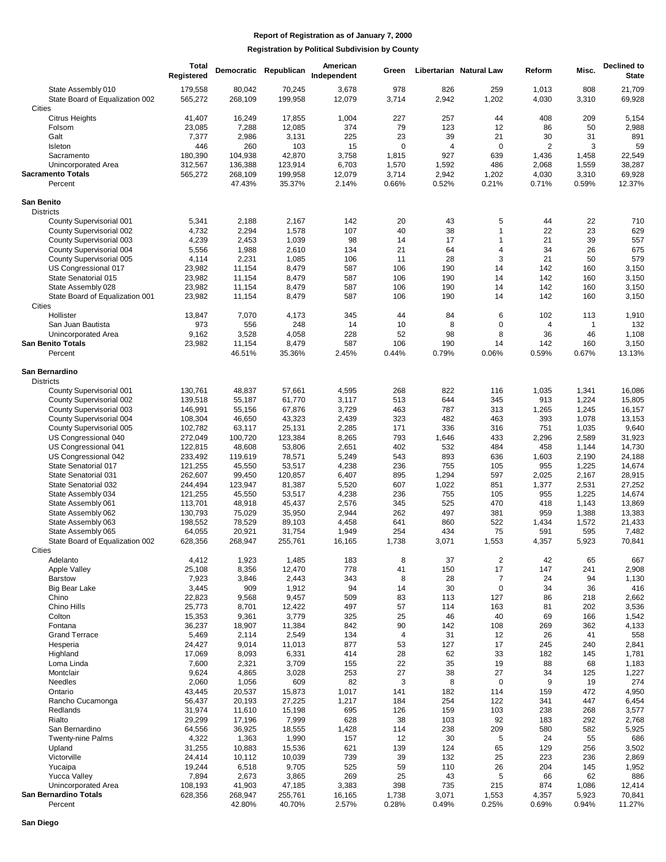|                                                       | <b>Total</b><br>Registered |                   | Democratic Republican | American<br>Independent | Green          |              | Libertarian Natural Law | Reform         | Misc.          | <b>Declined to</b><br><b>State</b> |
|-------------------------------------------------------|----------------------------|-------------------|-----------------------|-------------------------|----------------|--------------|-------------------------|----------------|----------------|------------------------------------|
| State Assembly 010<br>State Board of Equalization 002 | 179,558<br>565,272         | 80,042<br>268,109 | 70,245<br>199,958     | 3,678<br>12,079         | 978<br>3,714   | 826<br>2,942 | 259<br>1,202            | 1,013<br>4,030 | 808<br>3,310   | 21,709<br>69,928                   |
| Cities<br><b>Citrus Heights</b>                       | 41,407                     | 16,249            | 17,855                | 1,004                   | 227            | 257          | 44                      | 408            | 209            | 5,154                              |
| Folsom                                                | 23,085                     | 7,288             | 12,085                | 374                     | 79             | 123          | 12                      | 86             | 50             | 2,988                              |
| Galt                                                  | 7,377                      | 2,986             | 3,131                 | 225                     | 23             | 39           | 21                      | 30             | 31             | 891                                |
| Isleton                                               | 446                        | 260               | 103                   | 15                      | 0              | 4            | 0                       | 2              | 3              | 59                                 |
| Sacramento                                            | 180,390                    | 104,938           | 42,870                | 3,758                   | 1,815          | 927          | 639                     | 1,436          | 1,458          | 22,549                             |
| <b>Unincorporated Area</b>                            | 312,567                    | 136,388           | 123,914               | 6,703                   | 1,570          | 1,592        | 486                     | 2,068          | 1,559          | 38,287                             |
| <b>Sacramento Totals</b>                              | 565,272                    | 268,109           | 199,958               | 12,079                  | 3,714          | 2,942        | 1,202                   | 4,030          | 3,310          | 69,928                             |
| Percent                                               |                            | 47.43%            | 35.37%                | 2.14%                   | 0.66%          | 0.52%        | 0.21%                   | 0.71%          | 0.59%          | 12.37%                             |
| San Benito                                            |                            |                   |                       |                         |                |              |                         |                |                |                                    |
| <b>Districts</b><br>County Supervisorial 001          | 5,341                      | 2,188             | 2,167                 | 142                     | 20             | 43           | 5                       | 44             | 22             | 710                                |
| County Supervisorial 002                              | 4,732                      | 2,294             | 1,578                 | 107                     | 40             | 38           | 1                       | 22             | 23             | 629                                |
| County Supervisorial 003                              | 4,239                      | 2,453             | 1,039                 | 98                      | 14             | 17           | 1                       | 21             | 39             | 557                                |
| County Supervisorial 004                              | 5,556                      | 1,988             | 2,610                 | 134                     | 21             | 64           | 4                       | 34             | 26             | 675                                |
| County Supervisorial 005                              | 4,114                      | 2,231             | 1,085                 | 106                     | 11             | 28           | 3                       | 21             | 50             | 579                                |
| US Congressional 017                                  | 23,982                     | 11,154            | 8,479                 | 587                     | 106            | 190          | 14                      | 142            | 160            | 3,150                              |
| State Senatorial 015                                  | 23,982                     | 11,154            | 8,479                 | 587                     | 106            | 190          | 14                      | 142            | 160            | 3,150                              |
| State Assembly 028                                    | 23,982                     | 11,154            | 8,479                 | 587                     | 106            | 190          | 14                      | 142            | 160            | 3,150                              |
| State Board of Equalization 001                       | 23,982                     | 11,154            | 8,479                 | 587                     | 106            | 190          | 14                      | 142            | 160            | 3,150                              |
| Cities                                                |                            |                   |                       |                         |                |              |                         |                |                |                                    |
| Hollister                                             | 13,847                     | 7,070             | 4,173                 | 345                     | 44             | 84           | 6                       | 102            | 113            | 1,910                              |
| San Juan Bautista                                     | 973                        | 556               | 248                   | 14                      | 10             | 8            | 0                       | 4              | 1              | 132                                |
| Unincorporated Area                                   | 9,162                      | 3,528             | 4,058                 | 228                     | 52             | 98           | 8                       | 36             | 46             | 1,108                              |
| San Benito Totals<br>Percent                          | 23,982                     | 11,154<br>46.51%  | 8,479<br>35.36%       | 587<br>2.45%            | 106<br>0.44%   | 190<br>0.79% | 14<br>0.06%             | 142<br>0.59%   | 160<br>0.67%   | 3,150<br>13.13%                    |
|                                                       |                            |                   |                       |                         |                |              |                         |                |                |                                    |
| San Bernardino                                        |                            |                   |                       |                         |                |              |                         |                |                |                                    |
| <b>Districts</b>                                      |                            |                   |                       |                         |                |              |                         |                |                |                                    |
| County Supervisorial 001                              | 130,761                    | 48,837            | 57,661                | 4,595                   | 268            | 822          | 116                     | 1,035          | 1,341          | 16,086                             |
| County Supervisorial 002                              | 139,518                    | 55,187            | 61,770                | 3,117                   | 513            | 644          | 345                     | 913            | 1,224          | 15,805                             |
| County Supervisorial 003                              | 146,991                    | 55,156            | 67,876                | 3,729                   | 463            | 787          | 313                     | 1,265          | 1,245          | 16,157                             |
| County Supervisorial 004                              | 108,304                    | 46,650            | 43,323                | 2,439                   | 323            | 482          | 463                     | 393            | 1,078          | 13,153                             |
| County Supervisorial 005                              | 102,782                    | 63,117            | 25,131                | 2,285                   | 171            | 336          | 316                     | 751            | 1,035          | 9,640                              |
| US Congressional 040                                  | 272,049                    | 100,720           | 123,384               | 8,265                   | 793            | 1,646        | 433                     | 2,296          | 2,589          | 31,923                             |
| US Congressional 041                                  | 122,815                    | 48,608            | 53,806                | 2,651                   | 402            | 532          | 484                     | 458            | 1,144          | 14,730                             |
| US Congressional 042                                  | 233,492                    | 119,619           | 78,571                | 5,249                   | 543            | 893          | 636                     | 1,603          | 2,190          | 24,188                             |
| State Senatorial 017                                  | 121,255                    | 45,550            | 53,517                | 4,238                   | 236            | 755          | 105                     | 955            | 1,225          | 14,674                             |
| State Senatorial 031                                  | 262,607                    | 99,450            | 120,857               | 6,407                   | 895            | 1,294        | 597                     | 2,025          | 2,167          | 28,915                             |
| State Senatorial 032                                  | 244,494                    | 123,947           | 81,387                | 5,520                   | 607            | 1,022        | 851                     | 1,377          | 2,531          | 27,252                             |
| State Assembly 034                                    | 121,255                    | 45,550            | 53,517                | 4,238                   | 236            | 755<br>525   | 105                     | 955            | 1,225          | 14,674                             |
| State Assembly 061<br>State Assembly 062              | 113,701<br>130,793         | 48,918<br>75,029  | 45,437<br>35,950      | 2,576<br>2,944          | 345<br>262     | 497          | 470<br>381              | 418<br>959     | 1,143<br>1,388 | 13,869<br>13,383                   |
| State Assembly 063                                    | 198,552                    | 78,529            | 89,103                | 4,458                   | 641            | 860          | 522                     | 1,434          | 1,572          | 21,433                             |
| State Assembly 065                                    | 64,055                     | 20,921            | 31,754                | 1,949                   | 254            | 434          | 75                      | 591            | 595            | 7,482                              |
| State Board of Equalization 002                       | 628,356                    | 268,947           | 255,761               | 16,165                  | 1,738          | 3,071        | 1,553                   | 4,357          | 5,923          | 70,841                             |
| Cities                                                |                            |                   |                       |                         |                |              |                         |                |                |                                    |
| Adelanto                                              | 4,412                      | 1,923             | 1,485                 | 183                     | 8              | 37           | $\overline{2}$          | 42             | 65             | 667                                |
| Apple Valley                                          | 25,108                     | 8,356             | 12,470                | 778                     | 41             | 150          | 17                      | 147            | 241            | 2,908                              |
| <b>Barstow</b>                                        | 7,923                      | 3,846             | 2,443                 | 343                     | 8              | 28           | $\overline{7}$          | 24             | 94             | 1,130                              |
| Big Bear Lake                                         | 3,445                      | 909               | 1,912                 | 94                      | 14             | 30           | $\mathbf 0$             | 34             | 36             | 416                                |
| Chino                                                 | 22,823                     | 9,568             | 9,457                 | 509                     | 83             | 113          | 127                     | 86             | 218            | 2,662                              |
| Chino Hills                                           | 25,773                     | 8,701             | 12,422                | 497                     | 57             | 114          | 163                     | 81             | 202            | 3,536                              |
| Colton                                                | 15,353                     | 9,361             | 3,779                 | 325                     | 25             | 46           | 40                      | 69             | 166            | 1,542                              |
| Fontana                                               | 36,237                     | 18,907            | 11,384                | 842                     | 90             | 142          | 108                     | 269            | 362            | 4,133                              |
| <b>Grand Terrace</b>                                  | 5,469                      | 2,114             | 2,549                 | 134                     | $\overline{4}$ | 31           | 12                      | 26             | 41             | 558                                |
| Hesperia                                              | 24,427                     | 9,014             | 11,013                | 877                     | 53             | 127          | 17                      | 245            | 240            | 2,841                              |
| Highland                                              | 17,069                     | 8,093             | 6,331                 | 414                     | 28             | 62           | 33                      | 182            | 145            | 1,781                              |
| Loma Linda                                            | 7,600                      | 2,321             | 3,709                 | 155                     | 22             | 35           | 19                      | 88             | 68             | 1,183                              |
| Montclair                                             | 9,624                      | 4,865             | 3,028                 | 253                     | 27             | 38           | 27                      | 34             | 125            | 1,227                              |
| Needles                                               | 2,060                      | 1,056             | 609                   | 82                      | 3              | 8            | $\mathbf 0$             | 9              | 19             | 274                                |
| Ontario                                               | 43,445                     | 20,537            | 15,873                | 1,017                   | 141            | 182          | 114                     | 159            | 472            | 4,950                              |
| Rancho Cucamonga                                      | 56,437                     | 20,193            | 27,225                | 1,217                   | 184            | 254          | 122                     | 341            | 447            | 6,454                              |
| Redlands                                              | 31,974                     | 11,610            | 15,198                | 695                     | 126            | 159          | 103                     | 238            | 268            | 3,577                              |
| Rialto                                                | 29,299                     | 17,196            | 7,999                 | 628                     | 38             | 103          | 92                      | 183            | 292            | 2,768                              |
| San Bernardino                                        | 64,556                     | 36,925            | 18,555                | 1,428                   | 114            | 238          | 209                     | 580            | 582            | 5,925                              |
| <b>Twenty-nine Palms</b>                              | 4,322                      | 1,363             | 1,990                 | 157                     | 12             | 30           | 5                       | 24             | 55             | 686                                |
| Upland                                                | 31,255                     | 10,883            | 15,536                | 621                     | 139            | 124          | 65                      | 129            | 256            | 3,502                              |
| Victorville                                           | 24,414                     | 10,112            | 10,039                | 739                     | 39             | 132          | 25                      | 223            | 236            | 2,869                              |
| Yucaipa<br><b>Yucca Valley</b>                        | 19,244<br>7,894            | 6,518<br>2,673    | 9,705<br>3,865        | 525<br>269              | 59<br>25       | 110<br>43    | 26<br>5                 | 204<br>66      | 145<br>62      | 1,952<br>886                       |
| Unincorporated Area                                   |                            |                   |                       |                         | 398            | 735          |                         |                |                |                                    |
| San Bernardino Totals                                 | 108,193<br>628,356         | 41,903<br>268,947 | 47,185<br>255,761     | 3,383<br>16,165         | 1,738          | 3,071        | 215<br>1,553            | 874<br>4,357   | 1,086<br>5,923 | 12,414<br>70,841                   |
| Percent                                               |                            | 42.80%            | 40.70%                | 2.57%                   | 0.28%          | 0.49%        | 0.25%                   | 0.69%          | 0.94%          | 11.27%                             |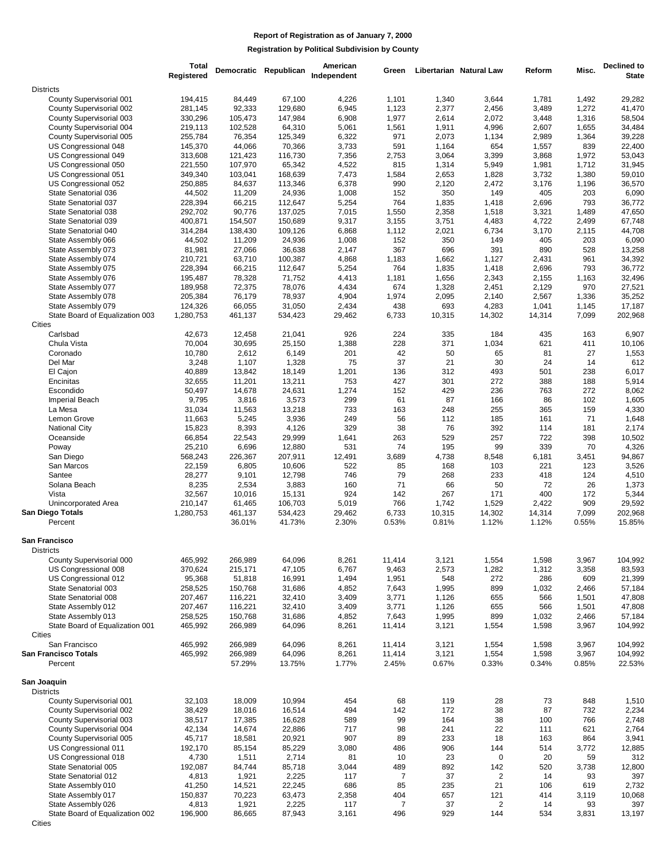|                                                      | <b>Total</b><br>Registered |                   | Democratic Republican | American<br>Independent | Green           |                | Libertarian Natural Law | Reform         | Misc.          | Declined to<br><b>State</b> |
|------------------------------------------------------|----------------------------|-------------------|-----------------------|-------------------------|-----------------|----------------|-------------------------|----------------|----------------|-----------------------------|
|                                                      |                            |                   |                       |                         |                 |                |                         |                |                |                             |
| <b>Districts</b><br>County Supervisorial 001         | 194,415                    | 84,449            | 67,100                | 4,226                   | 1,101           | 1,340          | 3,644                   | 1,781          | 1,492          | 29,282                      |
| County Supervisorial 002                             | 281,145                    | 92,333            | 129,680               | 6,945                   | 1,123           | 2,377          | 2,456                   | 3,489          | 1,272          | 41,470                      |
| County Supervisorial 003                             | 330,296                    | 105,473           | 147,984               | 6,908                   | 1,977           | 2,614          | 2,072                   | 3,448          | 1,316          | 58,504                      |
| County Supervisorial 004                             | 219,113                    | 102,528           | 64,310                | 5,061                   | 1,561           | 1,911          | 4,996                   | 2,607          | 1,655          | 34,484                      |
| County Supervisorial 005                             | 255,784                    | 76,354            | 125,349               | 6,322                   | 971             | 2,073          | 1,134                   | 2,989          | 1,364          | 39,228                      |
| US Congressional 048                                 | 145,370                    | 44,066            | 70,366                | 3,733                   | 591             | 1,164          | 654                     | 1,557          | 839            | 22,400                      |
| US Congressional 049                                 | 313,608                    | 121,423           | 116,730               | 7,356                   | 2,753           | 3,064          | 3,399                   | 3,868          | 1,972          | 53,043                      |
| US Congressional 050                                 | 221,550                    | 107,970           | 65,342                | 4,522                   | 815             | 1,314          | 5,949                   | 1,981          | 1,712          | 31,945                      |
| US Congressional 051                                 | 349,340                    | 103,041           | 168,639               | 7,473                   | 1,584           | 2,653          | 1,828                   | 3,732          | 1,380          | 59,010                      |
| US Congressional 052                                 | 250,885                    | 84,637            | 113,346               | 6,378                   | 990             | 2,120          | 2,472                   | 3,176          | 1,196          | 36,570                      |
| State Senatorial 036                                 | 44,502                     | 11,209            | 24,936                | 1,008                   | 152             | 350            | 149                     | 405            | 203            | 6,090                       |
| State Senatorial 037<br>State Senatorial 038         | 228,394                    | 66,215            | 112,647               | 5,254                   | 764             | 1,835          | 1,418                   | 2,696          | 793            | 36,772                      |
| State Senatorial 039                                 | 292,702<br>400,871         | 90,776<br>154,507 | 137,025<br>150,689    | 7,015<br>9,317          | 1,550<br>3,155  | 2,358<br>3,751 | 1,518<br>4,483          | 3,321<br>4,722 | 1,489<br>2,499 | 47,650<br>67,748            |
| State Senatorial 040                                 | 314,284                    | 138,430           | 109,126               | 6,868                   | 1,112           | 2,021          | 6,734                   | 3,170          | 2,115          | 44,708                      |
| State Assembly 066                                   | 44,502                     | 11,209            | 24,936                | 1,008                   | 152             | 350            | 149                     | 405            | 203            | 6,090                       |
| State Assembly 073                                   | 81,981                     | 27,066            | 36,638                | 2,147                   | 367             | 696            | 391                     | 890            | 528            | 13,258                      |
| State Assembly 074                                   | 210,721                    | 63,710            | 100,387               | 4,868                   | 1,183           | 1,662          | 1,127                   | 2,431          | 961            | 34,392                      |
| State Assembly 075                                   | 228,394                    | 66,215            | 112,647               | 5,254                   | 764             | 1,835          | 1,418                   | 2,696          | 793            | 36,772                      |
| State Assembly 076                                   | 195,487                    | 78,328            | 71,752                | 4,413                   | 1,181           | 1,656          | 2,343                   | 2,155          | 1,163          | 32,496                      |
| State Assembly 077                                   | 189,958                    | 72,375            | 78,076                | 4,434                   | 674             | 1,328          | 2,451                   | 2,129          | 970            | 27,521                      |
| State Assembly 078                                   | 205,384                    | 76,179            | 78,937                | 4,904                   | 1,974           | 2,095          | 2,140                   | 2,567          | 1,336          | 35,252                      |
| State Assembly 079                                   | 124,326                    | 66,055            | 31,050                | 2,434                   | 438             | 693            | 4,283                   | 1,041          | 1,145          | 17,187                      |
| State Board of Equalization 003                      | 1,280,753                  | 461,137           | 534,423               | 29,462                  | 6,733           | 10,315         | 14,302                  | 14,314         | 7,099          | 202,968                     |
| Cities                                               |                            |                   |                       |                         |                 |                |                         |                |                |                             |
| Carlsbad                                             | 42,673                     | 12,458            | 21,041                | 926                     | 224             | 335            | 184                     | 435            | 163            | 6,907                       |
| Chula Vista                                          | 70,004                     | 30,695            | 25,150                | 1,388                   | 228             | 371            | 1,034                   | 621            | 411            | 10,106                      |
| Coronado                                             | 10,780                     | 2,612             | 6,149                 | 201                     | 42              | 50             | 65                      | 81             | 27             | 1,553                       |
| Del Mar                                              | 3,248<br>40,889            | 1,107<br>13,842   | 1,328<br>18,149       | 75<br>1,201             | 37<br>136       | 21<br>312      | 30<br>493               | 24<br>501      | 14<br>238      | 612<br>6,017                |
| El Cajon<br>Encinitas                                | 32,655                     | 11,201            | 13,211                | 753                     | 427             | 301            | 272                     | 388            | 188            | 5,914                       |
| Escondido                                            | 50,497                     | 14,678            | 24,631                | 1,274                   | 152             | 429            | 236                     | 763            | 272            | 8,062                       |
| Imperial Beach                                       | 9,795                      | 3,816             | 3,573                 | 299                     | 61              | 87             | 166                     | 86             | 102            | 1,605                       |
| La Mesa                                              | 31,034                     | 11,563            | 13,218                | 733                     | 163             | 248            | 255                     | 365            | 159            | 4,330                       |
| Lemon Grove                                          | 11,663                     | 5,245             | 3,936                 | 249                     | 56              | 112            | 185                     | 161            | 71             | 1,648                       |
| <b>National City</b>                                 | 15,823                     | 8,393             | 4,126                 | 329                     | 38              | 76             | 392                     | 114            | 181            | 2,174                       |
| Oceanside                                            | 66,854                     | 22,543            | 29,999                | 1,641                   | 263             | 529            | 257                     | 722            | 398            | 10,502                      |
| Poway                                                | 25,210                     | 6,696             | 12,880                | 531                     | 74              | 195            | 99                      | 339            | 70             | 4,326                       |
| San Diego                                            | 568,243                    | 226,367           | 207,911               | 12,491                  | 3,689           | 4,738          | 8,548                   | 6,181          | 3,451          | 94,867                      |
| San Marcos                                           | 22,159                     | 6,805             | 10,606                | 522                     | 85              | 168            | 103                     | 221            | 123            | 3,526                       |
| Santee                                               | 28,277                     | 9,101             | 12,798                | 746                     | 79              | 268            | 233                     | 418            | 124            | 4,510                       |
| Solana Beach                                         | 8,235                      | 2,534             | 3,883                 | 160                     | 71              | 66             | 50                      | 72             | 26             | 1,373<br>5,344              |
| Vista<br>Unincorporated Area                         | 32,567<br>210,147          | 10,016            | 15,131<br>106,703     | 924<br>5,019            | 142<br>766      | 267<br>1,742   | 171                     | 400<br>2,422   | 172<br>909     | 29,592                      |
| San Diego Totals                                     | 1,280,753                  | 61,465<br>461,137 | 534,423               | 29,462                  | 6,733           | 10,315         | 1,529<br>14,302         | 14,314         | 7,099          | 202,968                     |
| Percent                                              |                            | 36.01%            | 41.73%                | 2.30%                   | 0.53%           | 0.81%          | 1.12%                   | 1.12%          | 0.55%          | 15.85%                      |
|                                                      |                            |                   |                       |                         |                 |                |                         |                |                |                             |
| San Francisco<br><b>Districts</b>                    |                            |                   |                       |                         |                 |                |                         |                |                |                             |
| County Supervisorial 000                             | 465,992                    | 266,989           | 64,096                | 8,261                   | 11,414          | 3,121          | 1,554                   | 1,598          | 3,967          | 104,992                     |
| US Congressional 008                                 | 370,624                    | 215,171           | 47,105                | 6,767                   | 9,463           | 2,573          | 1,282                   | 1,312          | 3,358          | 83,593                      |
| US Congressional 012                                 | 95,368                     | 51,818            | 16,991                | 1,494                   | 1,951           | 548            | 272                     | 286            | 609            | 21,399                      |
| State Senatorial 003                                 | 258,525                    | 150,768           | 31,686                | 4,852                   | 7,643           | 1,995          | 899                     | 1,032          | 2,466          | 57,184                      |
| State Senatorial 008                                 | 207,467                    | 116,221           | 32,410                | 3,409                   | 3,771           | 1,126          | 655                     | 566            | 1,501          | 47,808                      |
| State Assembly 012                                   | 207,467                    | 116,221           | 32,410                | 3,409                   | 3,771           | 1,126          | 655                     | 566            | 1,501          | 47,808                      |
| State Assembly 013                                   | 258,525                    | 150,768           | 31,686                | 4,852                   | 7,643           | 1,995          | 899                     | 1,032          | 2,466          | 57,184                      |
| State Board of Equalization 001                      | 465,992                    | 266,989           | 64,096                | 8,261                   | 11,414          | 3,121          | 1,554                   | 1,598          | 3,967          | 104,992                     |
| Cities                                               |                            |                   |                       |                         |                 |                |                         |                |                |                             |
| San Francisco                                        | 465,992                    | 266,989           | 64,096                | 8,261                   | 11,414          | 3,121          | 1,554                   | 1,598          | 3,967          | 104,992                     |
| San Francisco Totals<br>Percent                      | 465,992                    | 266,989<br>57.29% | 64,096<br>13.75%      | 8,261<br>1.77%          | 11,414<br>2.45% | 3,121<br>0.67% | 1,554<br>0.33%          | 1,598<br>0.34% | 3,967<br>0.85% | 104,992<br>22.53%           |
|                                                      |                            |                   |                       |                         |                 |                |                         |                |                |                             |
| San Joaquin                                          |                            |                   |                       |                         |                 |                |                         |                |                |                             |
| <b>Districts</b>                                     |                            |                   |                       |                         |                 |                |                         |                |                |                             |
| County Supervisorial 001                             | 32,103                     | 18,009            | 10,994                | 454                     | 68              | 119            | 28                      | 73             | 848            | 1,510                       |
| County Supervisorial 002                             | 38,429                     | 18,016            | 16,514                | 494                     | 142             | 172            | 38                      | 87             | 732            | 2,234                       |
| County Supervisorial 003<br>County Supervisorial 004 | 38,517<br>42,134           | 17,385<br>14,674  | 16,628<br>22,886      | 589<br>717              | 99<br>98        | 164<br>241     | 38<br>22                | 100<br>111     | 766<br>621     | 2,748<br>2,764              |
| County Supervisorial 005                             | 45,717                     | 18,581            | 20,921                | 907                     | 89              | 233            | 18                      | 163            | 864            | 3,941                       |
| US Congressional 011                                 | 192,170                    | 85,154            | 85,229                | 3,080                   | 486             | 906            | 144                     | 514            | 3,772          | 12,885                      |
| US Congressional 018                                 | 4,730                      | 1,511             | 2,714                 | 81                      | 10              | 23             | 0                       | 20             | 59             | 312                         |
| State Senatorial 005                                 | 192,087                    | 84,744            | 85,718                | 3,044                   | 489             | 892            | 142                     | 520            | 3,738          | 12,800                      |
| State Senatorial 012                                 | 4,813                      | 1,921             | 2,225                 | 117                     | 7               | 37             | 2                       | 14             | 93             | 397                         |
| State Assembly 010                                   | 41,250                     | 14,521            | 22,245                | 686                     | 85              | 235            | 21                      | 106            | 619            | 2,732                       |
| State Assembly 017                                   | 150,837                    | 70,223            | 63,473                | 2,358                   | 404             | 657            | 121                     | 414            | 3,119          | 10,068                      |
| State Assembly 026                                   | 4,813                      | 1,921             | 2,225                 | 117                     | 7               | 37             | $\overline{c}$          | 14             | 93             | 397                         |
| State Board of Equalization 002                      | 196,900                    | 86,665            | 87,943                | 3,161                   | 496             | 929            | 144                     | 534            | 3,831          | 13,197                      |
| Cities                                               |                            |                   |                       |                         |                 |                |                         |                |                |                             |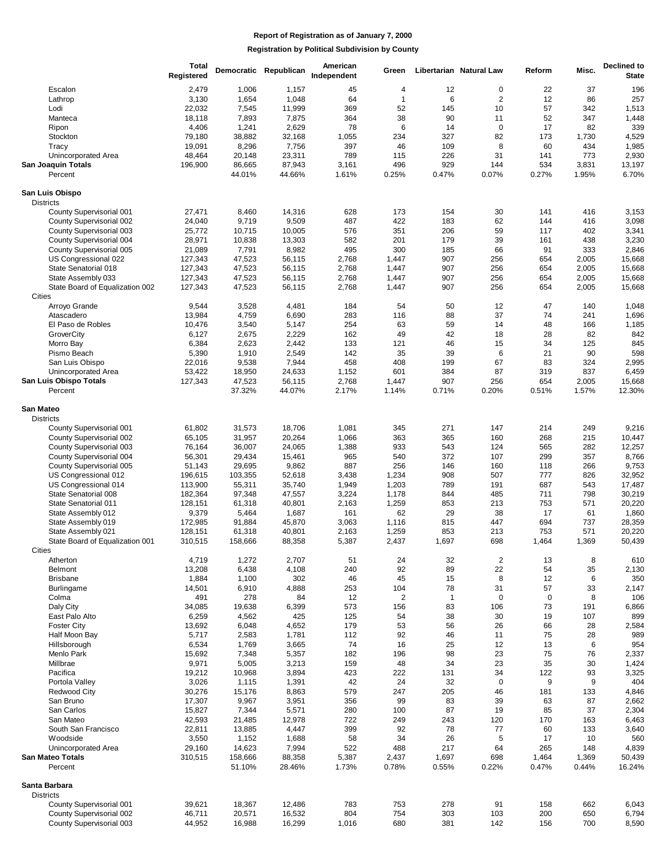|                                              | <b>Total</b><br>Registered |                 | Democratic Republican | American<br>Independent | Green        |                | Libertarian Natural Law | Reform     | Misc.      | Declined to<br><b>State</b> |
|----------------------------------------------|----------------------------|-----------------|-----------------------|-------------------------|--------------|----------------|-------------------------|------------|------------|-----------------------------|
| Escalon                                      | 2,479                      | 1,006           | 1,157                 | 45                      | 4            | 12             | 0                       | 22         | 37         | 196                         |
| Lathrop                                      | 3,130                      | 1,654           | 1,048                 | 64                      | $\mathbf{1}$ | 6              | $\overline{c}$          | 12         | 86         | 257                         |
| Lodi                                         | 22,032                     | 7,545           | 11,999                | 369                     | 52           | 145            | 10                      | 57         | 342        | 1,513                       |
| Manteca                                      | 18,118                     | 7,893           | 7,875                 | 364                     | 38           | 90             | 11                      | 52         | 347        | 1,448                       |
| Ripon                                        | 4,406                      | 1,241           | 2,629                 | 78                      | 6            | 14             | 0                       | 17         | 82         | 339                         |
| Stockton                                     | 79,180                     | 38,882          | 32,168                | 1,055                   | 234          | 327            | 82                      | 173        | 1,730      | 4,529                       |
| Tracy                                        | 19,091                     | 8,296           | 7,756                 | 397                     | 46           | 109            | 8                       | 60         | 434        | 1,985                       |
| Unincorporated Area                          | 48,464                     | 20,148          | 23,311                | 789                     | 115          | 226            | 31                      | 141        | 773        | 2,930                       |
| San Joaquin Totals                           | 196,900                    | 86,665          | 87,943                | 3,161                   | 496          | 929            | 144                     | 534        | 3,831      | 13,197                      |
| Percent                                      |                            | 44.01%          | 44.66%                | 1.61%                   | 0.25%        | 0.47%          | 0.07%                   | 0.27%      | 1.95%      | 6.70%                       |
| San Luis Obispo                              |                            |                 |                       |                         |              |                |                         |            |            |                             |
| <b>Districts</b>                             |                            |                 |                       |                         |              |                |                         |            |            |                             |
| County Supervisorial 001                     | 27,471                     | 8,460           | 14,316                | 628                     | 173          | 154            | 30                      | 141        | 416        | 3,153                       |
| County Supervisorial 002                     | 24,040                     | 9,719           | 9,509                 | 487                     | 422          | 183            | 62                      | 144        | 416        | 3,098                       |
| County Supervisorial 003                     | 25,772                     | 10,715          | 10,005                | 576<br>582              | 351<br>201   | 206<br>179     | 59<br>39                | 117<br>161 | 402<br>438 | 3,341<br>3,230              |
| County Supervisorial 004                     | 28,971<br>21,089           | 10,838<br>7,791 | 13,303<br>8,982       | 495                     | 300          | 185            | 66                      | 91         | 333        | 2,846                       |
| County Supervisorial 005                     | 127,343                    | 47,523          | 56,115                | 2,768                   | 1,447        | 907            | 256                     | 654        | 2,005      | 15,668                      |
| US Congressional 022<br>State Senatorial 018 | 127,343                    | 47,523          | 56,115                | 2,768                   | 1,447        | 907            | 256                     | 654        | 2,005      | 15,668                      |
| State Assembly 033                           | 127,343                    | 47,523          | 56,115                | 2,768                   | 1,447        | 907            | 256                     | 654        | 2,005      | 15,668                      |
| State Board of Equalization 002              | 127,343                    | 47,523          | 56,115                | 2,768                   | 1,447        | 907            | 256                     | 654        | 2,005      | 15,668                      |
| Cities                                       |                            |                 |                       |                         |              |                |                         |            |            |                             |
| Arroyo Grande                                | 9,544                      | 3,528           | 4,481                 | 184                     | 54           | 50             | 12                      | 47         | 140        | 1,048                       |
| Atascadero                                   | 13,984                     | 4,759           | 6,690                 | 283                     | 116          | 88             | 37                      | 74         | 241        | 1,696                       |
| El Paso de Robles                            | 10,476                     | 3,540           | 5,147                 | 254                     | 63           | 59             | 14                      | 48         | 166        | 1,185                       |
| GroverCity                                   | 6,127                      | 2,675           | 2,229                 | 162                     | 49           | 42             | 18                      | 28         | 82         | 842                         |
| Morro Bay                                    | 6,384                      | 2,623           | 2,442                 | 133                     | 121          | 46             | 15                      | 34         | 125        | 845                         |
| Pismo Beach                                  | 5,390                      | 1,910           | 2,549                 | 142                     | 35           | 39             | 6                       | 21         | 90         | 598                         |
| San Luis Obispo                              | 22,016                     | 9,538           | 7,944                 | 458                     | 408          | 199            | 67                      | 83         | 324        | 2,995                       |
| Unincorporated Area                          | 53,422                     | 18,950          | 24,633                | 1,152                   | 601          | 384            | 87                      | 319        | 837        | 6,459                       |
| San Luis Obispo Totals                       | 127,343                    | 47,523          | 56,115                | 2,768                   | 1,447        | 907            | 256                     | 654        | 2,005      | 15,668                      |
| Percent                                      |                            | 37.32%          | 44.07%                | 2.17%                   | 1.14%        | 0.71%          | 0.20%                   | 0.51%      | 1.57%      | 12.30%                      |
| San Mateo                                    |                            |                 |                       |                         |              |                |                         |            |            |                             |
| <b>Districts</b>                             |                            |                 |                       |                         |              |                |                         |            |            |                             |
| County Supervisorial 001                     | 61,802                     | 31,573          | 18,706                | 1,081                   | 345          | 271            | 147                     | 214        | 249        | 9,216                       |
| County Supervisorial 002                     | 65,105                     | 31,957          | 20,264                | 1,066                   | 363          | 365            | 160                     | 268        | 215        | 10,447                      |
| County Supervisorial 003                     | 76,164                     | 36,007          | 24,065                | 1,388                   | 933          | 543            | 124                     | 565        | 282        | 12,257                      |
| County Supervisorial 004                     | 56,301                     | 29,434          | 15,461                | 965                     | 540          | 372            | 107                     | 299        | 357        | 8,766                       |
| County Supervisorial 005                     | 51,143                     | 29,695          | 9,862                 | 887                     | 256          | 146            | 160                     | 118        | 266        | 9,753                       |
| US Congressional 012                         | 196,615                    | 103,355         | 52,618                | 3,438                   | 1,234        | 908            | 507                     | 777        | 826        | 32,952                      |
| US Congressional 014                         | 113,900                    | 55,311          | 35,740                | 1,949                   | 1,203        | 789            | 191                     | 687        | 543        | 17,487                      |
| State Senatorial 008                         | 182,364                    | 97,348          | 47,557                | 3,224                   | 1,178        | 844            | 485                     | 711        | 798        | 30,219                      |
| State Senatorial 011                         | 128,151                    | 61,318          | 40,801                | 2,163                   | 1,259        | 853            | 213                     | 753        | 571        | 20,220                      |
| State Assembly 012                           | 9,379                      | 5,464           | 1,687                 | 161                     | 62           | 29             | 38                      | 17         | 61         | 1,860                       |
| State Assembly 019                           | 172,985                    | 91,884          | 45,870                | 3,063                   | 1,116        | 815            | 447                     | 694        | 737        | 28,359                      |
| State Assembly 021                           | 128,151                    | 61,318          | 40,801                | 2,163                   | 1,259        | 853            | 213                     | 753        | 571        | 20,220                      |
| State Board of Equalization 001              | 310,515                    | 158,666         | 88,358                | 5,387                   | 2,437        | 1,697          | 698                     | 1,464      | 1,369      | 50,439                      |
| Cities<br>Atherton                           | 4,719                      | 1,272           | 2,707                 | 51                      | 24           | 32             | $\overline{c}$          | 13         | 8          | 610                         |
| Belmont                                      | 13,208                     | 6,438           | 4,108                 | 240                     | 92           | 89             | 22                      | 54         | 35         | 2,130                       |
| <b>Brisbane</b>                              | 1,884                      | 1,100           | 302                   | 46                      | 45           | 15             | 8                       | 12         | 6          | 350                         |
| <b>Burlingame</b>                            | 14,501                     | 6,910           | 4,888                 | 253                     | 104          | 78             | 31                      | 57         | 33         | 2,147                       |
| Colma                                        | 491                        | 278             | 84                    | 12                      | 2            | $\overline{1}$ | 0                       | 0          | 8          | 106                         |
| Daly City                                    | 34,085                     | 19,638          | 6,399                 | 573                     | 156          | 83             | 106                     | 73         | 191        | 6,866                       |
| East Palo Alto                               | 6,259                      | 4,562           | 425                   | 125                     | 54           | 38             | 30                      | 19         | 107        | 899                         |
| <b>Foster City</b>                           | 13,692                     | 6,048           | 4,652                 | 179                     | 53           | 56             | 26                      | 66         | 28         | 2,584                       |
| Half Moon Bay                                | 5,717                      | 2,583           | 1,781                 | 112                     | 92           | 46             | 11                      | 75         | 28         | 989                         |
| Hillsborough                                 | 6,534                      | 1,769           | 3,665                 | 74                      | 16           | 25             | 12                      | 13         | 6          | 954                         |
| Menlo Park                                   | 15,692                     | 7,348           | 5,357                 | 182                     | 196          | 98             | 23                      | 75         | 76         | 2,337                       |
| Millbrae                                     | 9,971                      | 5,005           | 3,213                 | 159                     | 48           | 34             | 23                      | 35         | 30         | 1,424                       |
| Pacifica                                     | 19,212                     | 10,968          | 3,894                 | 423                     | 222          | 131            | 34                      | 122        | 93         | 3,325                       |
| Portola Valley                               | 3,026                      | 1,115           | 1,391                 | 42                      | 24           | 32             | 0                       | 9          | 9          | 404                         |
| <b>Redwood City</b>                          | 30,276                     | 15,176          | 8,863                 | 579                     | 247          | 205            | 46                      | 181        | 133        | 4,846                       |
| San Bruno                                    | 17,307                     | 9,967           | 3,951                 | 356                     | 99           | 83             | 39                      | 63         | 87         | 2,662                       |
| San Carlos                                   | 15,827                     | 7,344           | 5,571                 | 280                     | 100          | 87             | 19                      | 85         | 37         | 2,304                       |
| San Mateo                                    | 42,593                     | 21,485          | 12,978                | 722                     | 249          | 243            | 120                     | 170        | 163        | 6,463                       |
| South San Francisco                          | 22,811                     | 13,885          | 4,447                 | 399                     | 92           | 78             | 77                      | 60         | 133        | 3,640                       |
| Woodside                                     | 3,550                      | 1,152           | 1,688                 | 58                      | 34           | 26             | 5                       | 17         | 10         | 560                         |
| Unincorporated Area                          | 29,160                     | 14,623          | 7,994                 | 522                     | 488          | 217            | 64                      | 265        | 148        | 4,839                       |
| <b>San Mateo Totals</b>                      | 310,515                    | 158,666         | 88,358                | 5,387                   | 2,437        | 1,697          | 698                     | 1,464      | 1,369      | 50,439                      |
| Percent                                      |                            | 51.10%          | 28.46%                | 1.73%                   | 0.78%        | 0.55%          | 0.22%                   | 0.47%      | 0.44%      | 16.24%                      |
| Santa Barbara                                |                            |                 |                       |                         |              |                |                         |            |            |                             |
| <b>Districts</b>                             |                            |                 |                       |                         |              |                |                         |            |            |                             |
| County Supervisorial 001                     | 39,621                     | 18,367          | 12,486                | 783                     | 753          | 278            | 91                      | 158        | 662        | 6,043                       |
| County Supervisorial 002                     | 46,711                     | 20,571          | 16,532                | 804                     | 754          | 303            | 103                     | 200        | 650        | 6,794                       |
| County Supervisorial 003                     | 44,952                     | 16,988          | 16,299                | 1,016                   | 680          | 381            | 142                     | 156        | 700        | 8,590                       |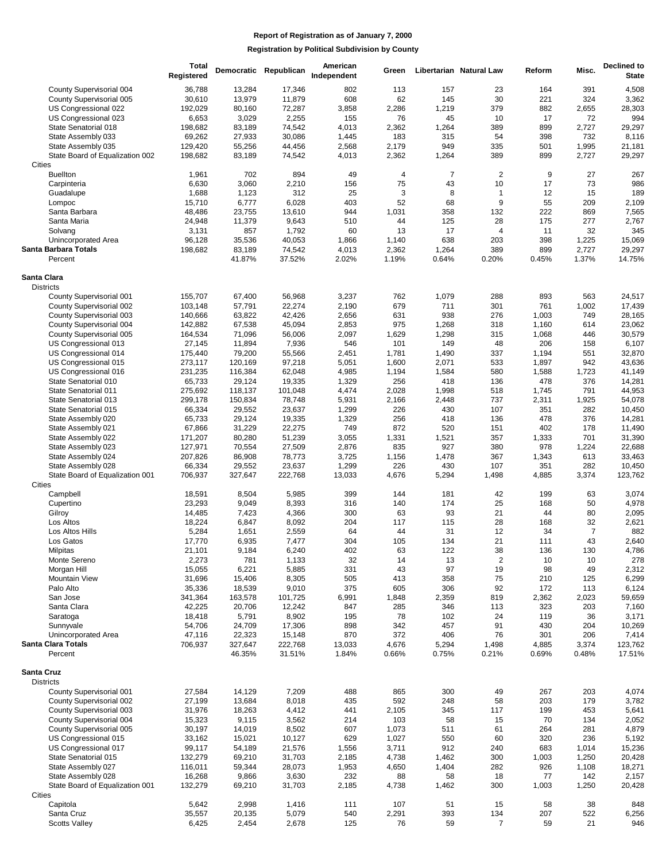|                                              | <b>Total</b><br>Registered |                  | Democratic Republican | American<br>Independent | Green        |              | Libertarian Natural Law | Reform       | Misc.          | <b>Declined to</b><br><b>State</b> |
|----------------------------------------------|----------------------------|------------------|-----------------------|-------------------------|--------------|--------------|-------------------------|--------------|----------------|------------------------------------|
| County Supervisorial 004                     | 36,788                     | 13,284           | 17,346                | 802                     | 113          | 157          | 23                      | 164          | 391            | 4,508                              |
| County Supervisorial 005                     | 30,610                     | 13,979           | 11,879                | 608                     | 62           | 145          | 30                      | 221          | 324            | 3,362                              |
| US Congressional 022                         | 192,029                    | 80,160           | 72,287                | 3,858                   | 2,286        | 1,219        | 379                     | 882          | 2,655          | 28,303                             |
| US Congressional 023                         | 6,653                      | 3,029            | 2,255                 | 155                     | 76           | 45           | 10                      | 17           | 72             | 994                                |
| State Senatorial 018                         | 198,682                    | 83,189           | 74,542                | 4,013                   | 2,362        | 1,264        | 389                     | 899          | 2,727          | 29,297                             |
| State Assembly 033                           | 69,262                     | 27,933           | 30,086                | 1,445                   | 183          | 315          | 54                      | 398          | 732            | 8,116                              |
| State Assembly 035                           | 129,420                    | 55,256           | 44,456                | 2,568                   | 2,179        | 949          | 335                     | 501          | 1,995          | 21,181                             |
| State Board of Equalization 002              | 198,682                    | 83,189           | 74,542                | 4,013                   | 2,362        | 1,264        | 389                     | 899          | 2,727          | 29,297                             |
| Cities                                       |                            |                  |                       |                         |              |              |                         |              |                |                                    |
| <b>Buellton</b>                              | 1,961                      | 702              | 894                   | 49                      | 4            | 7            | 2                       | 9            | 27             | 267                                |
| Carpinteria<br>Guadalupe                     | 6,630                      | 3,060            | 2,210<br>312          | 156<br>25               | 75<br>3      | 43<br>8      | 10<br>$\mathbf{1}$      | 17<br>12     | 73<br>15       | 986                                |
| Lompoc                                       | 1,688<br>15,710            | 1,123<br>6,777   | 6,028                 | 403                     | 52           | 68           | 9                       | 55           | 209            | 189<br>2,109                       |
| Santa Barbara                                | 48,486                     | 23,755           | 13,610                | 944                     | 1,031        | 358          | 132                     | 222          | 869            | 7,565                              |
| Santa Maria                                  | 24,948                     | 11,379           | 9,643                 | 510                     | 44           | 125          | 28                      | 175          | 277            | 2,767                              |
| Solvang                                      | 3,131                      | 857              | 1,792                 | 60                      | 13           | 17           | $\overline{4}$          | 11           | 32             | 345                                |
| Unincorporated Area                          | 96,128                     | 35,536           | 40,053                | 1,866                   | 1,140        | 638          | 203                     | 398          | 1,225          | 15,069                             |
| Santa Barbara Totals                         | 198,682                    | 83,189           | 74,542                | 4,013                   | 2,362        | 1,264        | 389                     | 899          | 2,727          | 29,297                             |
| Percent                                      |                            | 41.87%           | 37.52%                | 2.02%                   | 1.19%        | 0.64%        | 0.20%                   | 0.45%        | 1.37%          | 14.75%                             |
|                                              |                            |                  |                       |                         |              |              |                         |              |                |                                    |
| Santa Clara<br><b>Districts</b>              |                            |                  |                       |                         |              |              |                         |              |                |                                    |
| County Supervisorial 001                     | 155,707                    | 67,400           | 56,968                | 3,237                   | 762          | 1,079        | 288                     | 893          | 563            | 24,517                             |
| County Supervisorial 002                     | 103,148                    | 57,791           | 22,274                | 2,190                   | 679          | 711          | 301                     | 761          | 1,002          | 17,439                             |
| County Supervisorial 003                     | 140,666                    | 63,822           | 42,426                | 2,656                   | 631          | 938          | 276                     | 1,003        | 749            | 28,165                             |
| County Supervisorial 004                     | 142,882                    | 67,538           | 45,094                | 2,853                   | 975          | 1,268        | 318                     | 1,160        | 614            | 23,062                             |
| County Supervisorial 005                     | 164,534                    | 71,096           | 56,006                | 2,097                   | 1,629        | 1,298        | 315                     | 1,068<br>206 | 446            | 30,579                             |
| US Congressional 013                         | 27,145<br>175,440          | 11,894<br>79,200 | 7,936<br>55,566       | 546<br>2,451            | 101<br>1,781 | 149<br>1,490 | 48<br>337               | 1,194        | 158<br>551     | 6,107<br>32,870                    |
| US Congressional 014<br>US Congressional 015 | 273,117                    | 120,169          | 97,218                | 5,051                   | 1,600        | 2,071        | 533                     | 1,897        | 942            | 43,636                             |
| US Congressional 016                         | 231,235                    | 116,384          | 62,048                | 4,985                   | 1,194        | 1,584        | 580                     | 1,588        | 1,723          | 41,149                             |
| State Senatorial 010                         | 65,733                     | 29,124           | 19,335                | 1,329                   | 256          | 418          | 136                     | 478          | 376            | 14,281                             |
| State Senatorial 011                         | 275,692                    | 118,137          | 101,048               | 4,474                   | 2,028        | 1,998        | 518                     | 1,745        | 791            | 44,953                             |
| State Senatorial 013                         | 299,178                    | 150,834          | 78,748                | 5,931                   | 2,166        | 2,448        | 737                     | 2,311        | 1,925          | 54,078                             |
| State Senatorial 015                         | 66,334                     | 29,552           | 23,637                | 1,299                   | 226          | 430          | 107                     | 351          | 282            | 10,450                             |
| State Assembly 020                           | 65,733                     | 29,124           | 19,335                | 1,329                   | 256          | 418          | 136                     | 478          | 376            | 14,281                             |
| State Assembly 021                           | 67,866                     | 31,229           | 22,275                | 749                     | 872          | 520          | 151                     | 402          | 178            | 11,490                             |
| State Assembly 022                           | 171,207                    | 80,280           | 51,239                | 3,055                   | 1,331        | 1,521        | 357                     | 1,333        | 701            | 31,390                             |
| State Assembly 023                           | 127,971                    | 70,554           | 27,509                | 2,876                   | 835          | 927          | 380                     | 978          | 1,224          | 22,688                             |
| State Assembly 024                           | 207,826                    | 86,908           | 78,773                | 3,725                   | 1,156        | 1,478        | 367                     | 1,343        | 613            | 33,463                             |
| State Assembly 028                           | 66,334                     | 29,552           | 23,637                | 1,299                   | 226          | 430          | 107                     | 351          | 282            | 10,450                             |
| State Board of Equalization 001              | 706,937                    | 327,647          | 222,768               | 13,033                  | 4,676        | 5,294        | 1,498                   | 4,885        | 3,374          | 123,762                            |
| Cities                                       |                            |                  |                       |                         |              |              |                         |              |                |                                    |
| Campbell                                     | 18,591<br>23,293           | 8,504<br>9,049   | 5,985<br>8,393        | 399<br>316              | 144<br>140   | 181<br>174   | 42<br>25                | 199<br>168   | 63<br>50       | 3,074<br>4,978                     |
| Cupertino<br>Gilroy                          | 14,485                     | 7,423            | 4,366                 | 300                     | 63           | 93           | 21                      | 44           | 80             | 2,095                              |
| Los Altos                                    | 18,224                     | 6,847            | 8,092                 | 204                     | 117          | 115          | 28                      | 168          | 32             | 2,621                              |
| Los Altos Hills                              | 5,284                      | 1,651            | 2,559                 | 64                      | 44           | 31           | 12                      | 34           | $\overline{7}$ | 882                                |
| Los Gatos                                    | 17,770                     | 6,935            | 7,477                 | 304                     | 105          | 134          | 21                      | 111          | 43             | 2,640                              |
| Milpitas                                     | 21,101                     | 9,184            | 6,240                 | 402                     | 63           | 122          | 38                      | 136          | 130            | 4,786                              |
| Monte Sereno                                 | 2,273                      | 781              | 1,133                 | 32                      | 14           | 13           | $\overline{2}$          | 10           | 10             | 278                                |
| Morgan Hill                                  | 15,055                     | 6,221            | 5,885                 | 331                     | 43           | 97           | 19                      | 98           | 49             | 2,312                              |
| Mountain View                                | 31,696                     | 15,406           | 8,305                 | 505                     | 413          | 358          | 75                      | 210          | 125            | 6,299                              |
| Palo Alto                                    | 35,336                     | 18,539           | 9,010                 | 375                     | 605          | 306          | 92                      | 172          | 113            | 6,124                              |
| San Jose                                     | 341,364                    | 163,578          | 101,725               | 6,991                   | 1,848        | 2,359        | 819                     | 2,362        | 2,023          | 59,659                             |
| Santa Clara                                  | 42,225                     | 20,706           | 12,242                | 847                     | 285          | 346          | 113                     | 323          | 203            | 7,160                              |
| Saratoga                                     | 18,418                     | 5,791            | 8,902                 | 195                     | 78           | 102          | 24                      | 119          | 36             | 3,171                              |
| Sunnyvale                                    | 54,706                     | 24,709           | 17,306                | 898                     | 342          | 457          | 91                      | 430          | 204            | 10,269                             |
| Unincorporated Area                          | 47,116                     | 22,323           | 15,148                | 870                     | 372          | 406          | 76                      | 301          | 206            | 7,414                              |
| Santa Clara Totals                           | 706,937                    | 327,647          | 222,768               | 13,033                  | 4,676        | 5,294        | 1,498                   | 4,885        | 3,374          | 123,762                            |
| Percent                                      |                            | 46.35%           | 31.51%                | 1.84%                   | 0.66%        | 0.75%        | 0.21%                   | 0.69%        | 0.48%          | 17.51%                             |
| Santa Cruz                                   |                            |                  |                       |                         |              |              |                         |              |                |                                    |
| <b>Districts</b>                             |                            |                  |                       |                         |              |              |                         |              |                |                                    |
| County Supervisorial 001                     | 27,584                     | 14,129           | 7,209                 | 488                     | 865          | 300          | 49                      | 267          | 203            | 4,074                              |
| County Supervisorial 002                     | 27,199                     | 13,684           | 8,018                 | 435                     | 592          | 248          | 58                      | 203          | 179            | 3,782                              |
| County Supervisorial 003                     | 31,976                     | 18,263           | 4,412                 | 441                     | 2,105        | 345          | 117                     | 199          | 453            | 5,641                              |
| County Supervisorial 004                     | 15,323                     | 9,115            | 3,562                 | 214                     | 103          | 58           | 15                      | 70           | 134            | 2,052                              |
| County Supervisorial 005                     | 30,197                     | 14,019           | 8,502                 | 607                     | 1,073        | 511          | 61                      | 264          | 281            | 4,879                              |
| US Congressional 015                         | 33,162                     | 15,021           | 10,127                | 629                     | 1,027        | 550          | 60                      | 320          | 236            | 5,192                              |
| US Congressional 017                         | 99,117                     | 54,189           | 21,576                | 1,556                   | 3,711        | 912          | 240                     | 683          | 1,014          | 15,236                             |
| State Senatorial 015                         | 132,279                    | 69,210           | 31,703                | 2,185                   | 4,738        | 1,462        | 300                     | 1,003        | 1,250          | 20,428                             |
| State Assembly 027                           | 116,011                    | 59,344           | 28,073                | 1,953                   | 4,650        | 1,404        | 282                     | 926          | 1,108          | 18,271                             |
| State Assembly 028                           | 16,268                     | 9,866            | 3,630                 | 232                     | 88           | 58           | 18                      | 77           | 142            | 2,157                              |
| State Board of Equalization 001              | 132,279                    | 69,210           | 31,703                | 2,185                   | 4,738        | 1,462        | 300                     | 1,003        | 1,250          | 20,428                             |
| Cities                                       |                            |                  |                       |                         |              |              |                         |              |                |                                    |
| Capitola                                     | 5,642                      | 2,998            | 1,416                 | 111                     | 107          | 51           | 15                      | 58           | 38             | 848                                |
| Santa Cruz                                   | 35,557                     | 20,135           | 5,079                 | 540                     | 2,291        | 393          | 134                     | 207          | 522            | 6,256                              |
| <b>Scotts Valley</b>                         | 6,425                      | 2,454            | 2,678                 | 125                     | 76           | 59           | $\overline{7}$          | 59           | 21             | 946                                |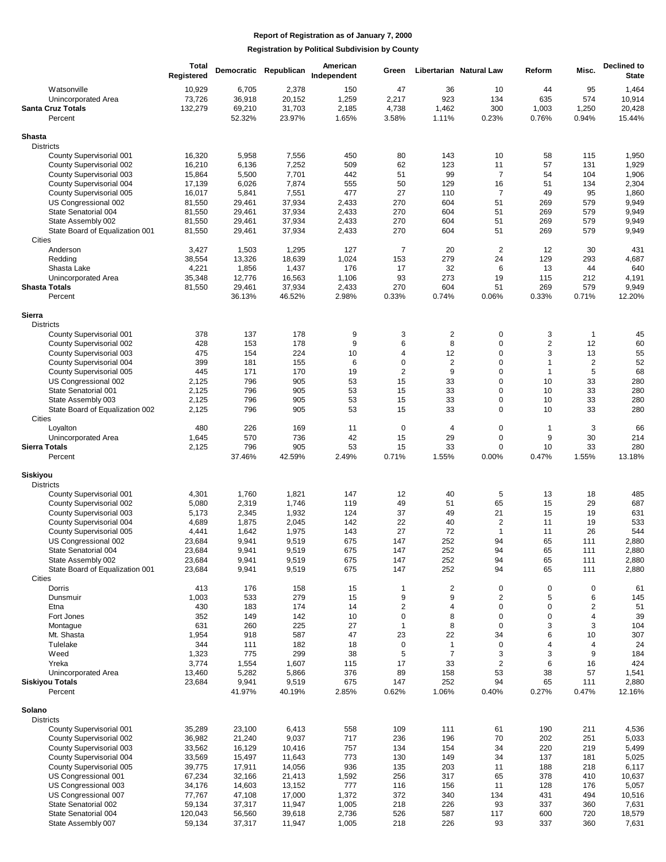|                                                       | <b>Total</b><br>Registered |                  | Democratic Republican | American<br>Independent | Green                                  |                         | Libertarian Natural Law        | Reform                  | Misc.                        | <b>Declined to</b><br><b>State</b> |
|-------------------------------------------------------|----------------------------|------------------|-----------------------|-------------------------|----------------------------------------|-------------------------|--------------------------------|-------------------------|------------------------------|------------------------------------|
| Watsonville                                           | 10,929                     | 6,705            | 2,378                 | 150                     | 47                                     | 36                      | 10                             | 44                      | 95                           | 1,464                              |
| Unincorporated Area<br><b>Santa Cruz Totals</b>       | 73,726<br>132,279          | 36,918<br>69,210 | 20,152<br>31,703      | 1,259<br>2,185          | 2,217<br>4,738                         | 923<br>1,462            | 134<br>300                     | 635<br>1,003            | 574<br>1,250                 | 10,914<br>20,428                   |
| Percent                                               |                            | 52.32%           | 23.97%                | 1.65%                   | 3.58%                                  | 1.11%                   | 0.23%                          | 0.76%                   | 0.94%                        | 15.44%                             |
|                                                       |                            |                  |                       |                         |                                        |                         |                                |                         |                              |                                    |
| Shasta<br><b>Districts</b>                            |                            |                  |                       |                         |                                        |                         |                                |                         |                              |                                    |
| County Supervisorial 001                              | 16,320                     | 5,958            | 7,556                 | 450                     | 80                                     | 143                     | 10                             | 58                      | 115                          | 1,950                              |
| County Supervisorial 002                              | 16,210                     | 6,136            | 7,252                 | 509                     | 62                                     | 123                     | 11                             | 57                      | 131                          | 1,929                              |
| County Supervisorial 003<br>County Supervisorial 004  | 15,864<br>17,139           | 5,500<br>6,026   | 7,701<br>7,874        | 442<br>555              | 51<br>50                               | 99<br>129               | $\overline{7}$<br>16           | 54<br>51                | 104<br>134                   | 1,906<br>2,304                     |
| County Supervisorial 005                              | 16,017                     | 5,841            | 7,551                 | 477                     | 27                                     | 110                     | $\overline{7}$                 | 49                      | 95                           | 1,860                              |
| US Congressional 002                                  | 81,550                     | 29,461           | 37,934                | 2,433                   | 270                                    | 604                     | 51                             | 269                     | 579                          | 9,949                              |
| State Senatorial 004                                  | 81,550                     | 29,461           | 37,934                | 2,433                   | 270                                    | 604                     | 51                             | 269                     | 579                          | 9,949                              |
| State Assembly 002<br>State Board of Equalization 001 | 81,550<br>81,550           | 29,461<br>29,461 | 37,934<br>37,934      | 2,433<br>2,433          | 270<br>270                             | 604<br>604              | 51<br>51                       | 269<br>269              | 579<br>579                   | 9,949<br>9,949                     |
| Cities                                                |                            |                  |                       |                         |                                        |                         |                                |                         |                              |                                    |
| Anderson                                              | 3,427                      | 1,503            | 1,295                 | 127                     | $\overline{7}$                         | 20                      | $\overline{2}$                 | 12                      | 30                           | 431                                |
| Redding                                               | 38,554                     | 13,326           | 18,639                | 1,024                   | 153                                    | 279                     | 24                             | 129                     | 293                          | 4,687                              |
| Shasta Lake<br>Unincorporated Area                    | 4,221<br>35,348            | 1,856<br>12,776  | 1,437<br>16,563       | 176<br>1,106            | 17<br>93                               | 32<br>273               | 6<br>19                        | 13<br>115               | 44<br>212                    | 640<br>4,191                       |
| <b>Shasta Totals</b>                                  | 81,550                     | 29,461           | 37,934                | 2,433                   | 270                                    | 604                     | 51                             | 269                     | 579                          | 9,949                              |
| Percent                                               |                            | 36.13%           | 46.52%                | 2.98%                   | 0.33%                                  | 0.74%                   | 0.06%                          | 0.33%                   | 0.71%                        | 12.20%                             |
| Sierra<br><b>Districts</b>                            |                            |                  |                       |                         |                                        |                         |                                |                         |                              |                                    |
| County Supervisorial 001                              | 378                        | 137              | 178                   | 9                       | 3                                      | $\overline{2}$          | 0                              | 3                       | $\mathbf{1}$                 | 45                                 |
| County Supervisorial 002                              | 428                        | 153              | 178                   | 9                       | 6                                      | 8                       | 0                              | $\overline{\mathbf{c}}$ | 12                           | 60                                 |
| County Supervisorial 003                              | 475                        | 154              | 224                   | 10                      | 4                                      | 12                      | 0                              | 3<br>1                  | 13                           | 55                                 |
| County Supervisorial 004<br>County Supervisorial 005  | 399<br>445                 | 181<br>171       | 155<br>170            | 6<br>19                 | 0<br>$\overline{2}$                    | $\overline{2}$<br>9     | 0<br>0                         | 1                       | $\overline{2}$<br>5          | 52<br>68                           |
| US Congressional 002                                  | 2,125                      | 796              | 905                   | 53                      | 15                                     | 33                      | 0                              | 10                      | 33                           | 280                                |
| State Senatorial 001                                  | 2,125                      | 796              | 905                   | 53                      | 15                                     | 33                      | 0                              | 10                      | 33                           | 280                                |
| State Assembly 003<br>State Board of Equalization 002 | 2,125<br>2,125             | 796<br>796       | 905<br>905            | 53<br>53                | 15<br>15                               | 33<br>33                | 0<br>0                         | 10<br>10                | 33<br>33                     | 280<br>280                         |
| Cities                                                |                            |                  |                       |                         |                                        |                         |                                |                         |                              |                                    |
| Loyalton                                              | 480                        | 226              | 169                   | 11                      | $\mathbf 0$                            | $\overline{4}$          | 0                              | 1                       | 3                            | 66                                 |
| Unincorporated Area<br><b>Sierra Totals</b>           | 1,645                      | 570              | 736                   | 42                      | 15                                     | 29                      | 0                              | 9                       | 30                           | 214                                |
| Percent                                               | 2,125                      | 796<br>37.46%    | 905<br>42.59%         | 53<br>2.49%             | 15<br>0.71%                            | 33<br>1.55%             | 0<br>0.00%                     | 10<br>0.47%             | 33<br>1.55%                  | 280<br>13.18%                      |
|                                                       |                            |                  |                       |                         |                                        |                         |                                |                         |                              |                                    |
| Siskiyou                                              |                            |                  |                       |                         |                                        |                         |                                |                         |                              |                                    |
| <b>Districts</b><br>County Supervisorial 001          | 4,301                      | 1,760            | 1,821                 | 147                     | 12                                     | 40                      | 5                              | 13                      | 18                           | 485                                |
| County Supervisorial 002                              | 5,080                      | 2,319            | 1,746                 | 119                     | 49                                     | 51                      | 65                             | 15                      | 29                           | 687                                |
| County Supervisorial 003                              | 5,173                      | 2,345            | 1,932                 | 124                     | 37                                     | 49                      | 21                             | 15                      | 19                           | 631                                |
| County Supervisorial 004<br>County Supervisorial 005  | 4,689<br>4,441             | 1,875<br>1,642   | 2,045<br>1,975        | 142<br>143              | 22<br>27                               | 40<br>72                | $\overline{2}$<br>$\mathbf{1}$ | 11<br>11                | 19<br>26                     | 533<br>544                         |
| US Congressional 002                                  | 23,684                     | 9,941            | 9,519                 | 675                     | 147                                    | 252                     | 94                             | 65                      | 111                          | 2,880                              |
| State Senatorial 004                                  | 23,684                     | 9,941            | 9,519                 | 675                     | 147                                    | 252                     | 94                             | 65                      | 111                          | 2,880                              |
| State Assembly 002                                    | 23,684                     | 9,941            | 9,519                 | 675                     | 147                                    | 252                     | 94                             | 65                      | 111                          | 2,880                              |
| State Board of Equalization 001<br>Cities             | 23,684                     | 9,941            | 9,519                 | 675                     | 147                                    | 252                     | 94                             | 65                      | 111                          | 2,880                              |
| Dorris                                                | 413                        | 176              | 158                   | 15                      | 1                                      | $\overline{\mathbf{c}}$ | $\mathbf 0$                    | 0                       | $\mathbf 0$                  | 61                                 |
| Dunsmuir                                              | 1,003                      | 533              | 279                   | 15                      | 9                                      | 9                       | $\overline{\mathbf{c}}$        | 5                       | 6                            | 145                                |
| Etna<br>Fort Jones                                    | 430<br>352                 | 183<br>149       | 174<br>142            | 14<br>10                | $\overline{\mathbf{c}}$<br>$\mathbf 0$ | $\overline{4}$<br>8     | 0<br>$\mathbf 0$               | 0<br>0                  | $\overline{\mathbf{c}}$<br>4 | 51<br>39                           |
| Montague                                              | 631                        | 260              | 225                   | 27                      | $\mathbf{1}$                           | 8                       | $\mathbf 0$                    | 3                       | 3                            | 104                                |
| Mt. Shasta                                            | 1,954                      | 918              | 587                   | 47                      | 23                                     | 22                      | 34                             | 6                       | 10                           | 307                                |
| Tulelake                                              | 344                        | 111              | 182                   | 18                      | $\mathbf 0$                            | $\mathbf{1}$            | 0                              | 4                       | 4                            | 24                                 |
| Weed<br>Yreka                                         | 1,323<br>3,774             | 775<br>1,554     | 299<br>1,607          | 38<br>115               | 5<br>17                                | $\overline{7}$<br>33    | 3<br>$\overline{2}$            | 3<br>6                  | 9<br>16                      | 184<br>424                         |
| <b>Unincorporated Area</b>                            | 13,460                     | 5,282            | 5,866                 | 376                     | 89                                     | 158                     | 53                             | 38                      | 57                           | 1,541                              |
| <b>Siskiyou Totals</b>                                | 23,684                     | 9,941            | 9,519                 | 675                     | 147                                    | 252                     | 94                             | 65                      | 111                          | 2,880                              |
| Percent                                               |                            | 41.97%           | 40.19%                | 2.85%                   | 0.62%                                  | 1.06%                   | 0.40%                          | 0.27%                   | 0.47%                        | 12.16%                             |
| Solano                                                |                            |                  |                       |                         |                                        |                         |                                |                         |                              |                                    |
| <b>Districts</b>                                      |                            |                  |                       |                         |                                        |                         |                                |                         |                              |                                    |
| County Supervisorial 001<br>County Supervisorial 002  | 35,289<br>36,982           | 23,100<br>21,240 | 6,413<br>9,037        | 558<br>717              | 109<br>236                             | 111<br>196              | 61<br>70                       | 190<br>202              | 211<br>251                   | 4,536<br>5,033                     |
| County Supervisorial 003                              | 33,562                     | 16,129           | 10,416                | 757                     | 134                                    | 154                     | 34                             | 220                     | 219                          | 5,499                              |
| County Supervisorial 004                              | 33,569                     | 15,497           | 11,643                | 773                     | 130                                    | 149                     | 34                             | 137                     | 181                          | 5,025                              |
| County Supervisorial 005                              | 39,775                     | 17,911           | 14,056                | 936                     | 135                                    | 203                     | 11                             | 188                     | 218                          | 6,117                              |
| US Congressional 001<br>US Congressional 003          | 67,234<br>34,176           | 32,166<br>14,603 | 21,413<br>13,152      | 1,592<br>777            | 256<br>116                             | 317<br>156              | 65<br>11                       | 378<br>128              | 410<br>176                   | 10,637<br>5,057                    |
| US Congressional 007                                  | 77,767                     | 47,108           | 17,000                | 1,372                   | 372                                    | 340                     | 134                            | 431                     | 494                          | 10,516                             |
| State Senatorial 002                                  | 59,134                     | 37,317           | 11,947                | 1,005                   | 218                                    | 226                     | 93                             | 337                     | 360                          | 7,631                              |
| State Senatorial 004                                  | 120,043                    | 56,560           | 39,618                | 2,736                   | 526                                    | 587                     | 117                            | 600                     | 720                          | 18,579                             |
| State Assembly 007                                    | 59,134                     | 37,317           | 11,947                | 1,005                   | 218                                    | 226                     | 93                             | 337                     | 360                          | 7,631                              |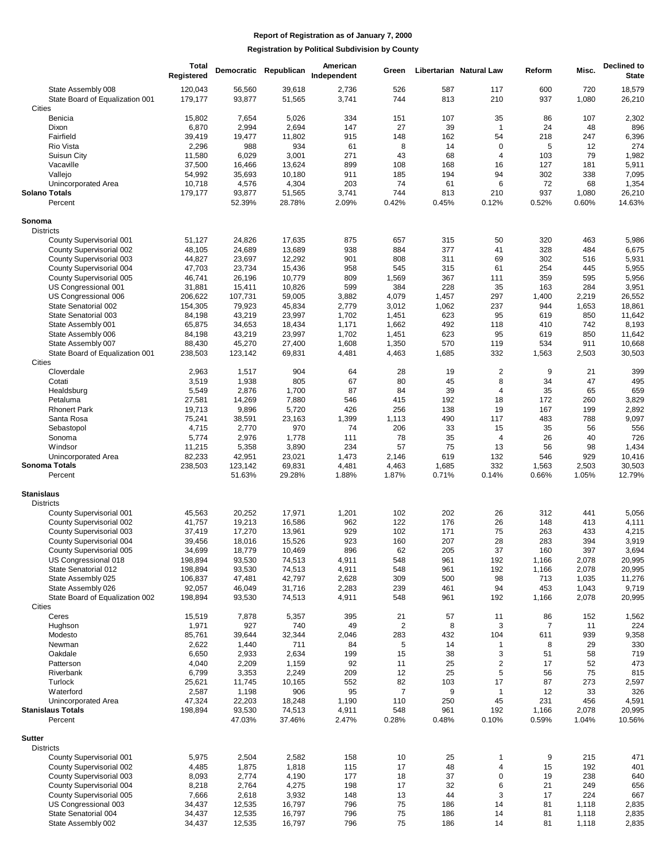|                                                       | Total<br>Registered |                   | Democratic Republican | American<br>Independent | Green          |              | <b>Libertarian Natural Law</b> | Reform         | Misc.          | Declined to<br><b>State</b> |
|-------------------------------------------------------|---------------------|-------------------|-----------------------|-------------------------|----------------|--------------|--------------------------------|----------------|----------------|-----------------------------|
| State Assembly 008<br>State Board of Equalization 001 | 120,043<br>179,177  | 56,560<br>93,877  | 39,618<br>51,565      | 2,736<br>3,741          | 526<br>744     | 587<br>813   | 117<br>210                     | 600<br>937     | 720<br>1,080   | 18,579<br>26,210            |
| Cities<br>Benicia                                     | 15,802              | 7,654             | 5,026                 | 334                     | 151            | 107          | 35                             | 86             | 107            | 2,302                       |
| Dixon                                                 | 6,870               | 2,994             | 2,694                 | 147                     | 27             | 39           | $\overline{1}$                 | 24             | 48             | 896                         |
| Fairfield                                             | 39,419              | 19,477            | 11,802                | 915                     | 148            | 162          | 54                             | 218            | 247            | 6,396                       |
| Rio Vista                                             | 2,296               | 988               | 934                   | 61                      | 8              | 14           | 0                              | 5              | 12             | 274                         |
| Suisun City                                           | 11,580              | 6,029             | 3,001                 | 271                     | 43             | 68           | 4                              | 103            | 79             | 1,982                       |
| Vacaville                                             | 37,500              | 16,466            | 13,624                | 899                     | 108            | 168          | 16                             | 127            | 181            | 5,911                       |
| Vallejo                                               | 54,992              | 35,693            | 10,180                | 911                     | 185            | 194          | 94                             | 302            | 338            | 7,095                       |
| Unincorporated Area                                   | 10,718              | 4,576             | 4,304                 | 203                     | 74             | 61           | 6                              | 72             | 68             | 1,354                       |
| <b>Solano Totals</b><br>Percent                       | 179,177             | 93,877<br>52.39%  | 51,565<br>28.78%      | 3,741<br>2.09%          | 744<br>0.42%   | 813<br>0.45% | 210<br>0.12%                   | 937<br>0.52%   | 1,080<br>0.60% | 26,210<br>14.63%            |
| Sonoma                                                |                     |                   |                       |                         |                |              |                                |                |                |                             |
| <b>Districts</b><br>County Supervisorial 001          | 51,127              | 24,826            | 17,635                | 875                     | 657            | 315          | 50                             | 320            | 463            | 5,986                       |
| County Supervisorial 002                              | 48,105              | 24,689            | 13,689                | 938                     | 884            | 377          | 41                             | 328            | 484            | 6,675                       |
| County Supervisorial 003                              | 44,827              | 23,697            | 12,292                | 901                     | 808            | 311          | 69                             | 302            | 516            | 5,931                       |
| County Supervisorial 004                              | 47,703              | 23,734            | 15,436                | 958                     | 545            | 315          | 61                             | 254            | 445            | 5,955                       |
| County Supervisorial 005                              | 46,741              | 26,196            | 10,779                | 809                     | 1,569          | 367          | 111                            | 359            | 595            | 5,956                       |
| US Congressional 001                                  | 31,881              | 15,411            | 10,826                | 599                     | 384            | 228          | 35                             | 163            | 284            | 3,951                       |
| US Congressional 006                                  | 206,622             | 107,731           | 59,005                | 3,882                   | 4,079          | 1,457        | 297                            | 1,400          | 2,219          | 26,552                      |
| State Senatorial 002                                  | 154,305             | 79,923            | 45,834                | 2,779                   | 3,012          | 1,062        | 237                            | 944            | 1,653          | 18,861                      |
| State Senatorial 003                                  | 84,198              | 43,219            | 23,997                | 1,702                   | 1,451          | 623          | 95                             | 619            | 850            | 11,642                      |
| State Assembly 001                                    | 65,875              | 34,653            | 18,434                | 1,171                   | 1,662          | 492          | 118                            | 410            | 742            | 8,193                       |
| State Assembly 006                                    | 84,198              | 43,219            | 23,997                | 1,702                   | 1,451          | 623          | 95                             | 619            | 850            | 11,642                      |
| State Assembly 007<br>State Board of Equalization 001 | 88,430<br>238,503   | 45,270<br>123,142 | 27,400<br>69,831      | 1,608<br>4,481          | 1,350<br>4,463 | 570<br>1,685 | 119<br>332                     | 534<br>1,563   | 911<br>2,503   | 10,668<br>30,503            |
| Cities<br>Cloverdale                                  | 2,963               | 1,517             | 904                   | 64                      | 28             | 19           | 2                              | 9              | 21             | 399                         |
| Cotati                                                | 3,519               | 1,938             | 805                   | 67                      | 80             | 45           | 8                              | 34             | 47             | 495                         |
| Healdsburg                                            | 5,549               | 2,876             | 1,700                 | 87                      | 84             | 39           | 4                              | 35             | 65             | 659                         |
| Petaluma                                              | 27,581              | 14,269            | 7,880                 | 546                     | 415            | 192          | 18                             | 172            | 260            | 3,829                       |
| <b>Rhonert Park</b>                                   | 19,713              | 9,896             | 5,720                 | 426                     | 256            | 138          | 19                             | 167            | 199            | 2,892                       |
| Santa Rosa                                            | 75,241              | 38,591            | 23,163                | 1,399                   | 1,113          | 490          | 117                            | 483            | 788            | 9,097                       |
| Sebastopol                                            | 4,715               | 2,770             | 970                   | 74                      | 206<br>78      | 33           | 15                             | 35             | 56             | 556                         |
| Sonoma<br>Windsor                                     | 5,774<br>11,215     | 2,976<br>5,358    | 1,778<br>3,890        | 111<br>234              | 57             | 35<br>75     | $\overline{4}$<br>13           | 26<br>56       | 40<br>98       | 726<br>1,434                |
| <b>Unincorporated Area</b>                            | 82,233              | 42,951            | 23,021                | 1,473                   | 2,146          | 619          | 132                            | 546            | 929            | 10,416                      |
| Sonoma Totals                                         | 238,503             | 123,142           | 69,831                | 4,481                   | 4,463          | 1,685        | 332                            | 1,563          | 2,503          | 30,503                      |
| Percent                                               |                     | 51.63%            | 29.28%                | 1.88%                   | 1.87%          | 0.71%        | 0.14%                          | 0.66%          | 1.05%          | 12.79%                      |
| <b>Stanislaus</b><br><b>Districts</b>                 |                     |                   |                       |                         |                |              |                                |                |                |                             |
| County Supervisorial 001                              | 45,563              | 20,252            | 17,971                | 1,201                   | 102            | 202          | 26                             | 312            | 441            | 5,056                       |
| County Supervisorial 002                              | 41,757              | 19,213            | 16,586                | 962                     | 122            | 176          | 26                             | 148            | 413            | 4,111                       |
| County Supervisorial 003                              | 37,419              | 17,270            | 13,961                | 929                     | 102            | 171          | 75                             | 263            | 433            | 4,215                       |
| County Supervisorial 004                              | 39,456              | 18,016            | 15,526                | 923                     | 160            | 207          | 28                             | 283            | 394            | 3,919                       |
| County Supervisorial 005                              | 34,699              | 18,779            | 10,469                | 896                     | 62             | 205          | 37                             | 160            | 397            | 3,694                       |
| US Congressional 018                                  | 198,894             | 93,530            | 74,513                | 4,911                   | 548            | 961          | 192                            | 1,166          | 2,078          | 20,995                      |
| State Senatorial 012                                  | 198,894             | 93,530            | 74,513                | 4,911                   | 548            | 961          | 192                            | 1,166          | 2,078          | 20,995                      |
| State Assembly 025                                    | 106,837             | 47,481            | 42,797                | 2,628                   | 309            | 500          | 98                             | 713            | 1,035          | 11,276                      |
| State Assembly 026                                    | 92,057              | 46,049            | 31,716                | 2,283                   | 239            | 461          | 94                             | 453            | 1,043          | 9,719                       |
| State Board of Equalization 002<br>Cities             | 198,894             | 93,530            | 74,513                | 4,911                   | 548            | 961          | 192                            | 1,166          | 2,078          | 20,995                      |
| Ceres                                                 | 15,519              | 7,878             | 5,357                 | 395                     | 21             | 57           | 11                             | 86             | 152            | 1,562                       |
| Hughson                                               | 1,971               | 927               | 740                   | 49                      | $\overline{2}$ | 8            | 3                              | $\overline{7}$ | 11             | 224                         |
| Modesto                                               | 85,761              | 39,644            | 32,344                | 2,046                   | 283            | 432          | 104                            | 611            | 939            | 9,358                       |
| Newman                                                | 2,622               | 1,440             | 711                   | 84                      | 5              | 14           | 1                              | 8              | 29             | 330                         |
| Oakdale                                               | 6,650               | 2,933             | 2,634                 | 199                     | 15             | 38           | 3                              | 51             | 58             | 719                         |
| Patterson<br>Riverbank                                | 4,040<br>6,799      | 2,209<br>3,353    | 1,159<br>2,249        | 92<br>209               | 11<br>12       | 25<br>25     | 2<br>5                         | 17<br>56       | 52<br>75       | 473<br>815                  |
| Turlock                                               | 25,621              | 11,745            | 10,165                | 552                     | 82             | 103          | 17                             | 87             | 273            | 2,597                       |
| Waterford                                             | 2,587               | 1,198             | 906                   | 95                      | 7              | 9            | 1                              | 12             | 33             | 326                         |
| <b>Unincorporated Area</b>                            | 47,324              | 22,203            | 18,248                | 1,190                   | 110            | 250          | 45                             | 231            | 456            | 4,591                       |
| <b>Stanislaus Totals</b>                              | 198,894             | 93,530            | 74,513                | 4,911                   | 548            | 961          | 192                            | 1,166          | 2,078          | 20,995                      |
| Percent                                               |                     | 47.03%            | 37.46%                | 2.47%                   | 0.28%          | 0.48%        | 0.10%                          | 0.59%          | 1.04%          | 10.56%                      |
| Sutter                                                |                     |                   |                       |                         |                |              |                                |                |                |                             |
| <b>Districts</b>                                      |                     |                   |                       |                         |                |              |                                |                |                |                             |
| County Supervisorial 001                              | 5,975               | 2,504             | 2,582                 | 158                     | 10             | 25           | 1                              | 9              | 215            | 471                         |
| County Supervisorial 002<br>County Supervisorial 003  | 4,485<br>8,093      | 1,875<br>2,774    | 1,818<br>4,190        | 115<br>177              | 17<br>18       | 48<br>37     | 4<br>0                         | 15<br>19       | 192<br>238     | 401<br>640                  |
| County Supervisorial 004                              | 8,218               | 2,764             | 4,275                 | 198                     | 17             | 32           | 6                              | 21             | 249            | 656                         |
| County Supervisorial 005                              | 7,666               | 2,618             | 3,932                 | 148                     | 13             | 44           | 3                              | 17             | 224            | 667                         |
| US Congressional 003                                  | 34,437              | 12,535            | 16,797                | 796                     | 75             | 186          | 14                             | 81             | 1,118          | 2,835                       |
| State Senatorial 004                                  | 34,437              | 12,535            | 16,797                | 796                     | 75             | 186          | 14                             | 81             | 1,118          | 2,835                       |
| State Assembly 002                                    | 34,437              | 12,535            | 16,797                | 796                     | 75             | 186          | 14                             | 81             | 1,118          | 2,835                       |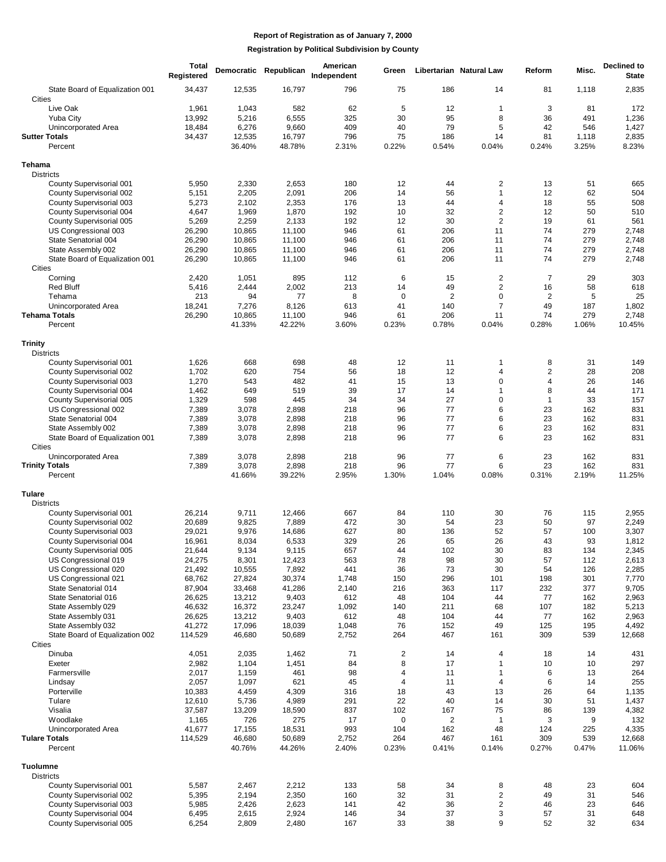|                                                      | <b>Total</b><br>Registered |                  | Democratic Republican | American<br>Independent | Green          |                | Libertarian Natural Law | Reform             | Misc.          | <b>Declined to</b><br><b>State</b> |
|------------------------------------------------------|----------------------------|------------------|-----------------------|-------------------------|----------------|----------------|-------------------------|--------------------|----------------|------------------------------------|
| State Board of Equalization 001<br>Cities            | 34,437                     | 12,535           | 16,797                | 796                     | 75             | 186            | 14                      | 81                 | 1,118          | 2,835                              |
| Live Oak                                             | 1,961                      | 1,043            | 582                   | 62                      | 5              | 12             | 1                       | 3                  | 81             | 172                                |
| <b>Yuba City</b>                                     | 13,992                     | 5,216            | 6,555                 | 325                     | 30             | 95             | 8                       | 36                 | 491            | 1,236                              |
| Unincorporated Area                                  | 18,484                     | 6,276            | 9,660                 | 409                     | 40             | 79             | 5                       | 42                 | 546            | 1,427                              |
| <b>Sutter Totals</b><br>Percent                      | 34,437                     | 12,535<br>36.40% | 16,797<br>48.78%      | 796<br>2.31%            | 75<br>0.22%    | 186<br>0.54%   | 14<br>0.04%             | 81<br>0.24%        | 1,118<br>3.25% | 2,835<br>8.23%                     |
| <b>Tehama</b>                                        |                            |                  |                       |                         |                |                |                         |                    |                |                                    |
| <b>Districts</b>                                     |                            |                  |                       |                         |                |                |                         |                    |                |                                    |
| County Supervisorial 001                             | 5,950                      | 2,330            | 2,653                 | 180                     | 12             | 44             | $\overline{c}$          | 13                 | 51             | 665                                |
| County Supervisorial 002<br>County Supervisorial 003 | 5,151<br>5,273             | 2,205<br>2,102   | 2,091<br>2,353        | 206<br>176              | 14<br>13       | 56<br>44       | $\mathbf{1}$<br>4       | 12<br>18           | 62<br>55       | 504<br>508                         |
| County Supervisorial 004                             | 4,647                      | 1,969            | 1,870                 | 192                     | 10             | 32             | $\overline{2}$          | 12                 | 50             | 510                                |
| County Supervisorial 005                             | 5,269                      | 2,259            | 2,133                 | 192                     | 12             | 30             | $\overline{2}$          | 19                 | 61             | 561                                |
| US Congressional 003                                 | 26,290                     | 10,865           | 11,100                | 946                     | 61             | 206            | 11                      | 74                 | 279            | 2,748                              |
| State Senatorial 004                                 | 26,290                     | 10,865           | 11,100                | 946                     | 61             | 206            | 11                      | 74                 | 279            | 2,748                              |
| State Assembly 002                                   | 26,290                     | 10,865           | 11,100                | 946                     | 61             | 206            | 11                      | 74                 | 279            | 2,748                              |
| State Board of Equalization 001<br>Cities            | 26,290                     | 10,865           | 11,100                | 946                     | 61             | 206            | 11                      | 74                 | 279            | 2,748                              |
| Corning                                              | 2,420                      | 1,051            | 895                   | 112                     | 6              | 15             | 2                       | $\overline{7}$     | 29             | 303                                |
| <b>Red Bluff</b>                                     | 5,416                      | 2,444            | 2,002                 | 213                     | 14             | 49             | $\overline{2}$          | 16                 | 58             | 618                                |
| Tehama                                               | 213                        | 94               | 77                    | 8                       | $\mathbf 0$    | $\overline{2}$ | 0                       | $\overline{2}$     | 5              | 25                                 |
| Unincorporated Area                                  | 18,241                     | 7,276            | 8,126                 | 613                     | 41             | 140            | $\overline{7}$          | 49                 | 187            | 1,802                              |
| <b>Tehama Totals</b><br>Percent                      | 26,290                     | 10,865<br>41.33% | 11,100<br>42.22%      | 946<br>3.60%            | 61<br>0.23%    | 206<br>0.78%   | 11<br>0.04%             | 74<br>0.28%        | 279<br>1.06%   | 2,748<br>10.45%                    |
| <b>Trinity</b>                                       |                            |                  |                       |                         |                |                |                         |                    |                |                                    |
| <b>Districts</b>                                     |                            |                  |                       |                         |                |                |                         |                    |                |                                    |
| County Supervisorial 001                             | 1,626                      | 668              | 698                   | 48                      | 12             | 11             | 1                       | 8                  | 31             | 149                                |
| County Supervisorial 002                             | 1,702                      | 620              | 754                   | 56                      | 18             | 12             | 4                       | 2                  | 28             | 208                                |
| County Supervisorial 003                             | 1,270                      | 543              | 482                   | 41                      | 15             | 13             | 0                       | 4                  | 26             | 146                                |
| County Supervisorial 004                             | 1,462                      | 649              | 519                   | 39                      | 17             | 14             | 1                       | 8                  | 44             | 171                                |
| County Supervisorial 005                             | 1,329                      | 598              | 445<br>2,898          | 34<br>218               | 34<br>96       | 27<br>77       | 0<br>6                  | $\mathbf{1}$<br>23 | 33<br>162      | 157                                |
| US Congressional 002<br>State Senatorial 004         | 7,389<br>7,389             | 3,078<br>3,078   | 2,898                 | 218                     | 96             | 77             | 6                       | 23                 | 162            | 831<br>831                         |
| State Assembly 002                                   | 7,389                      | 3,078            | 2,898                 | 218                     | 96             | 77             | 6                       | 23                 | 162            | 831                                |
| State Board of Equalization 001                      | 7,389                      | 3,078            | 2,898                 | 218                     | 96             | 77             | 6                       | 23                 | 162            | 831                                |
| Cities                                               |                            |                  |                       |                         |                |                |                         |                    |                |                                    |
| Unincorporated Area<br><b>Trinity Totals</b>         | 7,389<br>7,389             | 3,078<br>3,078   | 2,898<br>2,898        | 218<br>218              | 96<br>96       | 77<br>77       | 6<br>6                  | 23<br>23           | 162<br>162     | 831<br>831                         |
| Percent                                              |                            | 41.66%           | 39.22%                | 2.95%                   | 1.30%          | 1.04%          | 0.08%                   | 0.31%              | 2.19%          | 11.25%                             |
| <b>Tulare</b>                                        |                            |                  |                       |                         |                |                |                         |                    |                |                                    |
| <b>Districts</b>                                     |                            |                  |                       |                         |                |                |                         |                    |                |                                    |
| County Supervisorial 001                             | 26,214                     | 9,711            | 12,466                | 667<br>472              | 84<br>30       | 110<br>54      | 30<br>23                | 76<br>50           | 115<br>97      | 2,955<br>2,249                     |
| County Supervisorial 002<br>County Supervisorial 003 | 20,689<br>29,021           | 9,825<br>9,976   | 7,889<br>14,686       | 627                     | 80             | 136            | 52                      | 57                 | 100            | 3,307                              |
| County Supervisorial 004                             | 16,961                     | 8,034            | 6,533                 | 329                     | 26             | 65             | 26                      | 43                 | 93             | 1,812                              |
| County Supervisorial 005                             | 21,644                     | 9,134            | 9,115                 | 657                     | 44             | 102            | 30                      | 83                 | 134            | 2,345                              |
| US Congressional 019                                 | 24,275                     | 8,301            | 12,423                | 563                     | 78             | 98             | 30                      | 57                 | 112            | 2,613                              |
| US Congressional 020                                 | 21,492                     | 10,555           | 7,892                 | 441                     | 36             | 73             | 30                      | 54                 | 126            | 2,285                              |
| US Congressional 021<br>State Senatorial 014         | 68,762                     | 27,824           | 30,374                | 1,748                   | 150            | 296            | 101                     | 198                | 301            | 7,770                              |
| State Senatorial 016                                 | 87,904<br>26,625           | 33,468<br>13,212 | 41,286<br>9,403       | 2,140<br>612            | 216<br>48      | 363<br>104     | 117<br>44               | 232<br>77          | 377<br>162     | 9,705<br>2,963                     |
| State Assembly 029                                   | 46,632                     | 16,372           | 23,247                | 1,092                   | 140            | 211            | 68                      | 107                | 182            | 5,213                              |
| State Assembly 031                                   | 26,625                     | 13,212           | 9,403                 | 612                     | 48             | 104            | 44                      | 77                 | 162            | 2,963                              |
| State Assembly 032                                   | 41,272                     | 17,096           | 18,039                | 1,048                   | 76             | 152            | 49                      | 125                | 195            | 4,492                              |
| State Board of Equalization 002                      | 114,529                    | 46,680           | 50,689                | 2,752                   | 264            | 467            | 161                     | 309                | 539            | 12,668                             |
| Cities<br>Dinuba                                     | 4,051                      | 2,035            | 1,462                 | 71                      | $\overline{2}$ | 14             | 4                       | 18                 | 14             | 431                                |
| Exeter                                               | 2,982                      | 1,104            | 1,451                 | 84                      | 8              | 17             | $\mathbf{1}$            | 10                 | 10             | 297                                |
| Farmersville                                         | 2,017                      | 1,159            | 461                   | 98                      | 4              | 11             | 1                       | 6                  | 13             | 264                                |
| Lindsay                                              | 2,057                      | 1,097            | 621                   | 45                      | 4              | 11             | 4                       | 6                  | 14             | 255                                |
| Porterville                                          | 10,383                     | 4,459            | 4,309                 | 316                     | 18             | 43             | 13                      | 26                 | 64             | 1,135                              |
| Tulare                                               | 12,610                     | 5,736            | 4,989                 | 291                     | 22             | 40             | 14                      | 30                 | 51             | 1,437                              |
| Visalia                                              | 37,587                     | 13,209           | 18,590                | 837                     | 102            | 167            | 75                      | 86                 | 139            | 4,382                              |
| Woodlake<br>Unincorporated Area                      | 1,165<br>41,677            | 726<br>17,155    | 275<br>18,531         | 17<br>993               | 0<br>104       | 2<br>162       | 1<br>48                 | 3<br>124           | 9<br>225       | 132<br>4,335                       |
| <b>Tulare Totals</b>                                 | 114,529                    | 46,680           | 50,689                | 2,752                   | 264            | 467            | 161                     | 309                | 539            | 12,668                             |
| Percent                                              |                            | 40.76%           | 44.26%                | 2.40%                   | 0.23%          | 0.41%          | 0.14%                   | 0.27%              | 0.47%          | 11.06%                             |
| <b>Tuolumne</b>                                      |                            |                  |                       |                         |                |                |                         |                    |                |                                    |
| <b>Districts</b>                                     |                            |                  |                       |                         |                |                |                         |                    |                |                                    |
| County Supervisorial 001<br>County Supervisorial 002 | 5,587<br>5,395             | 2,467<br>2,194   | 2,212<br>2,350        | 133<br>160              | 58<br>32       | 34<br>31       | 8<br>$\overline{c}$     | 48<br>49           | 23<br>31       | 604<br>546                         |
| County Supervisorial 003                             | 5,985                      | 2,426            | 2,623                 | 141                     | 42             | 36             | 2                       | 46                 | 23             | 646                                |
| County Supervisorial 004                             | 6,495                      | 2,615            | 2,924                 | 146                     | 34             | 37             | 3                       | 57                 | 31             | 648                                |
| County Supervisorial 005                             | 6,254                      | 2,809            | 2,480                 | 167                     | 33             | 38             | 9                       | 52                 | 32             | 634                                |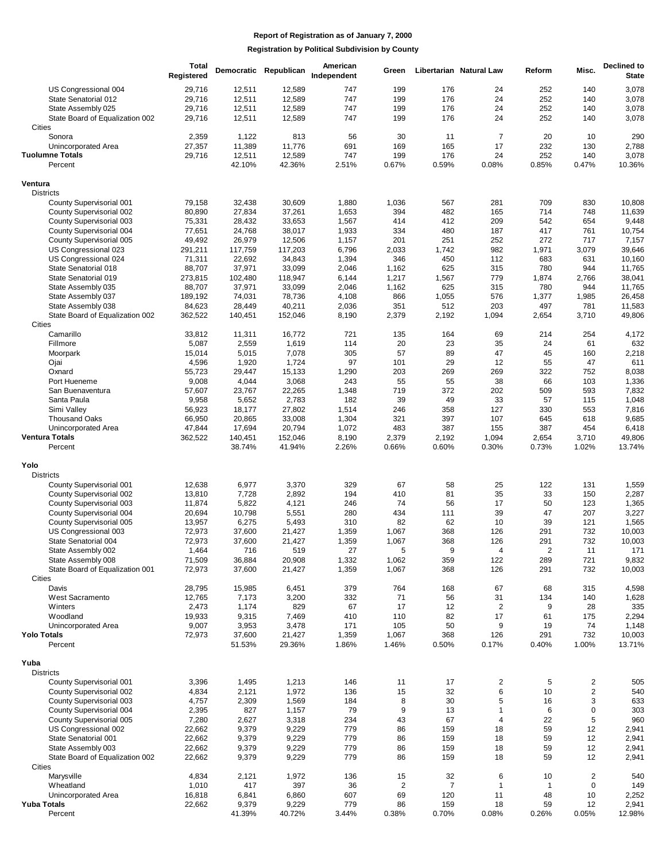|                                                      | <b>Total</b><br>Registered |                  | Democratic Republican | American<br>Independent | Green          |                | Libertarian Natural Law | Reform       | Misc.           | <b>Declined to</b><br><b>State</b> |
|------------------------------------------------------|----------------------------|------------------|-----------------------|-------------------------|----------------|----------------|-------------------------|--------------|-----------------|------------------------------------|
| US Congressional 004                                 | 29,716                     | 12,511           | 12,589                | 747                     | 199            | 176            | 24                      | 252          | 140             | 3,078                              |
| State Senatorial 012                                 | 29,716                     | 12,511           | 12,589                | 747                     | 199            | 176            | 24                      | 252          | 140             | 3,078                              |
| State Assembly 025                                   | 29,716                     | 12,511           | 12,589                | 747                     | 199            | 176            | 24                      | 252          | 140             | 3,078                              |
| State Board of Equalization 002<br>Cities            | 29,716                     | 12,511           | 12,589                | 747                     | 199            | 176            | 24                      | 252          | 140             | 3,078                              |
| Sonora                                               | 2,359                      | 1,122            | 813                   | 56                      | 30             | 11             | $\overline{7}$          | 20           | 10              | 290                                |
| Unincorporated Area                                  | 27,357                     | 11,389           | 11,776                | 691                     | 169            | 165            | 17                      | 232          | 130             | 2,788                              |
| <b>Tuolumne Totals</b>                               | 29,716                     | 12,511           | 12,589                | 747                     | 199            | 176            | 24                      | 252          | 140             | 3,078                              |
| Percent                                              |                            | 42.10%           | 42.36%                | 2.51%                   | 0.67%          | 0.59%          | 0.08%                   | 0.85%        | 0.47%           | 10.36%                             |
|                                                      |                            |                  |                       |                         |                |                |                         |              |                 |                                    |
| Ventura                                              |                            |                  |                       |                         |                |                |                         |              |                 |                                    |
| <b>Districts</b><br>County Supervisorial 001         | 79,158                     | 32,438           | 30,609                | 1,880                   | 1,036          | 567            | 281                     | 709          | 830             | 10,808                             |
| County Supervisorial 002                             | 80,890                     | 27,834           | 37,261                | 1,653                   | 394            | 482            | 165                     | 714          | 748             | 11,639                             |
| County Supervisorial 003                             | 75,331                     | 28,432           | 33,653                | 1,567                   | 414            | 412            | 209                     | 542          | 654             | 9,448                              |
| County Supervisorial 004                             | 77,651                     | 24,768           | 38,017                | 1,933                   | 334            | 480            | 187                     | 417          | 761             | 10,754                             |
| County Supervisorial 005                             | 49,492                     | 26,979           | 12,506                | 1,157                   | 201            | 251            | 252                     | 272          | 717             | 7,157                              |
| US Congressional 023                                 | 291,211                    | 117,759          | 117,203               | 6,796                   | 2,033          | 1,742          | 982                     | 1,971        | 3,079           | 39,646                             |
| US Congressional 024<br>State Senatorial 018         | 71,311                     | 22,692<br>37,971 | 34,843<br>33,099      | 1,394<br>2,046          | 346<br>1,162   | 450<br>625     | 112<br>315              | 683<br>780   | 631<br>944      | 10,160<br>11,765                   |
| State Senatorial 019                                 | 88,707<br>273,815          | 102,480          | 118,947               | 6,144                   | 1,217          | 1,567          | 779                     | 1,874        | 2,766           | 38,041                             |
| State Assembly 035                                   | 88,707                     | 37,971           | 33,099                | 2,046                   | 1,162          | 625            | 315                     | 780          | 944             | 11,765                             |
| State Assembly 037                                   | 189,192                    | 74,031           | 78,736                | 4,108                   | 866            | 1,055          | 576                     | 1,377        | 1,985           | 26,458                             |
| State Assembly 038                                   | 84,623                     | 28,449           | 40,211                | 2,036                   | 351            | 512            | 203                     | 497          | 781             | 11,583                             |
| State Board of Equalization 002                      | 362,522                    | 140,451          | 152,046               | 8,190                   | 2,379          | 2,192          | 1,094                   | 2,654        | 3,710           | 49,806                             |
| Cities                                               |                            |                  |                       |                         |                |                |                         |              |                 |                                    |
| Camarillo                                            | 33,812                     | 11,311           | 16,772                | 721                     | 135            | 164            | 69                      | 214          | 254             | 4,172                              |
| Fillmore<br>Moorpark                                 | 5,087<br>15,014            | 2,559<br>5,015   | 1,619<br>7,078        | 114<br>305              | 20<br>57       | 23<br>89       | 35<br>47                | 24<br>45     | 61<br>160       | 632<br>2,218                       |
| Ojai                                                 | 4,596                      | 1,920            | 1,724                 | 97                      | 101            | 29             | 12                      | 55           | 47              | 611                                |
| Oxnard                                               | 55,723                     | 29,447           | 15,133                | 1,290                   | 203            | 269            | 269                     | 322          | 752             | 8,038                              |
| Port Hueneme                                         | 9,008                      | 4,044            | 3,068                 | 243                     | 55             | 55             | 38                      | 66           | 103             | 1,336                              |
| San Buenaventura                                     | 57,607                     | 23,767           | 22,265                | 1,348                   | 719            | 372            | 202                     | 509          | 593             | 7,832                              |
| Santa Paula                                          | 9,958                      | 5,652            | 2,783                 | 182                     | 39             | 49             | 33                      | 57           | 115             | 1,048                              |
| Simi Valley                                          | 56,923                     | 18,177           | 27,802                | 1,514                   | 246            | 358            | 127                     | 330          | 553             | 7,816                              |
| <b>Thousand Oaks</b><br>Unincorporated Area          | 66,950<br>47,844           | 20,865<br>17,694 | 33,008<br>20,794      | 1,304<br>1,072          | 321<br>483     | 397<br>387     | 107<br>155              | 645<br>387   | 618<br>454      | 9,685<br>6,418                     |
| <b>Ventura Totals</b>                                | 362,522                    | 140,451          | 152,046               | 8,190                   | 2,379          | 2,192          | 1,094                   | 2,654        | 3,710           | 49,806                             |
| Percent                                              |                            | 38.74%           | 41.94%                | 2.26%                   | 0.66%          | 0.60%          | 0.30%                   | 0.73%        | 1.02%           | 13.74%                             |
|                                                      |                            |                  |                       |                         |                |                |                         |              |                 |                                    |
| Yolo                                                 |                            |                  |                       |                         |                |                |                         |              |                 |                                    |
| <b>Districts</b>                                     |                            |                  |                       |                         | 67             |                |                         |              |                 |                                    |
| County Supervisorial 001<br>County Supervisorial 002 | 12,638<br>13,810           | 6,977<br>7,728   | 3,370<br>2,892        | 329<br>194              | 410            | 58<br>81       | 25<br>35                | 122<br>33    | 131<br>150      | 1,559<br>2,287                     |
| County Supervisorial 003                             | 11,874                     | 5,822            | 4,121                 | 246                     | 74             | 56             | 17                      | 50           | 123             | 1,365                              |
| County Supervisorial 004                             | 20,694                     | 10,798           | 5,551                 | 280                     | 434            | 111            | 39                      | 47           | 207             | 3,227                              |
| County Supervisorial 005                             | 13,957                     | 6,275            | 5,493                 | 310                     | 82             | 62             | 10                      | 39           | 121             | 1,565                              |
| US Congressional 003                                 | 72,973                     | 37,600           | 21,427                | 1,359                   | 1,067          | 368            | 126                     | 291          | 732             | 10,003                             |
| State Senatorial 004                                 | 72,973                     | 37,600           | 21,427                | 1,359                   | 1,067          | 368            | 126                     | 291          | 732             | 10,003                             |
| State Assembly 002<br>State Assembly 008             | 1,464<br>71,509            | 716              | 519                   | 27<br>1,332             | 5              | 9              | 4                       | 2            | 11              | 171                                |
| State Board of Equalization 001                      | 72,973                     | 36,884<br>37,600 | 20,908<br>21,427      | 1,359                   | 1,062<br>1,067 | 359<br>368     | 122<br>126              | 289<br>291   | 721<br>732      | 9,832<br>10,003                    |
| <b>Cities</b>                                        |                            |                  |                       |                         |                |                |                         |              |                 |                                    |
| Davis                                                | 28,795                     | 15,985           | 6,451                 | 379                     | 764            | 168            | 67                      | 68           | 315             | 4,598                              |
| West Sacramento                                      | 12,765                     | 7,173            | 3,200                 | 332                     | 71             | 56             | 31                      | 134          | 140             | 1,628                              |
| Winters                                              | 2,473                      | 1,174            | 829                   | 67                      | 17             | 12             | $\overline{c}$          | 9            | 28              | 335                                |
| Woodland                                             | 19,933                     | 9,315            | 7,469                 | 410                     | 110            | 82             | 17                      | 61           | 175             | 2,294                              |
| Unincorporated Area<br><b>Yolo Totals</b>            | 9,007<br>72,973            | 3,953<br>37,600  | 3,478<br>21,427       | 171<br>1,359            | 105<br>1,067   | 50<br>368      | 9<br>126                | 19<br>291    | 74<br>732       | 1,148<br>10,003                    |
| Percent                                              |                            | 51.53%           | 29.36%                | 1.86%                   | 1.46%          | 0.50%          | 0.17%                   | 0.40%        | 1.00%           | 13.71%                             |
|                                                      |                            |                  |                       |                         |                |                |                         |              |                 |                                    |
| Yuba                                                 |                            |                  |                       |                         |                |                |                         |              |                 |                                    |
| <b>Districts</b>                                     |                            |                  |                       |                         |                |                |                         |              |                 |                                    |
| County Supervisorial 001                             | 3,396                      | 1,495            | 1,213                 | 146                     | 11             | 17             | $\overline{c}$          | 5            | $\overline{2}$  | 505                                |
| County Supervisorial 002<br>County Supervisorial 003 | 4,834<br>4,757             | 2,121<br>2,309   | 1,972<br>1,569        | 136<br>184              | 15<br>8        | 32<br>30       | 6<br>5                  | 10<br>16     | $\sqrt{2}$<br>3 | 540<br>633                         |
| County Supervisorial 004                             | 2,395                      | 827              | 1,157                 | 79                      | 9              | 13             | 1                       | 6            | 0               | 303                                |
| County Supervisorial 005                             | 7,280                      | 2,627            | 3,318                 | 234                     | 43             | 67             | 4                       | 22           | 5               | 960                                |
| US Congressional 002                                 | 22,662                     | 9,379            | 9,229                 | 779                     | 86             | 159            | 18                      | 59           | 12              | 2,941                              |
| State Senatorial 001                                 | 22,662                     | 9,379            | 9,229                 | 779                     | 86             | 159            | 18                      | 59           | 12              | 2,941                              |
| State Assembly 003                                   | 22,662                     | 9,379            | 9,229                 | 779                     | 86             | 159            | 18                      | 59           | 12              | 2,941                              |
| State Board of Equalization 002                      | 22,662                     | 9,379            | 9,229                 | 779                     | 86             | 159            | 18                      | 59           | 12              | 2,941                              |
| Cities<br>Marysville                                 | 4,834                      | 2,121            | 1,972                 | 136                     | 15             | 32             | 6                       | 10           | $\overline{2}$  | 540                                |
| Wheatland                                            | 1,010                      | 417              | 397                   | 36                      | $\overline{c}$ | $\overline{7}$ | 1                       | $\mathbf{1}$ | 0               | 149                                |
| Unincorporated Area                                  | 16,818                     | 6,841            | 6,860                 | 607                     | 69             | 120            | 11                      | 48           | 10              | 2,252                              |
| Yuba Totals                                          | 22,662                     | 9,379            | 9,229                 | 779                     | 86             | 159            | 18                      | 59           | 12              | 2,941                              |
| Percent                                              |                            | 41.39%           | 40.72%                | 3.44%                   | 0.38%          | 0.70%          | 0.08%                   | 0.26%        | 0.05%           | 12.98%                             |